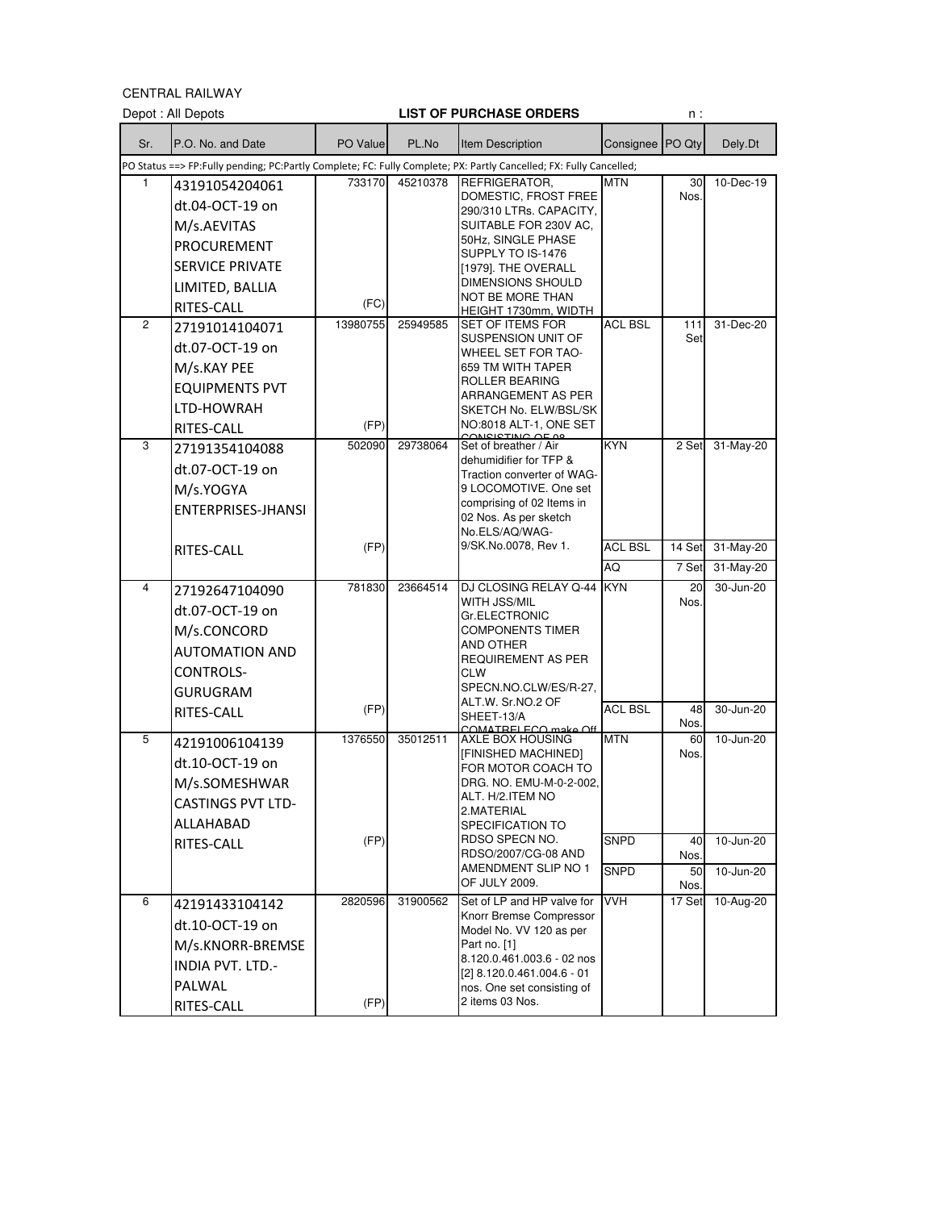CENTRAL RAILWAY

| Sr.<br>Consignee PO Qty<br>P.O. No. and Date<br>PO Value<br>PL.No<br><b>Item Description</b><br>Dely.Dt<br>PO Status ==> FP:Fully pending; PC:Partly Complete; FC: Fully Complete; PX: Partly Cancelled; FX: Fully Cancelled;<br>733170<br>REFRIGERATOR,<br>10-Dec-19<br>1<br>45210378<br>MTN<br>30<br>43191054204061<br>DOMESTIC, FROST FREE<br>Nos.<br>dt.04-OCT-19 on<br>290/310 LTRs. CAPACITY,<br>SUITABLE FOR 230V AC,<br>M/s.AEVITAS<br>50Hz, SINGLE PHASE<br><b>PROCUREMENT</b><br>SUPPLY TO IS-1476<br><b>SERVICE PRIVATE</b><br>[1979]. THE OVERALL<br>DIMENSIONS SHOULD<br>LIMITED, BALLIA<br>NOT BE MORE THAN<br>(FC)<br>RITES-CALL<br>HEIGHT 1730mm, WIDTH<br><b>ACL BSL</b><br>$\overline{c}$<br>13980755<br>25949585<br><b>SET OF ITEMS FOR</b><br>31-Dec-20<br>111<br>27191014104071<br>SUSPENSION UNIT OF<br>Set<br>dt.07-OCT-19 on<br>WHEEL SET FOR TAO-<br>M/s.KAY PEE<br>659 TM WITH TAPER<br>ROLLER BEARING<br><b>EQUIPMENTS PVT</b><br>ARRANGEMENT AS PER<br>LTD-HOWRAH<br>SKETCH No. ELW/BSL/SK<br>NO:8018 ALT-1, ONE SET<br>(FP)<br>RITES-CALL<br>MICICTING OF A<br>3<br>502090<br>29738064<br><b>KYN</b><br>2 Set<br>31-May-20<br>Set of breather / Air<br>27191354104088<br>dehumidifier for TFP &<br>dt.07-OCT-19 on<br>Traction converter of WAG-<br>M/s.YOGYA<br>9 LOCOMOTIVE. One set<br>comprising of 02 Items in<br>ENTERPRISES-JHANSI<br>02 Nos. As per sketch<br>No.ELS/AQ/WAG-<br>9/SK.No.0078, Rev 1.<br>(FP)<br><b>ACL BSL</b><br>14 Set<br>31-May-20<br>RITES-CALL<br>AQ<br>31-May-20<br>7 Set<br>4<br>781830<br>23664514<br>DJ CLOSING RELAY Q-44<br><b>KYN</b><br>20<br>30-Jun-20<br>27192647104090<br>WITH JSS/MIL<br>Nos.<br>dt.07-OCT-19 on<br>Gr.ELECTRONIC<br>M/s.CONCORD<br>COMPONENTS TIMER<br>AND OTHER<br><b>AUTOMATION AND</b><br><b>REQUIREMENT AS PER</b><br><b>CONTROLS-</b><br><b>CLW</b><br>SPECN.NO.CLW/ES/R-27,<br><b>GURUGRAM</b><br>ALT.W. Sr.NO.2 OF<br><b>ACL BSL</b><br>(FP)<br>30-Jun-20<br>48<br>RITES-CALL<br>SHEET-13/A<br>Nos.<br>COMATRELECO make Off<br><b>MTN</b><br>1376550<br>35012511<br>10-Jun-20<br>5<br>AXLE BOX HOUSING<br>60<br>42191006104139<br>[FINISHED MACHINED]<br>Nos.<br>dt.10-OCT-19 on<br>FOR MOTOR COACH TO<br>M/s.SOMESHWAR<br>DRG. NO. EMU-M-0-2-002,<br>ALT. H/2.ITEM NO<br><b>CASTINGS PVT LTD-</b><br>2.MATERIAL<br>ALLAHABAD<br>SPECIFICATION TO<br>RDSO SPECN NO.<br><b>SNPD</b><br>(FP)<br>10-Jun-20<br>40<br>RITES-CALL<br>RDSO/2007/CG-08 AND<br>Nos.<br>AMENDMENT SLIP NO 1<br><b>SNPD</b><br>10-Jun-20<br>50<br>OF JULY 2009.<br>Nos.<br><b>VVH</b><br>Set of LP and HP valve for<br>6<br>17 Set<br>10-Aug-20<br>2820596<br>31900562<br>42191433104142<br>Knorr Bremse Compressor<br>dt.10-OCT-19 on<br>Model No. VV 120 as per<br>M/s.KNORR-BREMSE<br>Part no. [1]<br>8.120.0.461.003.6 - 02 nos<br>INDIA PVT. LTD.-<br>[2] 8.120.0.461.004.6 - 01<br>PALWAL<br>nos. One set consisting of<br>2 items 03 Nos.<br>(FP)<br>RITES-CALL | Depot: All Depots |  | <b>LIST OF PURCHASE ORDERS</b> | n : |  |
|-------------------------------------------------------------------------------------------------------------------------------------------------------------------------------------------------------------------------------------------------------------------------------------------------------------------------------------------------------------------------------------------------------------------------------------------------------------------------------------------------------------------------------------------------------------------------------------------------------------------------------------------------------------------------------------------------------------------------------------------------------------------------------------------------------------------------------------------------------------------------------------------------------------------------------------------------------------------------------------------------------------------------------------------------------------------------------------------------------------------------------------------------------------------------------------------------------------------------------------------------------------------------------------------------------------------------------------------------------------------------------------------------------------------------------------------------------------------------------------------------------------------------------------------------------------------------------------------------------------------------------------------------------------------------------------------------------------------------------------------------------------------------------------------------------------------------------------------------------------------------------------------------------------------------------------------------------------------------------------------------------------------------------------------------------------------------------------------------------------------------------------------------------------------------------------------------------------------------------------------------------------------------------------------------------------------------------------------------------------------------------------------------------------------------------------------------------------------------------------------------------------------------------------------------------------------------------------------------------------------------------------------------------------------------------------------------------------------------------------------------------------------------------------------------------------------------------------------------------------------------------------------------------------------------------------------|-------------------|--|--------------------------------|-----|--|
|                                                                                                                                                                                                                                                                                                                                                                                                                                                                                                                                                                                                                                                                                                                                                                                                                                                                                                                                                                                                                                                                                                                                                                                                                                                                                                                                                                                                                                                                                                                                                                                                                                                                                                                                                                                                                                                                                                                                                                                                                                                                                                                                                                                                                                                                                                                                                                                                                                                                                                                                                                                                                                                                                                                                                                                                                                                                                                                                           |                   |  |                                |     |  |
|                                                                                                                                                                                                                                                                                                                                                                                                                                                                                                                                                                                                                                                                                                                                                                                                                                                                                                                                                                                                                                                                                                                                                                                                                                                                                                                                                                                                                                                                                                                                                                                                                                                                                                                                                                                                                                                                                                                                                                                                                                                                                                                                                                                                                                                                                                                                                                                                                                                                                                                                                                                                                                                                                                                                                                                                                                                                                                                                           |                   |  |                                |     |  |
|                                                                                                                                                                                                                                                                                                                                                                                                                                                                                                                                                                                                                                                                                                                                                                                                                                                                                                                                                                                                                                                                                                                                                                                                                                                                                                                                                                                                                                                                                                                                                                                                                                                                                                                                                                                                                                                                                                                                                                                                                                                                                                                                                                                                                                                                                                                                                                                                                                                                                                                                                                                                                                                                                                                                                                                                                                                                                                                                           |                   |  |                                |     |  |
|                                                                                                                                                                                                                                                                                                                                                                                                                                                                                                                                                                                                                                                                                                                                                                                                                                                                                                                                                                                                                                                                                                                                                                                                                                                                                                                                                                                                                                                                                                                                                                                                                                                                                                                                                                                                                                                                                                                                                                                                                                                                                                                                                                                                                                                                                                                                                                                                                                                                                                                                                                                                                                                                                                                                                                                                                                                                                                                                           |                   |  |                                |     |  |
|                                                                                                                                                                                                                                                                                                                                                                                                                                                                                                                                                                                                                                                                                                                                                                                                                                                                                                                                                                                                                                                                                                                                                                                                                                                                                                                                                                                                                                                                                                                                                                                                                                                                                                                                                                                                                                                                                                                                                                                                                                                                                                                                                                                                                                                                                                                                                                                                                                                                                                                                                                                                                                                                                                                                                                                                                                                                                                                                           |                   |  |                                |     |  |
|                                                                                                                                                                                                                                                                                                                                                                                                                                                                                                                                                                                                                                                                                                                                                                                                                                                                                                                                                                                                                                                                                                                                                                                                                                                                                                                                                                                                                                                                                                                                                                                                                                                                                                                                                                                                                                                                                                                                                                                                                                                                                                                                                                                                                                                                                                                                                                                                                                                                                                                                                                                                                                                                                                                                                                                                                                                                                                                                           |                   |  |                                |     |  |
|                                                                                                                                                                                                                                                                                                                                                                                                                                                                                                                                                                                                                                                                                                                                                                                                                                                                                                                                                                                                                                                                                                                                                                                                                                                                                                                                                                                                                                                                                                                                                                                                                                                                                                                                                                                                                                                                                                                                                                                                                                                                                                                                                                                                                                                                                                                                                                                                                                                                                                                                                                                                                                                                                                                                                                                                                                                                                                                                           |                   |  |                                |     |  |
|                                                                                                                                                                                                                                                                                                                                                                                                                                                                                                                                                                                                                                                                                                                                                                                                                                                                                                                                                                                                                                                                                                                                                                                                                                                                                                                                                                                                                                                                                                                                                                                                                                                                                                                                                                                                                                                                                                                                                                                                                                                                                                                                                                                                                                                                                                                                                                                                                                                                                                                                                                                                                                                                                                                                                                                                                                                                                                                                           |                   |  |                                |     |  |
|                                                                                                                                                                                                                                                                                                                                                                                                                                                                                                                                                                                                                                                                                                                                                                                                                                                                                                                                                                                                                                                                                                                                                                                                                                                                                                                                                                                                                                                                                                                                                                                                                                                                                                                                                                                                                                                                                                                                                                                                                                                                                                                                                                                                                                                                                                                                                                                                                                                                                                                                                                                                                                                                                                                                                                                                                                                                                                                                           |                   |  |                                |     |  |
|                                                                                                                                                                                                                                                                                                                                                                                                                                                                                                                                                                                                                                                                                                                                                                                                                                                                                                                                                                                                                                                                                                                                                                                                                                                                                                                                                                                                                                                                                                                                                                                                                                                                                                                                                                                                                                                                                                                                                                                                                                                                                                                                                                                                                                                                                                                                                                                                                                                                                                                                                                                                                                                                                                                                                                                                                                                                                                                                           |                   |  |                                |     |  |
|                                                                                                                                                                                                                                                                                                                                                                                                                                                                                                                                                                                                                                                                                                                                                                                                                                                                                                                                                                                                                                                                                                                                                                                                                                                                                                                                                                                                                                                                                                                                                                                                                                                                                                                                                                                                                                                                                                                                                                                                                                                                                                                                                                                                                                                                                                                                                                                                                                                                                                                                                                                                                                                                                                                                                                                                                                                                                                                                           |                   |  |                                |     |  |
|                                                                                                                                                                                                                                                                                                                                                                                                                                                                                                                                                                                                                                                                                                                                                                                                                                                                                                                                                                                                                                                                                                                                                                                                                                                                                                                                                                                                                                                                                                                                                                                                                                                                                                                                                                                                                                                                                                                                                                                                                                                                                                                                                                                                                                                                                                                                                                                                                                                                                                                                                                                                                                                                                                                                                                                                                                                                                                                                           |                   |  |                                |     |  |
|                                                                                                                                                                                                                                                                                                                                                                                                                                                                                                                                                                                                                                                                                                                                                                                                                                                                                                                                                                                                                                                                                                                                                                                                                                                                                                                                                                                                                                                                                                                                                                                                                                                                                                                                                                                                                                                                                                                                                                                                                                                                                                                                                                                                                                                                                                                                                                                                                                                                                                                                                                                                                                                                                                                                                                                                                                                                                                                                           |                   |  |                                |     |  |
|                                                                                                                                                                                                                                                                                                                                                                                                                                                                                                                                                                                                                                                                                                                                                                                                                                                                                                                                                                                                                                                                                                                                                                                                                                                                                                                                                                                                                                                                                                                                                                                                                                                                                                                                                                                                                                                                                                                                                                                                                                                                                                                                                                                                                                                                                                                                                                                                                                                                                                                                                                                                                                                                                                                                                                                                                                                                                                                                           |                   |  |                                |     |  |
|                                                                                                                                                                                                                                                                                                                                                                                                                                                                                                                                                                                                                                                                                                                                                                                                                                                                                                                                                                                                                                                                                                                                                                                                                                                                                                                                                                                                                                                                                                                                                                                                                                                                                                                                                                                                                                                                                                                                                                                                                                                                                                                                                                                                                                                                                                                                                                                                                                                                                                                                                                                                                                                                                                                                                                                                                                                                                                                                           |                   |  |                                |     |  |
|                                                                                                                                                                                                                                                                                                                                                                                                                                                                                                                                                                                                                                                                                                                                                                                                                                                                                                                                                                                                                                                                                                                                                                                                                                                                                                                                                                                                                                                                                                                                                                                                                                                                                                                                                                                                                                                                                                                                                                                                                                                                                                                                                                                                                                                                                                                                                                                                                                                                                                                                                                                                                                                                                                                                                                                                                                                                                                                                           |                   |  |                                |     |  |
|                                                                                                                                                                                                                                                                                                                                                                                                                                                                                                                                                                                                                                                                                                                                                                                                                                                                                                                                                                                                                                                                                                                                                                                                                                                                                                                                                                                                                                                                                                                                                                                                                                                                                                                                                                                                                                                                                                                                                                                                                                                                                                                                                                                                                                                                                                                                                                                                                                                                                                                                                                                                                                                                                                                                                                                                                                                                                                                                           |                   |  |                                |     |  |
|                                                                                                                                                                                                                                                                                                                                                                                                                                                                                                                                                                                                                                                                                                                                                                                                                                                                                                                                                                                                                                                                                                                                                                                                                                                                                                                                                                                                                                                                                                                                                                                                                                                                                                                                                                                                                                                                                                                                                                                                                                                                                                                                                                                                                                                                                                                                                                                                                                                                                                                                                                                                                                                                                                                                                                                                                                                                                                                                           |                   |  |                                |     |  |
|                                                                                                                                                                                                                                                                                                                                                                                                                                                                                                                                                                                                                                                                                                                                                                                                                                                                                                                                                                                                                                                                                                                                                                                                                                                                                                                                                                                                                                                                                                                                                                                                                                                                                                                                                                                                                                                                                                                                                                                                                                                                                                                                                                                                                                                                                                                                                                                                                                                                                                                                                                                                                                                                                                                                                                                                                                                                                                                                           |                   |  |                                |     |  |
|                                                                                                                                                                                                                                                                                                                                                                                                                                                                                                                                                                                                                                                                                                                                                                                                                                                                                                                                                                                                                                                                                                                                                                                                                                                                                                                                                                                                                                                                                                                                                                                                                                                                                                                                                                                                                                                                                                                                                                                                                                                                                                                                                                                                                                                                                                                                                                                                                                                                                                                                                                                                                                                                                                                                                                                                                                                                                                                                           |                   |  |                                |     |  |
|                                                                                                                                                                                                                                                                                                                                                                                                                                                                                                                                                                                                                                                                                                                                                                                                                                                                                                                                                                                                                                                                                                                                                                                                                                                                                                                                                                                                                                                                                                                                                                                                                                                                                                                                                                                                                                                                                                                                                                                                                                                                                                                                                                                                                                                                                                                                                                                                                                                                                                                                                                                                                                                                                                                                                                                                                                                                                                                                           |                   |  |                                |     |  |
|                                                                                                                                                                                                                                                                                                                                                                                                                                                                                                                                                                                                                                                                                                                                                                                                                                                                                                                                                                                                                                                                                                                                                                                                                                                                                                                                                                                                                                                                                                                                                                                                                                                                                                                                                                                                                                                                                                                                                                                                                                                                                                                                                                                                                                                                                                                                                                                                                                                                                                                                                                                                                                                                                                                                                                                                                                                                                                                                           |                   |  |                                |     |  |
|                                                                                                                                                                                                                                                                                                                                                                                                                                                                                                                                                                                                                                                                                                                                                                                                                                                                                                                                                                                                                                                                                                                                                                                                                                                                                                                                                                                                                                                                                                                                                                                                                                                                                                                                                                                                                                                                                                                                                                                                                                                                                                                                                                                                                                                                                                                                                                                                                                                                                                                                                                                                                                                                                                                                                                                                                                                                                                                                           |                   |  |                                |     |  |
|                                                                                                                                                                                                                                                                                                                                                                                                                                                                                                                                                                                                                                                                                                                                                                                                                                                                                                                                                                                                                                                                                                                                                                                                                                                                                                                                                                                                                                                                                                                                                                                                                                                                                                                                                                                                                                                                                                                                                                                                                                                                                                                                                                                                                                                                                                                                                                                                                                                                                                                                                                                                                                                                                                                                                                                                                                                                                                                                           |                   |  |                                |     |  |
|                                                                                                                                                                                                                                                                                                                                                                                                                                                                                                                                                                                                                                                                                                                                                                                                                                                                                                                                                                                                                                                                                                                                                                                                                                                                                                                                                                                                                                                                                                                                                                                                                                                                                                                                                                                                                                                                                                                                                                                                                                                                                                                                                                                                                                                                                                                                                                                                                                                                                                                                                                                                                                                                                                                                                                                                                                                                                                                                           |                   |  |                                |     |  |
|                                                                                                                                                                                                                                                                                                                                                                                                                                                                                                                                                                                                                                                                                                                                                                                                                                                                                                                                                                                                                                                                                                                                                                                                                                                                                                                                                                                                                                                                                                                                                                                                                                                                                                                                                                                                                                                                                                                                                                                                                                                                                                                                                                                                                                                                                                                                                                                                                                                                                                                                                                                                                                                                                                                                                                                                                                                                                                                                           |                   |  |                                |     |  |
|                                                                                                                                                                                                                                                                                                                                                                                                                                                                                                                                                                                                                                                                                                                                                                                                                                                                                                                                                                                                                                                                                                                                                                                                                                                                                                                                                                                                                                                                                                                                                                                                                                                                                                                                                                                                                                                                                                                                                                                                                                                                                                                                                                                                                                                                                                                                                                                                                                                                                                                                                                                                                                                                                                                                                                                                                                                                                                                                           |                   |  |                                |     |  |
|                                                                                                                                                                                                                                                                                                                                                                                                                                                                                                                                                                                                                                                                                                                                                                                                                                                                                                                                                                                                                                                                                                                                                                                                                                                                                                                                                                                                                                                                                                                                                                                                                                                                                                                                                                                                                                                                                                                                                                                                                                                                                                                                                                                                                                                                                                                                                                                                                                                                                                                                                                                                                                                                                                                                                                                                                                                                                                                                           |                   |  |                                |     |  |
|                                                                                                                                                                                                                                                                                                                                                                                                                                                                                                                                                                                                                                                                                                                                                                                                                                                                                                                                                                                                                                                                                                                                                                                                                                                                                                                                                                                                                                                                                                                                                                                                                                                                                                                                                                                                                                                                                                                                                                                                                                                                                                                                                                                                                                                                                                                                                                                                                                                                                                                                                                                                                                                                                                                                                                                                                                                                                                                                           |                   |  |                                |     |  |
|                                                                                                                                                                                                                                                                                                                                                                                                                                                                                                                                                                                                                                                                                                                                                                                                                                                                                                                                                                                                                                                                                                                                                                                                                                                                                                                                                                                                                                                                                                                                                                                                                                                                                                                                                                                                                                                                                                                                                                                                                                                                                                                                                                                                                                                                                                                                                                                                                                                                                                                                                                                                                                                                                                                                                                                                                                                                                                                                           |                   |  |                                |     |  |
|                                                                                                                                                                                                                                                                                                                                                                                                                                                                                                                                                                                                                                                                                                                                                                                                                                                                                                                                                                                                                                                                                                                                                                                                                                                                                                                                                                                                                                                                                                                                                                                                                                                                                                                                                                                                                                                                                                                                                                                                                                                                                                                                                                                                                                                                                                                                                                                                                                                                                                                                                                                                                                                                                                                                                                                                                                                                                                                                           |                   |  |                                |     |  |
|                                                                                                                                                                                                                                                                                                                                                                                                                                                                                                                                                                                                                                                                                                                                                                                                                                                                                                                                                                                                                                                                                                                                                                                                                                                                                                                                                                                                                                                                                                                                                                                                                                                                                                                                                                                                                                                                                                                                                                                                                                                                                                                                                                                                                                                                                                                                                                                                                                                                                                                                                                                                                                                                                                                                                                                                                                                                                                                                           |                   |  |                                |     |  |
|                                                                                                                                                                                                                                                                                                                                                                                                                                                                                                                                                                                                                                                                                                                                                                                                                                                                                                                                                                                                                                                                                                                                                                                                                                                                                                                                                                                                                                                                                                                                                                                                                                                                                                                                                                                                                                                                                                                                                                                                                                                                                                                                                                                                                                                                                                                                                                                                                                                                                                                                                                                                                                                                                                                                                                                                                                                                                                                                           |                   |  |                                |     |  |
|                                                                                                                                                                                                                                                                                                                                                                                                                                                                                                                                                                                                                                                                                                                                                                                                                                                                                                                                                                                                                                                                                                                                                                                                                                                                                                                                                                                                                                                                                                                                                                                                                                                                                                                                                                                                                                                                                                                                                                                                                                                                                                                                                                                                                                                                                                                                                                                                                                                                                                                                                                                                                                                                                                                                                                                                                                                                                                                                           |                   |  |                                |     |  |
|                                                                                                                                                                                                                                                                                                                                                                                                                                                                                                                                                                                                                                                                                                                                                                                                                                                                                                                                                                                                                                                                                                                                                                                                                                                                                                                                                                                                                                                                                                                                                                                                                                                                                                                                                                                                                                                                                                                                                                                                                                                                                                                                                                                                                                                                                                                                                                                                                                                                                                                                                                                                                                                                                                                                                                                                                                                                                                                                           |                   |  |                                |     |  |
|                                                                                                                                                                                                                                                                                                                                                                                                                                                                                                                                                                                                                                                                                                                                                                                                                                                                                                                                                                                                                                                                                                                                                                                                                                                                                                                                                                                                                                                                                                                                                                                                                                                                                                                                                                                                                                                                                                                                                                                                                                                                                                                                                                                                                                                                                                                                                                                                                                                                                                                                                                                                                                                                                                                                                                                                                                                                                                                                           |                   |  |                                |     |  |
|                                                                                                                                                                                                                                                                                                                                                                                                                                                                                                                                                                                                                                                                                                                                                                                                                                                                                                                                                                                                                                                                                                                                                                                                                                                                                                                                                                                                                                                                                                                                                                                                                                                                                                                                                                                                                                                                                                                                                                                                                                                                                                                                                                                                                                                                                                                                                                                                                                                                                                                                                                                                                                                                                                                                                                                                                                                                                                                                           |                   |  |                                |     |  |
|                                                                                                                                                                                                                                                                                                                                                                                                                                                                                                                                                                                                                                                                                                                                                                                                                                                                                                                                                                                                                                                                                                                                                                                                                                                                                                                                                                                                                                                                                                                                                                                                                                                                                                                                                                                                                                                                                                                                                                                                                                                                                                                                                                                                                                                                                                                                                                                                                                                                                                                                                                                                                                                                                                                                                                                                                                                                                                                                           |                   |  |                                |     |  |
|                                                                                                                                                                                                                                                                                                                                                                                                                                                                                                                                                                                                                                                                                                                                                                                                                                                                                                                                                                                                                                                                                                                                                                                                                                                                                                                                                                                                                                                                                                                                                                                                                                                                                                                                                                                                                                                                                                                                                                                                                                                                                                                                                                                                                                                                                                                                                                                                                                                                                                                                                                                                                                                                                                                                                                                                                                                                                                                                           |                   |  |                                |     |  |
|                                                                                                                                                                                                                                                                                                                                                                                                                                                                                                                                                                                                                                                                                                                                                                                                                                                                                                                                                                                                                                                                                                                                                                                                                                                                                                                                                                                                                                                                                                                                                                                                                                                                                                                                                                                                                                                                                                                                                                                                                                                                                                                                                                                                                                                                                                                                                                                                                                                                                                                                                                                                                                                                                                                                                                                                                                                                                                                                           |                   |  |                                |     |  |
|                                                                                                                                                                                                                                                                                                                                                                                                                                                                                                                                                                                                                                                                                                                                                                                                                                                                                                                                                                                                                                                                                                                                                                                                                                                                                                                                                                                                                                                                                                                                                                                                                                                                                                                                                                                                                                                                                                                                                                                                                                                                                                                                                                                                                                                                                                                                                                                                                                                                                                                                                                                                                                                                                                                                                                                                                                                                                                                                           |                   |  |                                |     |  |
|                                                                                                                                                                                                                                                                                                                                                                                                                                                                                                                                                                                                                                                                                                                                                                                                                                                                                                                                                                                                                                                                                                                                                                                                                                                                                                                                                                                                                                                                                                                                                                                                                                                                                                                                                                                                                                                                                                                                                                                                                                                                                                                                                                                                                                                                                                                                                                                                                                                                                                                                                                                                                                                                                                                                                                                                                                                                                                                                           |                   |  |                                |     |  |
|                                                                                                                                                                                                                                                                                                                                                                                                                                                                                                                                                                                                                                                                                                                                                                                                                                                                                                                                                                                                                                                                                                                                                                                                                                                                                                                                                                                                                                                                                                                                                                                                                                                                                                                                                                                                                                                                                                                                                                                                                                                                                                                                                                                                                                                                                                                                                                                                                                                                                                                                                                                                                                                                                                                                                                                                                                                                                                                                           |                   |  |                                |     |  |
|                                                                                                                                                                                                                                                                                                                                                                                                                                                                                                                                                                                                                                                                                                                                                                                                                                                                                                                                                                                                                                                                                                                                                                                                                                                                                                                                                                                                                                                                                                                                                                                                                                                                                                                                                                                                                                                                                                                                                                                                                                                                                                                                                                                                                                                                                                                                                                                                                                                                                                                                                                                                                                                                                                                                                                                                                                                                                                                                           |                   |  |                                |     |  |
|                                                                                                                                                                                                                                                                                                                                                                                                                                                                                                                                                                                                                                                                                                                                                                                                                                                                                                                                                                                                                                                                                                                                                                                                                                                                                                                                                                                                                                                                                                                                                                                                                                                                                                                                                                                                                                                                                                                                                                                                                                                                                                                                                                                                                                                                                                                                                                                                                                                                                                                                                                                                                                                                                                                                                                                                                                                                                                                                           |                   |  |                                |     |  |
|                                                                                                                                                                                                                                                                                                                                                                                                                                                                                                                                                                                                                                                                                                                                                                                                                                                                                                                                                                                                                                                                                                                                                                                                                                                                                                                                                                                                                                                                                                                                                                                                                                                                                                                                                                                                                                                                                                                                                                                                                                                                                                                                                                                                                                                                                                                                                                                                                                                                                                                                                                                                                                                                                                                                                                                                                                                                                                                                           |                   |  |                                |     |  |
|                                                                                                                                                                                                                                                                                                                                                                                                                                                                                                                                                                                                                                                                                                                                                                                                                                                                                                                                                                                                                                                                                                                                                                                                                                                                                                                                                                                                                                                                                                                                                                                                                                                                                                                                                                                                                                                                                                                                                                                                                                                                                                                                                                                                                                                                                                                                                                                                                                                                                                                                                                                                                                                                                                                                                                                                                                                                                                                                           |                   |  |                                |     |  |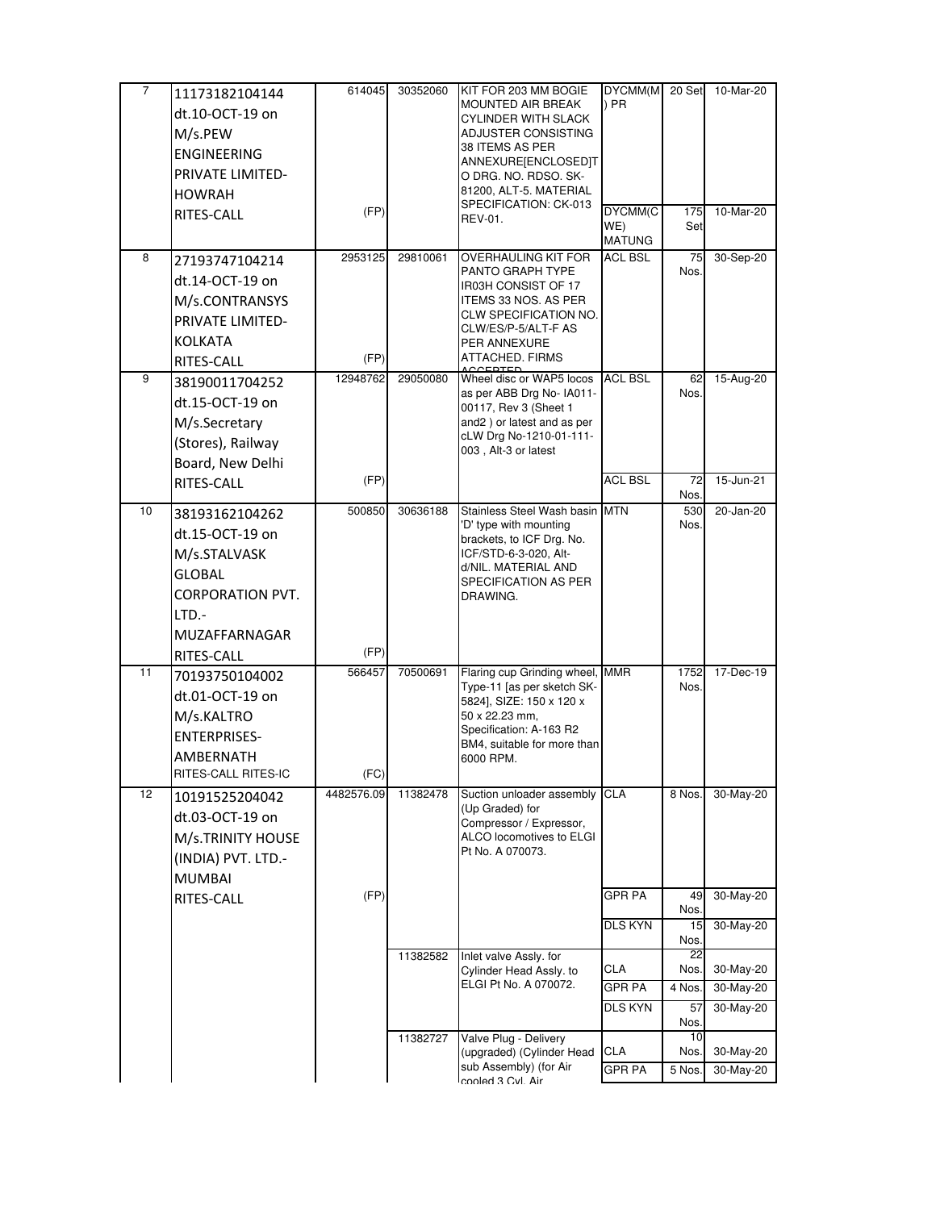| 7  | 11173182104144          | 614045     | 30352060 | KIT FOR 203 MM BOGIE                                          | DYCMM(M        | 20 Set       | 10-Mar-20 |
|----|-------------------------|------------|----------|---------------------------------------------------------------|----------------|--------------|-----------|
|    | dt.10-OCT-19 on         |            |          | MOUNTED AIR BREAK                                             | $)$ PR         |              |           |
|    | M/s.PEW                 |            |          | CYLINDER WITH SLACK<br>ADJUSTER CONSISTING                    |                |              |           |
|    | <b>ENGINEERING</b>      |            |          | 38 ITEMS AS PER                                               |                |              |           |
|    | PRIVATE LIMITED-        |            |          | ANNEXURE[ENCLOSED]T                                           |                |              |           |
|    |                         |            |          | o drg. No. RDSO. SK-<br>81200, ALT-5. MATERIAL                |                |              |           |
|    | <b>HOWRAH</b>           | (FP)       |          | SPECIFICATION: CK-013                                         | DYCMM(C        |              | 10-Mar-20 |
|    | RITES-CALL              |            |          | REV-01.                                                       | WE)            | 175<br>Set   |           |
|    |                         |            |          |                                                               | <b>MATUNG</b>  |              |           |
| 8  | 27193747104214          | 2953125    | 29810061 | OVERHAULING KIT FOR                                           | ACL BSL        | 75           | 30-Sep-20 |
|    | dt.14-OCT-19 on         |            |          | PANTO GRAPH TYPE<br>IR03H CONSIST OF 17                       |                | Nos.         |           |
|    | M/s.CONTRANSYS          |            |          | <b>ITEMS 33 NOS. AS PER</b>                                   |                |              |           |
|    | <b>PRIVATE LIMITED-</b> |            |          | CLW SPECIFICATION NO.                                         |                |              |           |
|    | <b>KOLKATA</b>          |            |          | CLW/ES/P-5/ALT-F AS<br>PER ANNEXURE                           |                |              |           |
|    | RITES-CALL              | (FP)       |          | ATTACHED. FIRMS                                               |                |              |           |
| 9  | 38190011704252          | 12948762   | 29050080 | Wheel disc or WAP5 locos                                      | <b>ACL BSL</b> | 62           | 15-Aug-20 |
|    | dt.15-OCT-19 on         |            |          | as per ABB Drg No- IA011-                                     |                | Nos.         |           |
|    |                         |            |          | 00117, Rev 3 (Sheet 1<br>and2) or latest and as per           |                |              |           |
|    | M/s.Secretary           |            |          | cLW Drg No-1210-01-111-                                       |                |              |           |
|    | (Stores), Railway       |            |          | 003, Alt-3 or latest                                          |                |              |           |
|    | Board, New Delhi        |            |          |                                                               | <b>ACL BSL</b> |              |           |
|    | RITES-CALL              | (FP)       |          |                                                               |                | 72<br>Nos.   | 15-Jun-21 |
| 10 | 38193162104262          | 500850     | 30636188 | Stainless Steel Wash basin MTN                                |                | 530          | 20-Jan-20 |
|    | dt.15-OCT-19 on         |            |          | 'D' type with mounting                                        |                | Nos.         |           |
|    | M/s.STALVASK            |            |          | brackets, to ICF Drg. No.<br>ICF/STD-6-3-020, Alt-            |                |              |           |
|    | <b>GLOBAL</b>           |            |          | d/NIL. MATERIAL AND                                           |                |              |           |
|    |                         |            |          | SPECIFICATION AS PER                                          |                |              |           |
|    | <b>CORPORATION PVT.</b> |            |          | DRAWING.                                                      |                |              |           |
|    | LTD.-                   |            |          |                                                               |                |              |           |
|    | MUZAFFARNAGAR           |            |          |                                                               |                |              |           |
|    | RITES-CALL              | (FP)       |          |                                                               |                |              |           |
| 11 | 70193750104002          | 566457     | 70500691 | Flaring cup Grinding wheel, MMR<br>Type-11 [as per sketch SK- |                | 1752<br>Nos. | 17-Dec-19 |
|    | dt.01-OCT-19 on         |            |          | 5824], SIZE: 150 x 120 x                                      |                |              |           |
|    | M/s.KALTRO              |            |          | 50 x 22.23 mm,                                                |                |              |           |
|    | <b>ENTERPRISES-</b>     |            |          | Specification: A-163 R2<br>BM4, suitable for more than        |                |              |           |
|    | AMBERNATH               |            |          | 6000 RPM.                                                     |                |              |           |
|    | RITES-CALL RITES-IC     | (FC)       |          |                                                               |                |              |           |
| 12 | 10191525204042          | 4482576.09 | 11382478 | Suction unloader assembly                                     | <b>CLA</b>     | 8 Nos.       | 30-May-20 |
|    | dt.03-OCT-19 on         |            |          | (Up Graded) for<br>Compressor / Expressor,                    |                |              |           |
|    | M/s.TRINITY HOUSE       |            |          | ALCO locomotives to ELGI                                      |                |              |           |
|    | (INDIA) PVT. LTD.-      |            |          | Pt No. A 070073.                                              |                |              |           |
|    | <b>MUMBAI</b>           |            |          |                                                               |                |              |           |
|    | RITES-CALL              | (FP)       |          |                                                               | GPR PA         | 49           | 30-May-20 |
|    |                         |            |          |                                                               |                | Nos.         |           |
|    |                         |            |          |                                                               | DLS KYN        | 15           | 30-May-20 |
|    |                         |            | 11382582 | Inlet valve Assly. for                                        |                | Nos.<br>22   |           |
|    |                         |            |          | Cylinder Head Assly. to                                       | <b>CLA</b>     | Nos.         | 30-May-20 |
|    |                         |            |          | ELGI Pt No. A 070072.                                         | GPR PA         | 4 Nos.       | 30-May-20 |
|    |                         |            |          |                                                               | DLS KYN        | 57           | 30-May-20 |
|    |                         |            |          |                                                               |                | Nos.<br>10   |           |
|    |                         |            | 11382727 | Valve Plug - Delivery<br>(upgraded) (Cylinder Head            | <b>CLA</b>     | Nos.         | 30-May-20 |
|    |                         |            |          | sub Assembly) (for Air                                        | <b>GPR PA</b>  | 5 Nos.       | 30-May-20 |
|    |                         |            |          | cooled 3 Cvl. Air                                             |                |              |           |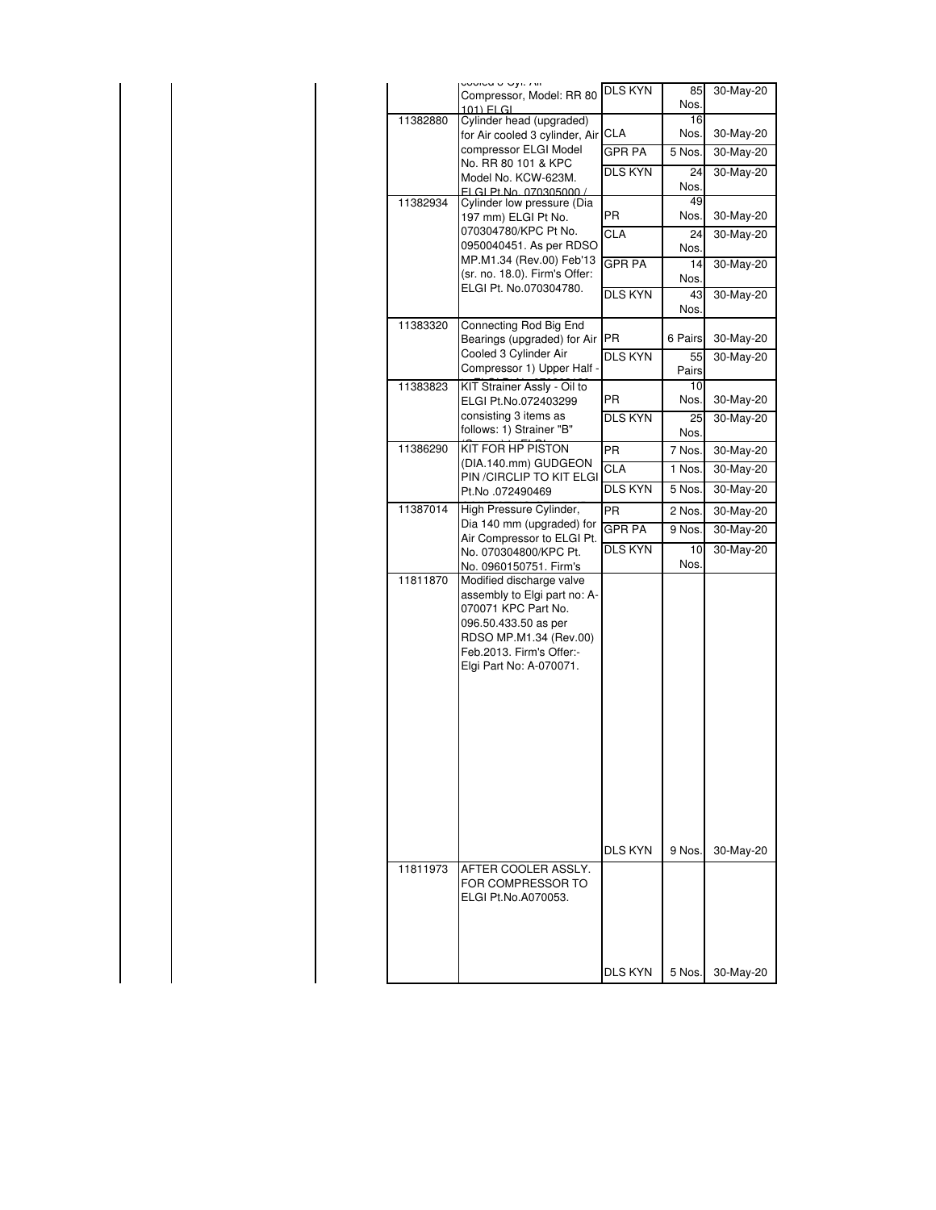|  |          | Compressor, Model: RR 80<br>101) FLGL                                                                                                                                                    | DLS KYN              | 85<br>Nos.    | 30-May-20              |
|--|----------|------------------------------------------------------------------------------------------------------------------------------------------------------------------------------------------|----------------------|---------------|------------------------|
|  | 11382880 | Cylinder head (upgraded)                                                                                                                                                                 |                      | 16            |                        |
|  |          | for Air cooled 3 cylinder, Air CLA<br>compressor ELGI Model                                                                                                                              |                      | Nos.          | 30-May-20              |
|  |          | No. RR 80 101 & KPC                                                                                                                                                                      | GPR PA               | 5 Nos.        | 30-May-20              |
|  |          | Model No. KCW-623M.<br>ELGL Pt No. 070305000                                                                                                                                             | DLS KYN              | 24<br>Nos.    | 30-May-20              |
|  | 11382934 | Cylinder low pressure (Dia                                                                                                                                                               |                      | 49            |                        |
|  |          | 197 mm) ELGI Pt No.<br>070304780/KPC Pt No.                                                                                                                                              | PR                   | Nos.          | 30-May-20              |
|  |          | 0950040451. As per RDSO                                                                                                                                                                  | CLA                  | 24<br>Nos.    | 30-May-20              |
|  |          | MP.M1.34 (Rev.00) Feb'13<br>(sr. no. 18.0). Firm's Offer:                                                                                                                                | <b>GPR PA</b>        | 14            | 30-May-20              |
|  |          | ELGI Pt. No.070304780.                                                                                                                                                                   | DLS KYN              | Nos.<br>43    | 30-May-20              |
|  |          |                                                                                                                                                                                          |                      | Nos.          |                        |
|  | 11383320 | Connecting Rod Big End                                                                                                                                                                   |                      |               |                        |
|  |          | Bearings (upgraded) for Air<br>Cooled 3 Cylinder Air                                                                                                                                     | PR<br>DLS KYN        | 6 Pairs<br>55 | 30-May-20<br>30-May-20 |
|  |          | Compressor 1) Upper Half -                                                                                                                                                               |                      | Pairs         |                        |
|  | 11383823 | KIT Strainer Assly - Oil to                                                                                                                                                              |                      | 10            |                        |
|  |          | ELGI Pt.No.072403299<br>consisting 3 items as                                                                                                                                            | ΡR<br><b>DLS KYN</b> | Nos.<br>25    | 30-May-20<br>30-May-20 |
|  |          | follows: 1) Strainer "B"                                                                                                                                                                 |                      | Nos.          |                        |
|  | 11386290 | KIT FOR HP PISTON                                                                                                                                                                        | PR                   | 7 Nos.        | 30-May-20              |
|  |          | (DIA.140.mm) GUDGEON<br>PIN / CIRCLIP TO KIT ELGI                                                                                                                                        | <b>CLA</b>           | 1 Nos.        | 30-May-20              |
|  |          | Pt.No .072490469                                                                                                                                                                         | DLS KYN              | 5 Nos.        | 30-May-20              |
|  | 11387014 | High Pressure Cylinder,                                                                                                                                                                  | PR                   | 2 Nos.        | 30-May-20              |
|  |          | Dia 140 mm (upgraded) for<br>Air Compressor to ELGI Pt.                                                                                                                                  | <b>GPR PA</b>        | 9 Nos.        | 30-May-20              |
|  |          | No. 070304800/KPC Pt.<br>No. 0960150751. Firm's                                                                                                                                          | DLS KYN              | 10<br>Nos.    | 30-May-20              |
|  | 11811870 | Modified discharge valve<br>assembly to Elgi part no: A-<br>070071 KPC Part No.<br>096.50.433.50 as per<br>RDSO MP.M1.34 (Rev.00)<br>Feb.2013. Firm's Offer:-<br>Elgi Part No: A-070071. | <b>DLS KYN</b>       |               |                        |
|  | 11811973 | AFTER COOLER ASSLY.                                                                                                                                                                      |                      | 9 Nos.        | 30-May-20              |
|  |          | FOR COMPRESSOR TO<br>ELGI Pt.No.A070053.                                                                                                                                                 |                      |               |                        |
|  |          |                                                                                                                                                                                          |                      |               |                        |
|  |          |                                                                                                                                                                                          | <b>DLS KYN</b>       | 5 Nos.        | 30-May-20              |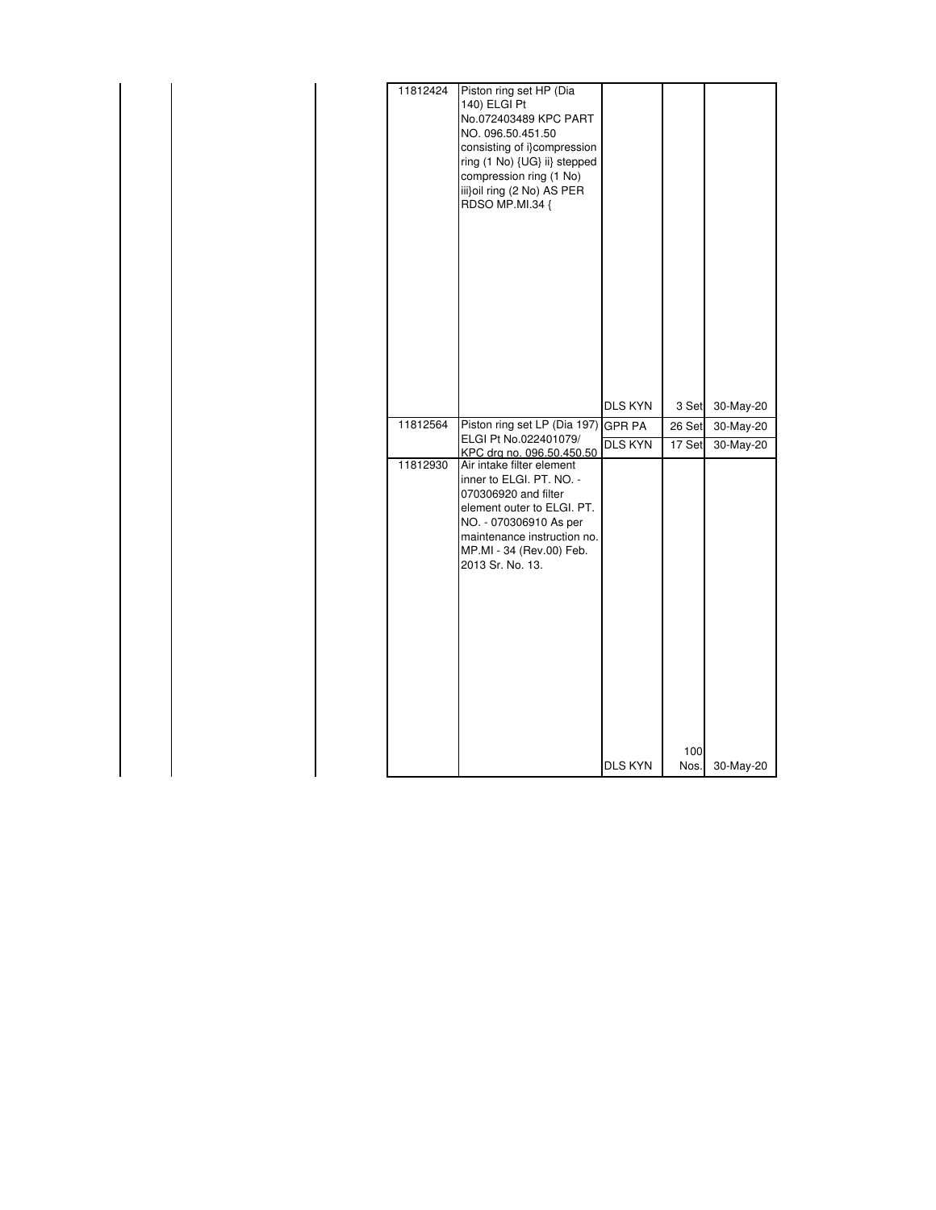| 11812424 | Piston ring set HP (Dia<br>140) ELGI Pt<br>No.072403489 KPC PART<br>NO. 096.50.451.50<br>consisting of i}compression<br>ring (1 No) {UG} ii} stepped<br>compression ring (1 No)<br>iii}oil ring (2 No) AS PER<br>RDSO MP.MI.34 { |                |        |              |
|----------|----------------------------------------------------------------------------------------------------------------------------------------------------------------------------------------------------------------------------------|----------------|--------|--------------|
|          |                                                                                                                                                                                                                                  | <b>DLS KYN</b> | 3 Set  | 30-May-20    |
| 11812564 | Piston ring set LP (Dia 197)                                                                                                                                                                                                     | <b>GPR PA</b>  | 26 Set | 30-May-20    |
|          | ELGI Pt No.022401079/<br>KPC dra no. 096.50.450.50                                                                                                                                                                               | <b>DLS KYN</b> | 17 Set | $30$ -May-20 |
| 11812930 | Air intake filter element<br>inner to ELGI, PT, NO. -<br>070306920 and filter<br>element outer to ELGI. PT.<br>NO. - 070306910 As per<br>maintenance instruction no.<br>MP.MI - 34 (Rev.00) Feb.<br>2013 Sr. No. 13.             |                | 100    |              |
|          |                                                                                                                                                                                                                                  | <b>DLS KYN</b> | Nos.   | 30-May-20    |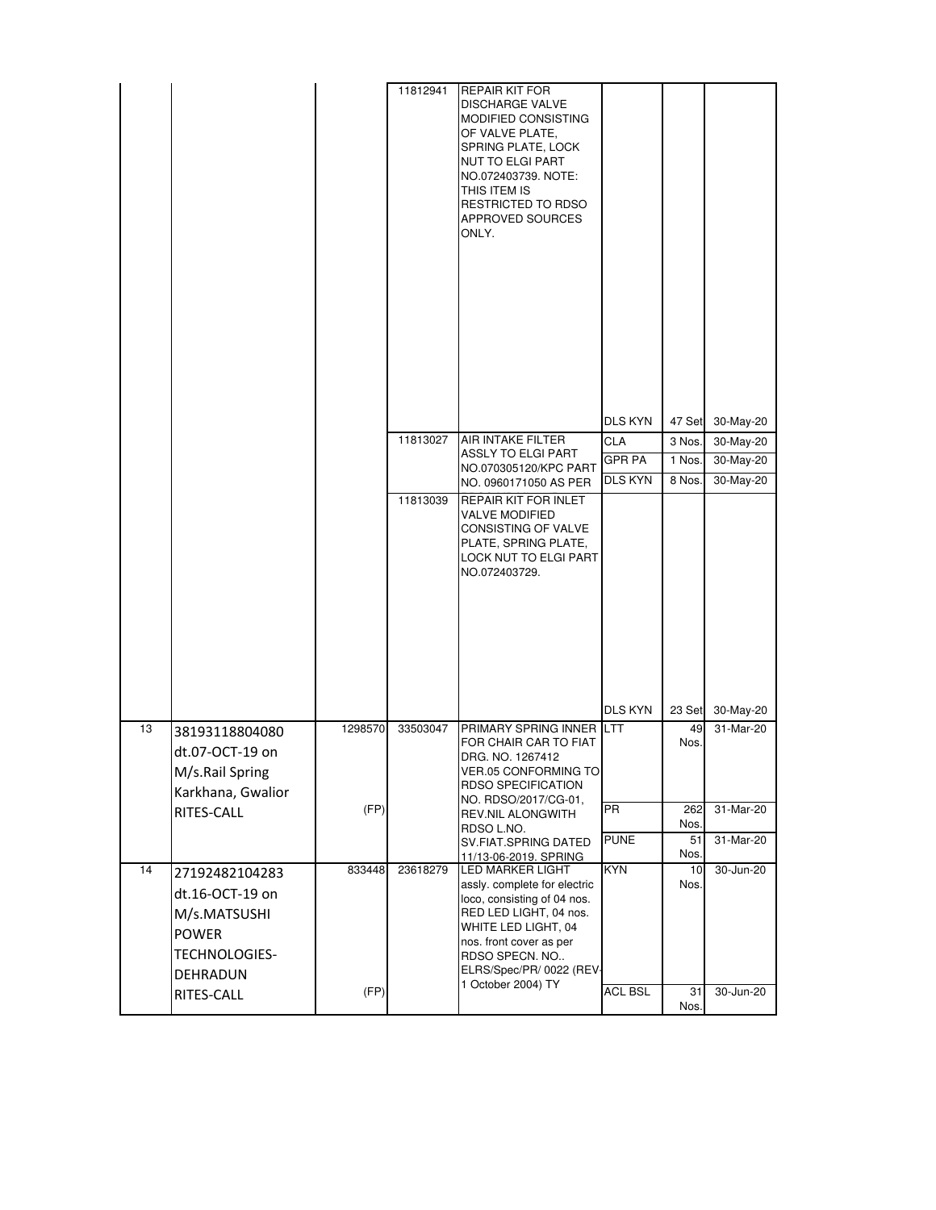|    |                                                                                                              |         | 11812941 | <b>REPAIR KIT FOR</b><br><b>DISCHARGE VALVE</b><br><b>MODIFIED CONSISTING</b><br>OF VALVE PLATE,<br>SPRING PLATE, LOCK<br><b>NUT TO ELGI PART</b><br>NO.072403739. NOTE:<br>THIS ITEM IS<br>RESTRICTED TO RDSO<br><b>APPROVED SOURCES</b><br>ONLY. |                |             |           |
|----|--------------------------------------------------------------------------------------------------------------|---------|----------|----------------------------------------------------------------------------------------------------------------------------------------------------------------------------------------------------------------------------------------------------|----------------|-------------|-----------|
|    |                                                                                                              |         |          |                                                                                                                                                                                                                                                    | DLS KYN        | 47 Set      | 30-May-20 |
|    |                                                                                                              |         | 11813027 | AIR INTAKE FILTER                                                                                                                                                                                                                                  | <b>CLA</b>     | 3 Nos.      | 30-May-20 |
|    |                                                                                                              |         |          | <b>ASSLY TO ELGI PART</b><br>NO.070305120/KPC PART                                                                                                                                                                                                 | <b>GPR PA</b>  | 1 Nos.      | 30-May-20 |
|    |                                                                                                              |         |          | NO. 0960171050 AS PER                                                                                                                                                                                                                              | <b>DLS KYN</b> | 8 Nos.      | 30-May-20 |
|    |                                                                                                              |         | 11813039 | <b>REPAIR KIT FOR INLET</b><br><b>VALVE MODIFIED</b><br>CONSISTING OF VALVE<br>PLATE, SPRING PLATE,<br>LOCK NUT TO ELGI PART<br>NO.072403729.                                                                                                      | <b>DLS KYN</b> | 23 Set      | 30-May-20 |
| 13 | 38193118804080                                                                                               | 1298570 | 33503047 | PRIMARY SPRING INNER LTT                                                                                                                                                                                                                           |                | 49          | 31-Mar-20 |
|    | dt.07-OCT-19 on<br>M/s.Rail Spring<br>Karkhana, Gwalior                                                      |         |          | FOR CHAIR CAR TO FIAT<br>DRG. NO. 1267412<br><b>VER.05 CONFORMING TO</b><br>RDSO SPECIFICATION<br>NO. RDSO/2017/CG-01,                                                                                                                             |                | Nos.        |           |
|    | RITES-CALL                                                                                                   | (FP)    |          | REV.NIL ALONGWITH<br>RDSO L.NO.                                                                                                                                                                                                                    | PR             | 262<br>Nos. | 31-Mar-20 |
|    |                                                                                                              |         |          | SV.FIAT.SPRING DATED                                                                                                                                                                                                                               | <b>PUNE</b>    | 51          | 31-Mar-20 |
| 14 |                                                                                                              | 833448  | 23618279 | 11/13-06-2019. SPRING<br><b>LED MARKER LIGHT</b>                                                                                                                                                                                                   | <b>KYN</b>     | Nos.<br>10  | 30-Jun-20 |
|    | 27192482104283<br>dt.16-OCT-19 on<br>M/s.MATSUSHI<br><b>POWER</b><br>TECHNOLOGIES-<br>DEHRADUN<br>RITES-CALL | (FP)    |          | assly. complete for electric<br>loco, consisting of 04 nos.<br>RED LED LIGHT, 04 nos.<br>WHITE LED LIGHT, 04<br>nos. front cover as per<br>RDSO SPECN. NO<br>ELRS/Spec/PR/ 0022 (REV-<br>1 October 2004) TY                                        | <b>ACL BSL</b> | Nos.<br>31  | 30-Jun-20 |
|    |                                                                                                              |         |          |                                                                                                                                                                                                                                                    |                | Nos.        |           |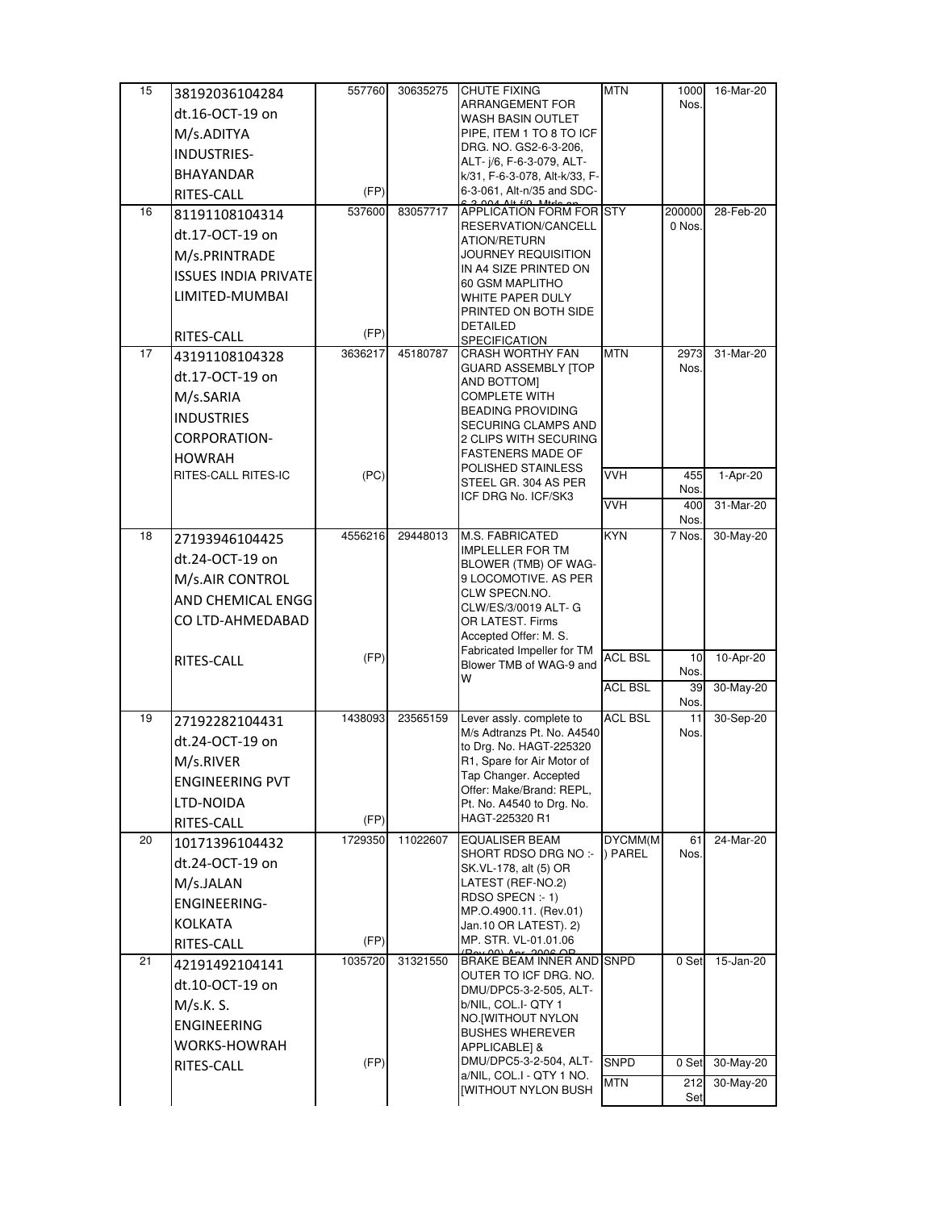| 15 | 38192036104284              | 557760  | 30635275 | <b>CHUTE FIXING</b>                                           | <b>MTN</b>         | 1000           | 16-Mar-20 |
|----|-----------------------------|---------|----------|---------------------------------------------------------------|--------------------|----------------|-----------|
|    | dt.16-OCT-19 on             |         |          | ARRANGEMENT FOR<br>WASH BASIN OUTLET                          |                    | Nos.           |           |
|    | M/s.ADITYA                  |         |          | PIPE, ITEM 1 TO 8 TO ICF                                      |                    |                |           |
|    | INDUSTRIES-                 |         |          | DRG. NO. GS2-6-3-206,                                         |                    |                |           |
|    | <b>BHAYANDAR</b>            |         |          | ALT- $i/6$ , F-6-3-079, ALT-<br>k/31, F-6-3-078, Alt-k/33, F- |                    |                |           |
|    | RITES-CALL                  | (FP)    |          | 6-3-061, Alt-n/35 and SDC-                                    |                    |                |           |
| 16 | 81191108104314              | 537600  | 83057717 | <b>APPLICATION FORM FOR STY</b>                               |                    | 200000         | 28-Feb-20 |
|    | dt.17-OCT-19 on             |         |          | RESERVATION/CANCELL<br>ATION/RETURN                           |                    | 0 Nos.         |           |
|    | M/s.PRINTRADE               |         |          | JOURNEY REQUISITION                                           |                    |                |           |
|    | <b>ISSUES INDIA PRIVATE</b> |         |          | IN A4 SIZE PRINTED ON<br>60 GSM MAPLITHO                      |                    |                |           |
|    | LIMITED-MUMBAI              |         |          | WHITE PAPER DULY                                              |                    |                |           |
|    |                             |         |          | PRINTED ON BOTH SIDE                                          |                    |                |           |
|    | RITES-CALL                  | (FP)    |          | <b>DETAILED</b><br><b>SPECIFICATION</b>                       |                    |                |           |
| 17 | 43191108104328              | 3636217 | 45180787 | <b>CRASH WORTHY FAN</b><br><b>GUARD ASSEMBLY [TOP</b>         | <b>MTN</b>         | 2973<br>Nos.   | 31-Mar-20 |
|    | dt.17-OCT-19 on             |         |          | AND BOTTOM]                                                   |                    |                |           |
|    | M/s.SARIA                   |         |          | <b>COMPLETE WITH</b>                                          |                    |                |           |
|    | <b>INDUSTRIES</b>           |         |          | <b>BEADING PROVIDING</b><br>SECURING CLAMPS AND               |                    |                |           |
|    | CORPORATION-                |         |          | 2 CLIPS WITH SECURING                                         |                    |                |           |
|    | <b>HOWRAH</b>               |         |          | <b>FASTENERS MADE OF</b><br>POLISHED STAINLESS                |                    |                |           |
|    | RITES-CALL RITES-IC         | (PC)    |          | STEEL GR. 304 AS PER                                          | <b>VVH</b>         | 455<br>Nos.    | 1-Apr-20  |
|    |                             |         |          | ICF DRG No. ICF/SK3                                           | <b>VVH</b>         | 400            | 31-Mar-20 |
| 18 |                             | 4556216 | 29448013 | <b>M.S. FABRICATED</b>                                        | <b>KYN</b>         | Nos.<br>7 Nos. | 30-May-20 |
|    | 27193946104425              |         |          | <b>IMPLELLER FOR TM</b>                                       |                    |                |           |
|    | dt.24-OCT-19 on             |         |          | BLOWER (TMB) OF WAG-<br>9 LOCOMOTIVE. AS PER                  |                    |                |           |
|    | M/s.AIR CONTROL             |         |          | CLW SPECN.NO.                                                 |                    |                |           |
|    | AND CHEMICAL ENGG           |         |          | CLW/ES/3/0019 ALT- G                                          |                    |                |           |
|    | CO LTD-AHMEDABAD            |         |          | OR LATEST. Firms<br>Accepted Offer: M. S.                     |                    |                |           |
|    | RITES-CALL                  | (FP)    |          | Fabricated Impeller for TM                                    | <b>ACL BSL</b>     | 10             | 10-Apr-20 |
|    |                             |         |          | Blower TMB of WAG-9 and<br>W                                  |                    | Nos.           |           |
|    |                             |         |          |                                                               | <b>ACL BSL</b>     | 39<br>Nos.     | 30-May-20 |
| 19 | 27192282104431              | 1438093 | 23565159 | Lever assly. complete to                                      | <b>ACL BSL</b>     | 11             | 30-Sep-20 |
|    | dt.24-OCT-19 on             |         |          | M/s Adtranzs Pt. No. A4540<br>to Drg. No. HAGT-225320         |                    | Nos.           |           |
|    | M/s.RIVER                   |         |          | R1, Spare for Air Motor of                                    |                    |                |           |
|    | <b>ENGINEERING PVT</b>      |         |          | Tap Changer. Accepted<br>Offer: Make/Brand: REPL,             |                    |                |           |
|    | LTD-NOIDA                   |         |          | Pt. No. A4540 to Drg. No.                                     |                    |                |           |
|    | RITES-CALL                  | (FP)    |          | HAGT-225320 R1                                                |                    |                |           |
| 20 | 10171396104432              | 1729350 | 11022607 | <b>EQUALISER BEAM</b><br>SHORT RDSO DRG NO :-                 | DYCMM(M<br>) PAREL | 61<br>Nos.     | 24-Mar-20 |
|    | dt.24-OCT-19 on             |         |          | SK.VL-178, alt (5) OR                                         |                    |                |           |
|    | M/s.JALAN                   |         |          | LATEST (REF-NO.2)                                             |                    |                |           |
|    | <b>ENGINEERING-</b>         |         |          | RDSO SPECN :- 1)<br>MP.O.4900.11. (Rev.01)                    |                    |                |           |
|    | <b>KOLKATA</b>              |         |          | Jan.10 OR LATEST). 2)                                         |                    |                |           |
|    | RITES-CALL                  | (FP)    |          | MP. STR. VL-01.01.06                                          |                    |                |           |
| 21 | 42191492104141              | 1035720 | 31321550 | <b>BRAKE BEAM INNER AND</b><br>OUTER TO ICF DRG. NO.          | <b>SNPD</b>        | 0 Set          | 15-Jan-20 |
|    | dt.10-OCT-19 on             |         |          | DMU/DPC5-3-2-505, ALT-                                        |                    |                |           |
|    | M/s.K.S.                    |         |          | b/NIL, COL.I- QTY 1                                           |                    |                |           |
|    | ENGINEERING                 |         |          | NO.[WITHOUT NYLON<br><b>BUSHES WHEREVER</b>                   |                    |                |           |
|    | WORKS-HOWRAH                |         |          | APPLICABLE] &                                                 |                    |                |           |
|    | RITES-CALL                  | (FP)    |          | DMU/DPC5-3-2-504, ALT-<br>a/NIL, COL.I - QTY 1 NO.            | <b>SNPD</b>        | 0 Set          | 30-May-20 |
|    |                             |         |          | <b>IWITHOUT NYLON BUSH</b>                                    | <b>MTN</b>         | 212<br>Set     | 30-May-20 |
|    |                             |         |          |                                                               |                    |                |           |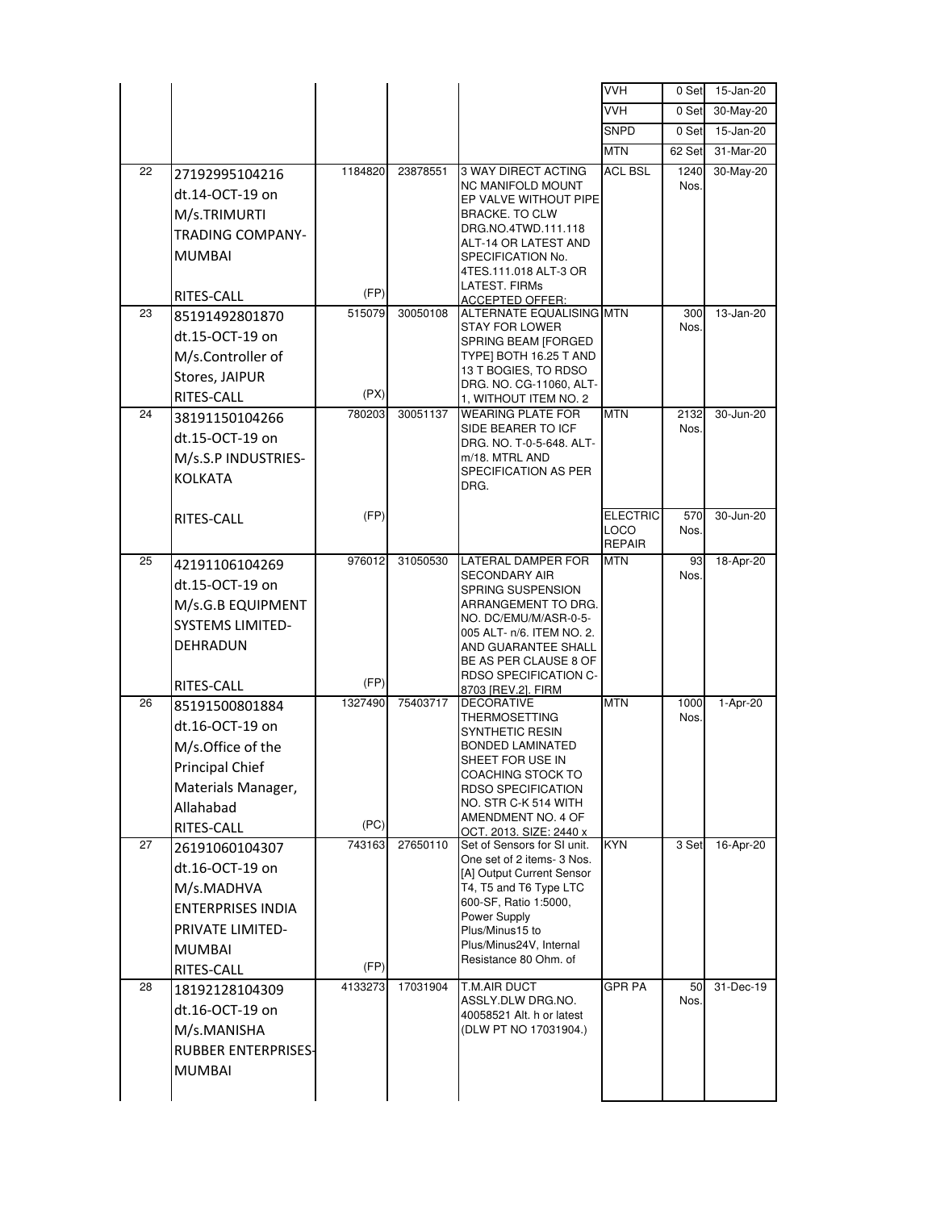|    |                            |         |          |                                                           | <b>VVH</b>                     | 0 Set        | 15-Jan-20 |
|----|----------------------------|---------|----------|-----------------------------------------------------------|--------------------------------|--------------|-----------|
|    |                            |         |          |                                                           | <b>VVH</b>                     | 0 Set        | 30-May-20 |
|    |                            |         |          |                                                           | <b>SNPD</b>                    | 0 Set        | 15-Jan-20 |
|    |                            |         |          |                                                           | <b>MTN</b>                     | 62 Set       | 31-Mar-20 |
| 22 | 27192995104216             | 1184820 | 23878551 | <b>3 WAY DIRECT ACTING</b>                                | <b>ACL BSL</b>                 | 1240         | 30-May-20 |
|    | dt.14-OCT-19 on            |         |          | <b>NC MANIFOLD MOUNT</b><br>EP VALVE WITHOUT PIPE         |                                | Nos.         |           |
|    | M/s.TRIMURTI               |         |          | <b>BRACKE. TO CLW</b>                                     |                                |              |           |
|    | <b>TRADING COMPANY-</b>    |         |          | DRG.NO.4TWD.111.118<br>ALT-14 OR LATEST AND               |                                |              |           |
|    | <b>MUMBAI</b>              |         |          | SPECIFICATION No.                                         |                                |              |           |
|    |                            |         |          | 4TES.111.018 ALT-3 OR                                     |                                |              |           |
|    | RITES-CALL                 | (FP)    |          | LATEST. FIRMs<br><b>ACCEPTED OFFER:</b>                   |                                |              |           |
| 23 | 85191492801870             | 515079  | 30050108 | ALTERNATE EQUALISING MTN                                  |                                | 300          | 13-Jan-20 |
|    | dt.15-OCT-19 on            |         |          | <b>STAY FOR LOWER</b><br>SPRING BEAM [FORGED              |                                | Nos.         |           |
|    | M/s.Controller of          |         |          | TYPE] BOTH 16.25 T AND                                    |                                |              |           |
|    | Stores, JAIPUR             |         |          | 13 T BOGIES, TO RDSO<br>DRG. NO. CG-11060, ALT-           |                                |              |           |
|    | RITES-CALL                 | (PX)    |          | 1, WITHOUT ITEM NO. 2                                     |                                |              |           |
| 24 | 38191150104266             | 780203  | 30051137 | <b>WEARING PLATE FOR</b><br>SIDE BEARER TO ICF            | <b>MTN</b>                     | 2132<br>Nos. | 30-Jun-20 |
|    | dt.15-OCT-19 on            |         |          | DRG. NO. T-0-5-648. ALT-                                  |                                |              |           |
|    | M/s.S.P INDUSTRIES-        |         |          | m/18. MTRL AND                                            |                                |              |           |
|    | <b>KOLKATA</b>             |         |          | SPECIFICATION AS PER<br>DRG.                              |                                |              |           |
|    |                            |         |          |                                                           |                                |              |           |
|    | RITES-CALL                 | (FP)    |          |                                                           | <b>ELECTRIC</b><br><b>LOCO</b> | 570<br>Nos.  | 30-Jun-20 |
|    |                            |         |          |                                                           | <b>REPAIR</b>                  |              |           |
| 25 | 42191106104269             | 976012  | 31050530 | LATERAL DAMPER FOR                                        | <b>MTN</b>                     | 93           | 18-Apr-20 |
|    | dt.15-OCT-19 on            |         |          | <b>SECONDARY AIR</b><br>SPRING SUSPENSION                 |                                | Nos.         |           |
|    | M/s.G.B EQUIPMENT          |         |          | ARRANGEMENT TO DRG.                                       |                                |              |           |
|    | <b>SYSTEMS LIMITED-</b>    |         |          | NO. DC/EMU/M/ASR-0-5-<br>005 ALT- n/6. ITEM NO. 2.        |                                |              |           |
|    | DEHRADUN                   |         |          | AND GUARANTEE SHALL                                       |                                |              |           |
|    |                            |         |          | BE AS PER CLAUSE 8 OF                                     |                                |              |           |
|    | RITES-CALL                 | (FP)    |          | RDSO SPECIFICATION C-<br>8703 [REV.2]. FIRM               |                                |              |           |
| 26 | 85191500801884             | 1327490 | 75403717 | <b>DECORATIVE</b>                                         | <b>MTN</b>                     | 1000         | 1-Apr-20  |
|    | dt.16-OCT-19 on            |         |          | <b>THERMOSETTING</b><br>SYNTHETIC RESIN                   |                                | Nos.         |           |
|    | M/s.Office of the          |         |          | <b>BONDED LAMINATED</b>                                   |                                |              |           |
|    | Principal Chief            |         |          | SHEET FOR USE IN<br>COACHING STOCK TO                     |                                |              |           |
|    | Materials Manager,         |         |          | <b>RDSO SPECIFICATION</b>                                 |                                |              |           |
|    | Allahabad                  |         |          | NO. STR C-K 514 WITH<br>AMENDMENT NO. 4 OF                |                                |              |           |
|    | RITES-CALL                 | (PC)    |          | OCT. 2013. SIZE: 2440 x                                   |                                |              |           |
| 27 | 26191060104307             | 743163  | 27650110 | Set of Sensors for SI unit.<br>One set of 2 items- 3 Nos. | <b>KYN</b>                     | 3 Set        | 16-Apr-20 |
|    | dt.16-OCT-19 on            |         |          | [A] Output Current Sensor                                 |                                |              |           |
|    | M/s.MADHVA                 |         |          | T4, T5 and T6 Type LTC                                    |                                |              |           |
|    | <b>ENTERPRISES INDIA</b>   |         |          | 600-SF, Ratio 1:5000,<br>Power Supply                     |                                |              |           |
|    | PRIVATE LIMITED-           |         |          | Plus/Minus15 to                                           |                                |              |           |
|    | <b>MUMBAI</b>              |         |          | Plus/Minus24V, Internal<br>Resistance 80 Ohm. of          |                                |              |           |
|    | RITES-CALL                 | (FP)    |          |                                                           |                                |              |           |
| 28 | 18192128104309             | 4133273 | 17031904 | T.M.AIR DUCT<br>ASSLY.DLW DRG.NO.                         | <b>GPR PA</b>                  | 50<br>Nos.   | 31-Dec-19 |
|    | dt.16-OCT-19 on            |         |          | 40058521 Alt. h or latest                                 |                                |              |           |
|    | M/s.MANISHA                |         |          | (DLW PT NO 17031904.)                                     |                                |              |           |
|    | <b>RUBBER ENTERPRISES-</b> |         |          |                                                           |                                |              |           |
|    | <b>MUMBAI</b>              |         |          |                                                           |                                |              |           |
|    |                            |         |          |                                                           |                                |              |           |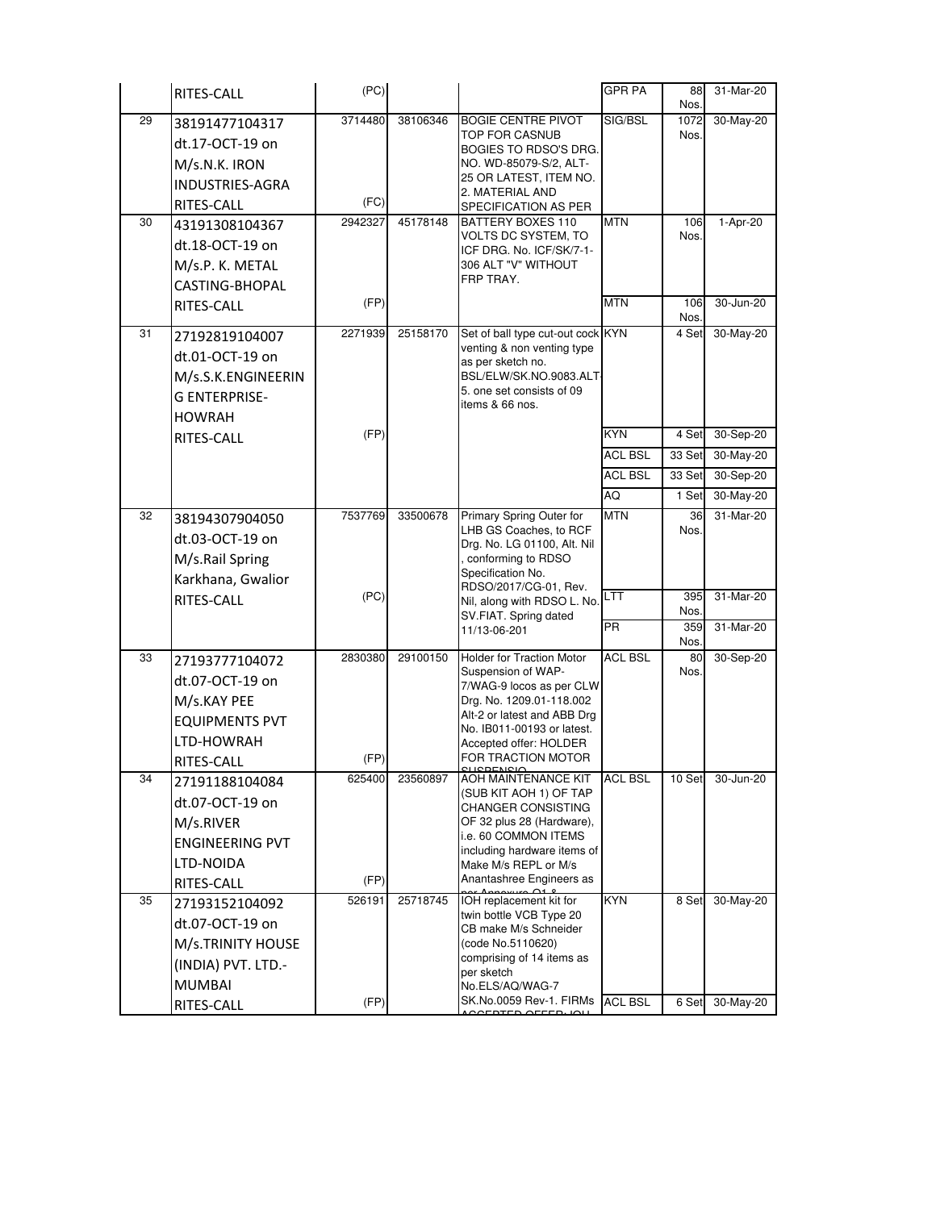|    | RITES-CALL                                                                                                  | (PC)            |          |                                                                                                                                                                                                                             | <b>GPR PA</b>                | 88<br>Nos.     | 31-Mar-20              |
|----|-------------------------------------------------------------------------------------------------------------|-----------------|----------|-----------------------------------------------------------------------------------------------------------------------------------------------------------------------------------------------------------------------------|------------------------------|----------------|------------------------|
| 29 | 38191477104317<br>dt.17-OCT-19 on<br>M/s.N.K. IRON<br>INDUSTRIES-AGRA<br>RITES-CALL                         | 3714480<br>(FC) | 38106346 | <b>BOGIE CENTRE PIVOT</b><br>TOP FOR CASNUB<br>BOGIES TO RDSO'S DRG.<br>NO. WD-85079-S/2, ALT-<br>25 OR LATEST, ITEM NO.<br>2. MATERIAL AND<br>SPECIFICATION AS PER                                                         | SIG/BSL                      | 1072<br>Nos.   | 30-May-20              |
| 30 | 43191308104367<br>dt.18-OCT-19 on<br>M/s.P. K. METAL<br>CASTING-BHOPAL                                      | 2942327         | 45178148 | BATTERY BOXES 110<br>VOLTS DC SYSTEM, TO<br>ICF DRG. No. ICF/SK/7-1-<br>306 ALT "V" WITHOUT<br>FRP TRAY.                                                                                                                    | <b>MTN</b>                   | 106<br>Nos.    | 1-Apr-20               |
|    | RITES-CALL                                                                                                  | (FP)            |          |                                                                                                                                                                                                                             | <b>MTN</b>                   | 106<br>Nos.    | 30-Jun-20              |
| 31 | 27192819104007<br>dt.01-OCT-19 on<br>M/s.S.K.ENGINEERIN<br><b>G ENTERPRISE-</b><br><b>HOWRAH</b>            | 2271939         | 25158170 | Set of ball type cut-out cock KYN<br>venting & non venting type<br>as per sketch no.<br>BSL/ELW/SK.NO.9083.ALT<br>5. one set consists of 09<br>items & 66 nos.                                                              |                              | 4 Set          | 30-May-20              |
|    | RITES-CALL                                                                                                  | (FP)            |          |                                                                                                                                                                                                                             | <b>KYN</b>                   | 4 Set          | 30-Sep-20              |
|    |                                                                                                             |                 |          |                                                                                                                                                                                                                             | <b>ACL BSL</b>               | 33 Set         | 30-May-20              |
|    |                                                                                                             |                 |          |                                                                                                                                                                                                                             | <b>ACL BSL</b>               | 33 Set         | 30-Sep-20              |
| 32 |                                                                                                             | 7537769         | 33500678 | Primary Spring Outer for                                                                                                                                                                                                    | <b>AQ</b><br><b>MTN</b>      | 1 Set          | 30-May-20<br>31-Mar-20 |
|    | 38194307904050<br>dt.03-OCT-19 on<br>M/s.Rail Spring<br>Karkhana, Gwalior                                   |                 |          | LHB GS Coaches, to RCF<br>Drg. No. LG 01100, Alt. Nil<br>conforming to RDSO<br>Specification No.<br>RDSO/2017/CG-01, Rev.                                                                                                   |                              | 36<br>Nos.     |                        |
|    | RITES-CALL                                                                                                  | (PC)            |          | Nil, along with RDSO L. No. LTT<br>SV.FIAT. Spring dated                                                                                                                                                                    |                              | 395<br>Nos.    | 31-Mar-20              |
|    |                                                                                                             |                 |          | 11/13-06-201                                                                                                                                                                                                                | <b>PR</b>                    | 359<br>Nos.    | 31-Mar-20              |
| 33 | 27193777104072<br>dt.07-OCT-19 on<br>M/s.KAY PEE<br><b>EQUIPMENTS PVT</b><br>LTD-HOWRAH<br>RITES-CALL       | 2830380<br>(FP) | 29100150 | <b>Holder for Traction Motor</b><br>Suspension of WAP-<br>7/WAG-9 locos as per CLW<br>Drg. No. 1209.01-118.002<br>Alt-2 or latest and ABB Drg<br>No. IB011-00193 or latest.<br>Accepted offer: HOLDER<br>FOR TRACTION MOTOR | <b>ACL BSL</b>               | 80<br>Nos.     | 30-Sep-20              |
| 34 | 27191188104084<br>dt.07-OCT-19 on<br>M/s.RIVER<br><b>ENGINEERING PVT</b><br>LTD-NOIDA<br>RITES-CALL         | 625400<br>(FP)  | 23560897 | AOH MAINTENANCE KIT<br>(SUB KIT AOH 1) OF TAP<br>CHANGER CONSISTING<br>OF 32 plus 28 (Hardware),<br>i.e. 60 COMMON ITEMS<br>including hardware items of<br>Make M/s REPL or M/s<br>Anantashree Engineers as                 | <b>ACL BSL</b>               | 10 Set         | 30-Jun-20              |
| 35 | 27193152104092<br>dt.07-OCT-19 on<br>M/s.TRINITY HOUSE<br>(INDIA) PVT. LTD.-<br><b>MUMBAI</b><br>RITES-CALL | 526191<br>(FP)  | 25718745 | IOH replacement kit for<br>twin bottle VCB Type 20<br>CB make M/s Schneider<br>(code No.5110620)<br>comprising of 14 items as<br>per sketch<br>No.ELS/AQ/WAG-7<br>SK.No.0059 Rev-1. FIRMs<br><u>AEDIED AEEED. IC</u>        | <b>KYN</b><br><b>ACL BSL</b> | 8 Set<br>6 Set | 30-May-20<br>30-May-20 |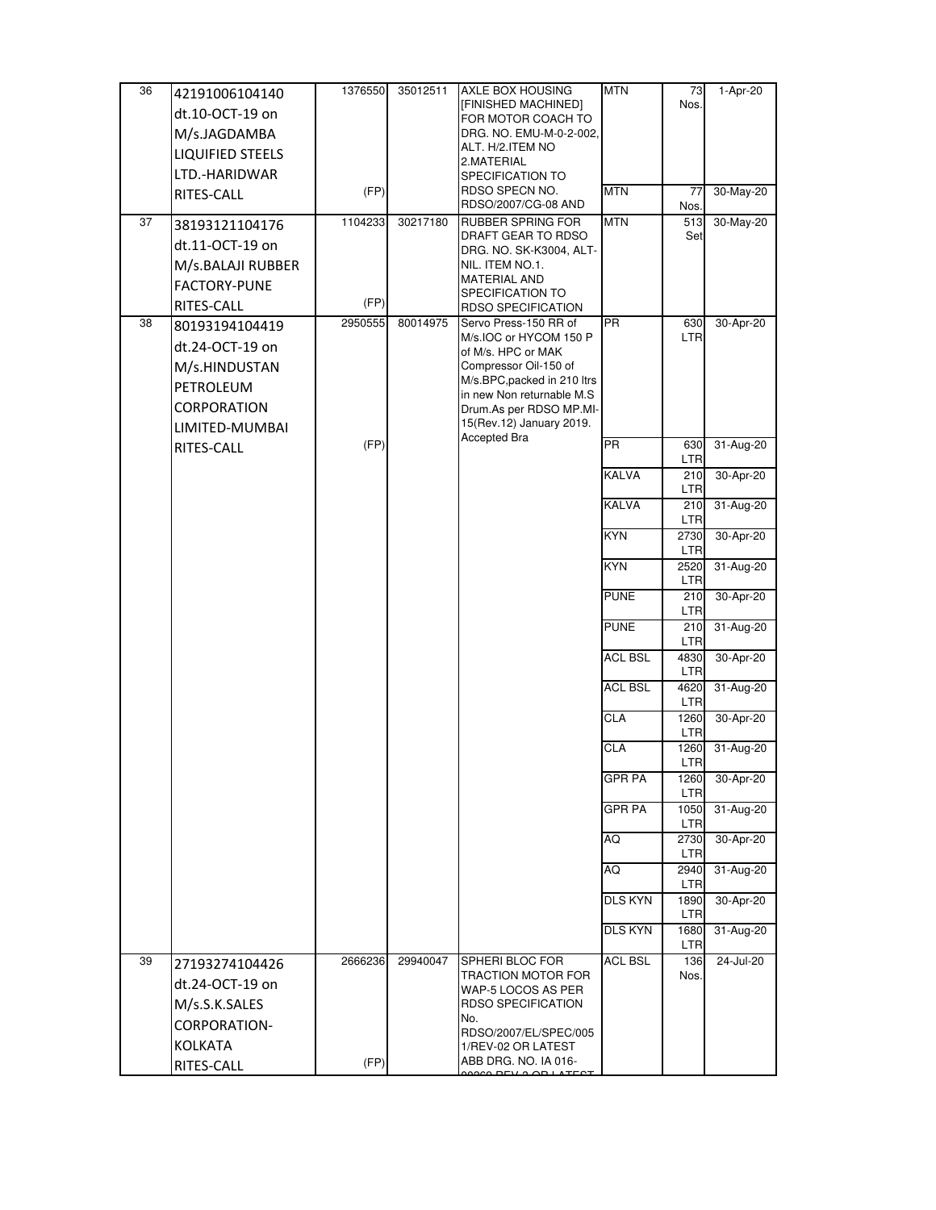| 36 | 42191006104140          | 1376550 | 35012511 | <b>AXLE BOX HOUSING</b>                              | <b>MTN</b>      | 73                 | 1-Apr-20  |
|----|-------------------------|---------|----------|------------------------------------------------------|-----------------|--------------------|-----------|
|    | dt.10-OCT-19 on         |         |          | [FINISHED MACHINED]                                  |                 | Nos.               |           |
|    |                         |         |          | FOR MOTOR COACH TO<br>DRG. NO. EMU-M-0-2-002,        |                 |                    |           |
|    | M/s.JAGDAMBA            |         |          | ALT. H/2.ITEM NO                                     |                 |                    |           |
|    | <b>LIQUIFIED STEELS</b> |         |          | 2.MATERIAL                                           |                 |                    |           |
|    | LTD.-HARIDWAR           |         |          | SPECIFICATION TO                                     |                 |                    |           |
|    | RITES-CALL              | (FP)    |          | RDSO SPECN NO.                                       | <b>MTN</b>      | 77                 | 30-May-20 |
| 37 |                         | 1104233 | 30217180 | RDSO/2007/CG-08 AND<br><b>RUBBER SPRING FOR</b>      | <b>MTN</b>      | Nos.               | 30-May-20 |
|    | 38193121104176          |         |          | DRAFT GEAR TO RDSO                                   |                 | 513<br>Set         |           |
|    | dt.11-OCT-19 on         |         |          | DRG. NO. SK-K3004, ALT-                              |                 |                    |           |
|    | M/s.BALAJI RUBBER       |         |          | NIL. ITEM NO.1.                                      |                 |                    |           |
|    | FACTORY-PUNE            |         |          | <b>MATERIAL AND</b>                                  |                 |                    |           |
|    | RITES-CALL              | (FP)    |          | SPECIFICATION TO<br><b>RDSO SPECIFICATION</b>        |                 |                    |           |
| 38 | 80193194104419          | 2950555 | 80014975 | Servo Press-150 RR of                                | $\overline{PR}$ | 630                | 30-Apr-20 |
|    | dt.24-OCT-19 on         |         |          | M/s.IOC or HYCOM 150 P                               |                 | <b>LTR</b>         |           |
|    |                         |         |          | of M/s. HPC or MAK                                   |                 |                    |           |
|    | M/s.HINDUSTAN           |         |          | Compressor Oil-150 of<br>M/s.BPC, packed in 210 ltrs |                 |                    |           |
|    | PETROLEUM               |         |          | in new Non returnable M.S.                           |                 |                    |           |
|    | CORPORATION             |         |          | Drum.As per RDSO MP.MI-                              |                 |                    |           |
|    | LIMITED-MUMBAI          |         |          | 15(Rev.12) January 2019.                             |                 |                    |           |
|    | RITES-CALL              | (FP)    |          | Accepted Bra                                         | $\overline{PR}$ | 630<br>LTR         | 31-Aug-20 |
|    |                         |         |          |                                                      | KALVA           | 210                | 30-Apr-20 |
|    |                         |         |          |                                                      | <b>KALVA</b>    | <b>LTR</b>         | 31-Aug-20 |
|    |                         |         |          |                                                      |                 | 210<br><b>LTR</b>  |           |
|    |                         |         |          |                                                      | <b>KYN</b>      | 2730<br>LTR        | 30-Apr-20 |
|    |                         |         |          |                                                      | KYN             | 2520<br>LTR        | 31-Aug-20 |
|    |                         |         |          |                                                      | <b>PUNE</b>     | 210                | 30-Apr-20 |
|    |                         |         |          |                                                      | <b>PUNE</b>     | LTR<br>210         | 31-Aug-20 |
|    |                         |         |          |                                                      |                 | <b>LTR</b>         |           |
|    |                         |         |          |                                                      | <b>ACL BSL</b>  | 4830<br>LTR        | 30-Apr-20 |
|    |                         |         |          |                                                      | <b>ACL BSL</b>  | 4620<br><b>LTR</b> | 31-Aug-20 |
|    |                         |         |          |                                                      | <b>CLA</b>      | 1260<br><b>LTR</b> | 30-Apr-20 |
|    |                         |         |          |                                                      | CLA             | 1260               | 31-Aug-20 |
|    |                         |         |          |                                                      | <b>GPR PA</b>   | <b>LTR</b><br>1260 | 30-Apr-20 |
|    |                         |         |          |                                                      |                 | <b>LTR</b>         |           |
|    |                         |         |          |                                                      | <b>GPR PA</b>   | 1050<br><b>LTR</b> | 31-Aug-20 |
|    |                         |         |          |                                                      | AQ              | 2730               | 30-Apr-20 |
|    |                         |         |          |                                                      |                 | <b>LTR</b>         |           |
|    |                         |         |          |                                                      | AQ              | 2940<br>LTR        | 31-Aug-20 |
|    |                         |         |          |                                                      | <b>DLS KYN</b>  | 1890<br>LTR        | 30-Apr-20 |
|    |                         |         |          |                                                      | <b>DLS KYN</b>  | 1680<br>LTR        | 31-Aug-20 |
| 39 | 27193274104426          | 2666236 | 29940047 | SPHERI BLOC FOR                                      | <b>ACL BSL</b>  | 136                | 24-Jul-20 |
|    | dt.24-OCT-19 on         |         |          | <b>TRACTION MOTOR FOR</b><br>WAP-5 LOCOS AS PER      |                 | Nos.               |           |
|    | M/s.S.K.SALES           |         |          | RDSO SPECIFICATION                                   |                 |                    |           |
|    | CORPORATION-            |         |          | No.                                                  |                 |                    |           |
|    | <b>KOLKATA</b>          |         |          | RDSO/2007/EL/SPEC/005                                |                 |                    |           |
|    |                         | (FP)    |          | 1/REV-02 OR LATEST<br>ABB DRG. NO. IA 016-           |                 |                    |           |
|    | RITES-CALL              |         |          | 0000 DEV 2 OD LATECT                                 |                 |                    |           |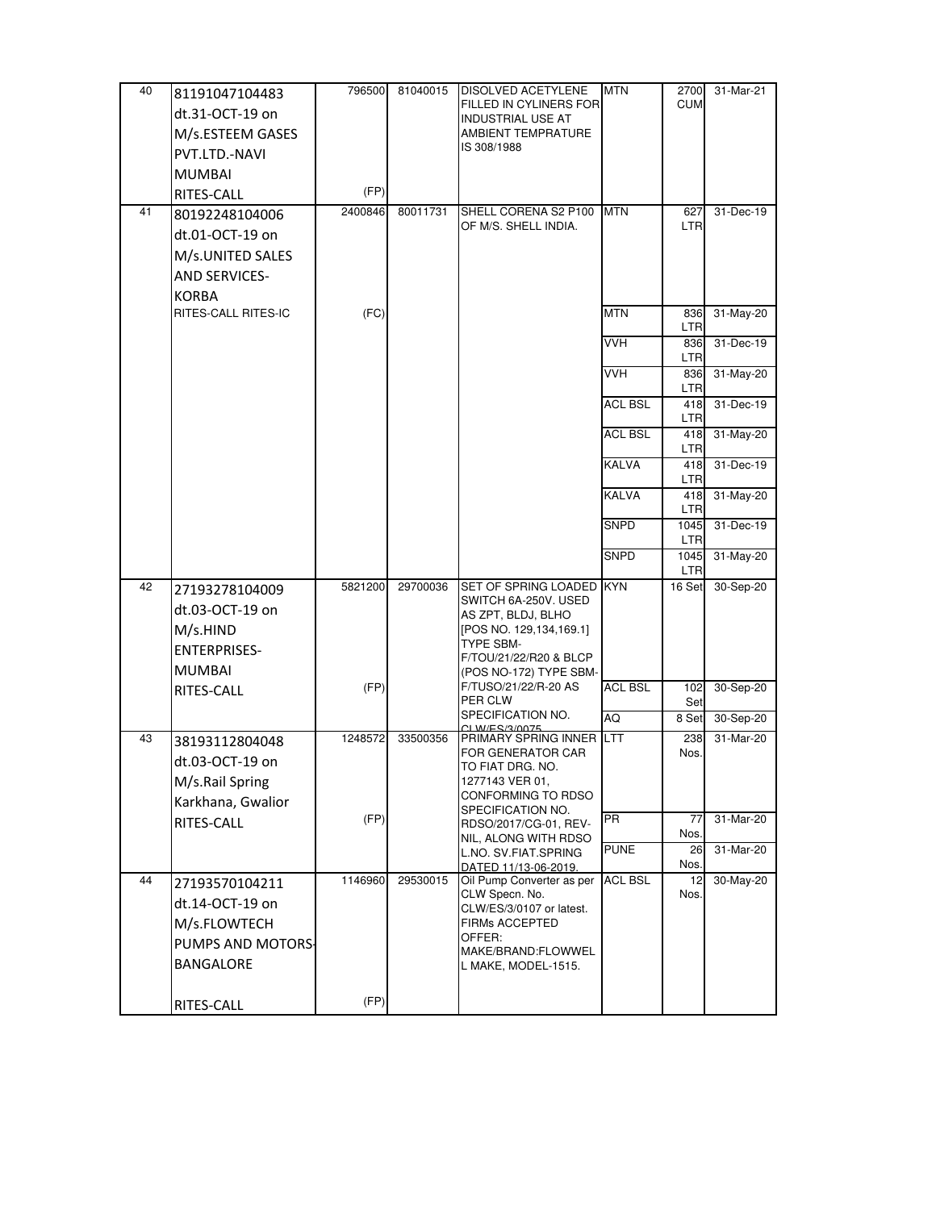| 40 | 81191047104483                      | 796500  | 81040015 | <b>DISOLVED ACETYLENE</b>                          | <b>MTN</b>     | 2700               | 31-Mar-21 |
|----|-------------------------------------|---------|----------|----------------------------------------------------|----------------|--------------------|-----------|
|    | dt.31-OCT-19 on                     |         |          | FILLED IN CYLINERS FOR<br><b>INDUSTRIAL USE AT</b> |                | <b>CUM</b>         |           |
|    | M/s.ESTEEM GASES                    |         |          | AMBIENT TEMPRATURE                                 |                |                    |           |
|    | PVT.LTD.-NAVI                       |         |          | IS 308/1988                                        |                |                    |           |
|    | <b>MUMBAI</b>                       |         |          |                                                    |                |                    |           |
|    | RITES-CALL                          | (FP)    |          |                                                    |                |                    |           |
| 41 | 80192248104006                      | 2400846 | 80011731 | SHELL CORENA S2 P100                               | <b>MTN</b>     | 627                | 31-Dec-19 |
|    | dt.01-OCT-19 on                     |         |          | OF M/S. SHELL INDIA.                               |                | <b>LTR</b>         |           |
|    | M/s.UNITED SALES                    |         |          |                                                    |                |                    |           |
|    | <b>AND SERVICES-</b>                |         |          |                                                    |                |                    |           |
|    |                                     |         |          |                                                    |                |                    |           |
|    | <b>KORBA</b><br>RITES-CALL RITES-IC | (FC)    |          |                                                    | <b>MTN</b>     | 836                | 31-May-20 |
|    |                                     |         |          |                                                    |                | <b>LTR</b>         |           |
|    |                                     |         |          |                                                    | <b>VVH</b>     | 836                | 31-Dec-19 |
|    |                                     |         |          |                                                    | <b>VVH</b>     | LTR<br>836         | 31-May-20 |
|    |                                     |         |          |                                                    |                | LTR                |           |
|    |                                     |         |          |                                                    | <b>ACL BSL</b> | 418<br><b>LTR</b>  | 31-Dec-19 |
|    |                                     |         |          |                                                    | <b>ACL BSL</b> | 418                | 31-May-20 |
|    |                                     |         |          |                                                    |                | <b>LTR</b>         |           |
|    |                                     |         |          |                                                    | <b>KALVA</b>   | 418<br><b>LTR</b>  | 31-Dec-19 |
|    |                                     |         |          |                                                    | <b>KALVA</b>   | 418<br><b>LTR</b>  | 31-May-20 |
|    |                                     |         |          |                                                    | <b>SNPD</b>    | 1045<br><b>LTR</b> | 31-Dec-19 |
|    |                                     |         |          |                                                    | <b>SNPD</b>    | 1045<br><b>LTR</b> | 31-May-20 |
| 42 | 27193278104009                      | 5821200 | 29700036 | SET OF SPRING LOADED KYN                           |                | 16 Set             | 30-Sep-20 |
|    | dt.03-OCT-19 on                     |         |          | SWITCH 6A-250V. USED                               |                |                    |           |
|    | M/s.HIND                            |         |          | AS ZPT, BLDJ, BLHO<br>[POS NO. 129,134,169.1]      |                |                    |           |
|    |                                     |         |          | <b>TYPE SBM-</b>                                   |                |                    |           |
|    | <b>ENTERPRISES-</b>                 |         |          | F/TOU/21/22/R20 & BLCP                             |                |                    |           |
|    | <b>MUMBAI</b>                       | (FP)    |          | (POS NO-172) TYPE SBM-<br>F/TUSO/21/22/R-20 AS     | <b>ACL BSL</b> | 102                | 30-Sep-20 |
|    | RITES-CALL                          |         |          | PER CLW                                            |                | Set                |           |
|    |                                     |         |          | SPECIFICATION NO.<br>CLW/ES/3/0075                 | AQ             | 8 Set              | 30-Sep-20 |
| 43 | 38193112804048                      | 1248572 | 33500356 | PRIMARY SPRING INNER LTT                           |                | 238                | 31-Mar-20 |
|    | dt.03-OCT-19 on                     |         |          | FOR GENERATOR CAR<br>TO FIAT DRG. NO.              |                | Nos.               |           |
|    | M/s.Rail Spring                     |         |          | 1277143 VER 01,                                    |                |                    |           |
|    | Karkhana, Gwalior                   |         |          | CONFORMING TO RDSO                                 |                |                    |           |
|    | RITES-CALL                          | (FP)    |          | SPECIFICATION NO.<br>RDSO/2017/CG-01, REV-         | <b>PR</b>      | 77                 | 31-Mar-20 |
|    |                                     |         |          | NIL, ALONG WITH RDSO                               | <b>PUNE</b>    | Nos.               | 31-Mar-20 |
|    |                                     |         |          | L.NO. SV.FIAT.SPRING<br>DATED 11/13-06-2019.       |                | 26<br>Nos.         |           |
| 44 | 27193570104211                      | 1146960 | 29530015 | Oil Pump Converter as per                          | <b>ACL BSL</b> | 12                 | 30-May-20 |
|    | dt.14-OCT-19 on                     |         |          | CLW Specn. No.<br>CLW/ES/3/0107 or latest.         |                | Nos.               |           |
|    | M/s.FLOWTECH                        |         |          | <b>FIRMs ACCEPTED</b>                              |                |                    |           |
|    | PUMPS AND MOTORS-                   |         |          | OFFER:                                             |                |                    |           |
|    | <b>BANGALORE</b>                    |         |          | MAKE/BRAND:FLOWWEL<br>L MAKE, MODEL-1515.          |                |                    |           |
|    |                                     |         |          |                                                    |                |                    |           |
|    | RITES-CALL                          | (FP)    |          |                                                    |                |                    |           |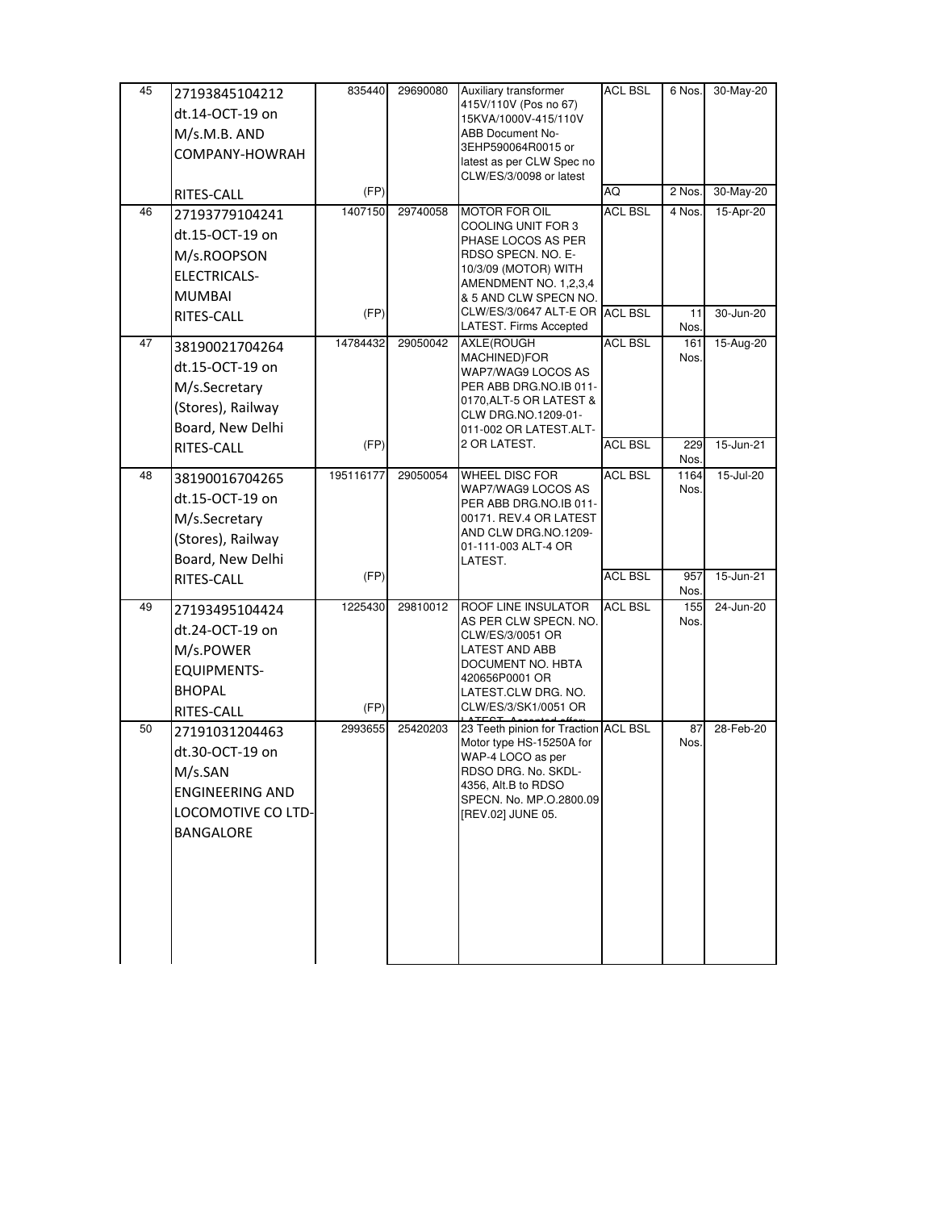| 45 | 27193845104212<br>dt.14-OCT-19 on<br>M/s.M.B. AND<br>COMPANY-HOWRAH                                       | 835440          | 29690080 | Auxiliary transformer<br>415V/110V (Pos no 67)<br>15KVA/1000V-415/110V<br>ABB Document No-<br>3EHP590064R0015 or<br>latest as per CLW Spec no<br>CLW/ES/3/0098 or latest                                                     | ACL BSL        | 6 Nos.               | 30-May-20              |
|----|-----------------------------------------------------------------------------------------------------------|-----------------|----------|------------------------------------------------------------------------------------------------------------------------------------------------------------------------------------------------------------------------------|----------------|----------------------|------------------------|
|    | RITES-CALL                                                                                                | (FP)            |          |                                                                                                                                                                                                                              | AQ             | 2 Nos.               | 30-May-20              |
| 46 | 27193779104241<br>dt.15-OCT-19 on<br>M/s.ROOPSON<br><b>ELECTRICALS-</b><br><b>MUMBAI</b><br>RITES-CALL    | 1407150<br>(FP) | 29740058 | <b>MOTOR FOR OIL</b><br>COOLING UNIT FOR 3<br>PHASE LOCOS AS PER<br>RDSO SPECN. NO. E-<br>10/3/09 (MOTOR) WITH<br>AMENDMENT NO. 1,2,3,4<br>& 5 AND CLW SPECN NO.<br>CLW/ES/3/0647 ALT-E OR ACL BSL<br>LATEST. Firms Accepted | <b>ACL BSL</b> | 4 Nos.<br>11<br>Nos. | 15-Apr-20<br>30-Jun-20 |
| 47 | 38190021704264<br>dt.15-OCT-19 on<br>M/s.Secretary<br>(Stores), Railway<br>Board, New Delhi               | 14784432        | 29050042 | AXLE(ROUGH<br>MACHINED)FOR<br>WAP7/WAG9 LOCOS AS<br>PER ABB DRG.NO.IB 011-<br>0170, ALT-5 OR LATEST &<br>CLW DRG.NO.1209-01-<br>011-002 OR LATEST.ALT-<br>2 OR LATEST.                                                       | <b>ACL BSL</b> | 161<br>Nos.          | 15-Aug-20              |
|    | RITES-CALL                                                                                                | (FP)            |          |                                                                                                                                                                                                                              | <b>ACL BSL</b> | 229<br>Nos.          | 15-Jun-21              |
| 48 | 38190016704265<br>dt.15-OCT-19 on<br>M/s.Secretary<br>(Stores), Railway<br>Board, New Delhi               | 195116177       | 29050054 | WHEEL DISC FOR<br>WAP7/WAG9 LOCOS AS<br>PER ABB DRG.NO.IB 011-<br>00171. REV.4 OR LATEST<br>AND CLW DRG.NO.1209-<br>01-111-003 ALT-4 OR<br>LATEST.                                                                           | <b>ACL BSL</b> | 1164<br>Nos.         | 15-Jul-20              |
|    | RITES-CALL                                                                                                | (FP)            |          |                                                                                                                                                                                                                              | <b>ACL BSL</b> | 957<br>Nos.          | 15-Jun-21              |
| 49 | 27193495104424<br>dt.24-OCT-19 on<br>M/s.POWER<br><b>EQUIPMENTS-</b><br><b>BHOPAL</b><br>RITES-CALL       | 1225430<br>(FP) | 29810012 | ROOF LINE INSULATOR<br>AS PER CLW SPECN. NO.<br>CLW/ES/3/0051 OR<br>LATEST AND ABB<br>DOCUMENT NO. HBTA<br>420656P0001 OR<br>LATEST CLW DRG. NO.<br>CLW/ES/3/SK1/0051 OR                                                     | <b>ACL BSL</b> | 155<br>Nos.          | 24-Jun-20              |
| 50 | 27191031204463<br>dt.30-OCT-19 on<br>M/s.SAN<br><b>ENGINEERING AND</b><br>LOCOMOTIVE CO LTD-<br>BANGALORE | 2993655         | 25420203 | 23 Teeth pinion for Traction ACL BSL<br>Motor type HS-15250A for<br>WAP-4 LOCO as per<br>RDSO DRG. No. SKDL-<br>4356, Alt.B to RDSO<br>SPECN. No. MP.O.2800.09<br>[REV.02] JUNE 05.                                          |                | 87<br>Nos.           | 28-Feb-20              |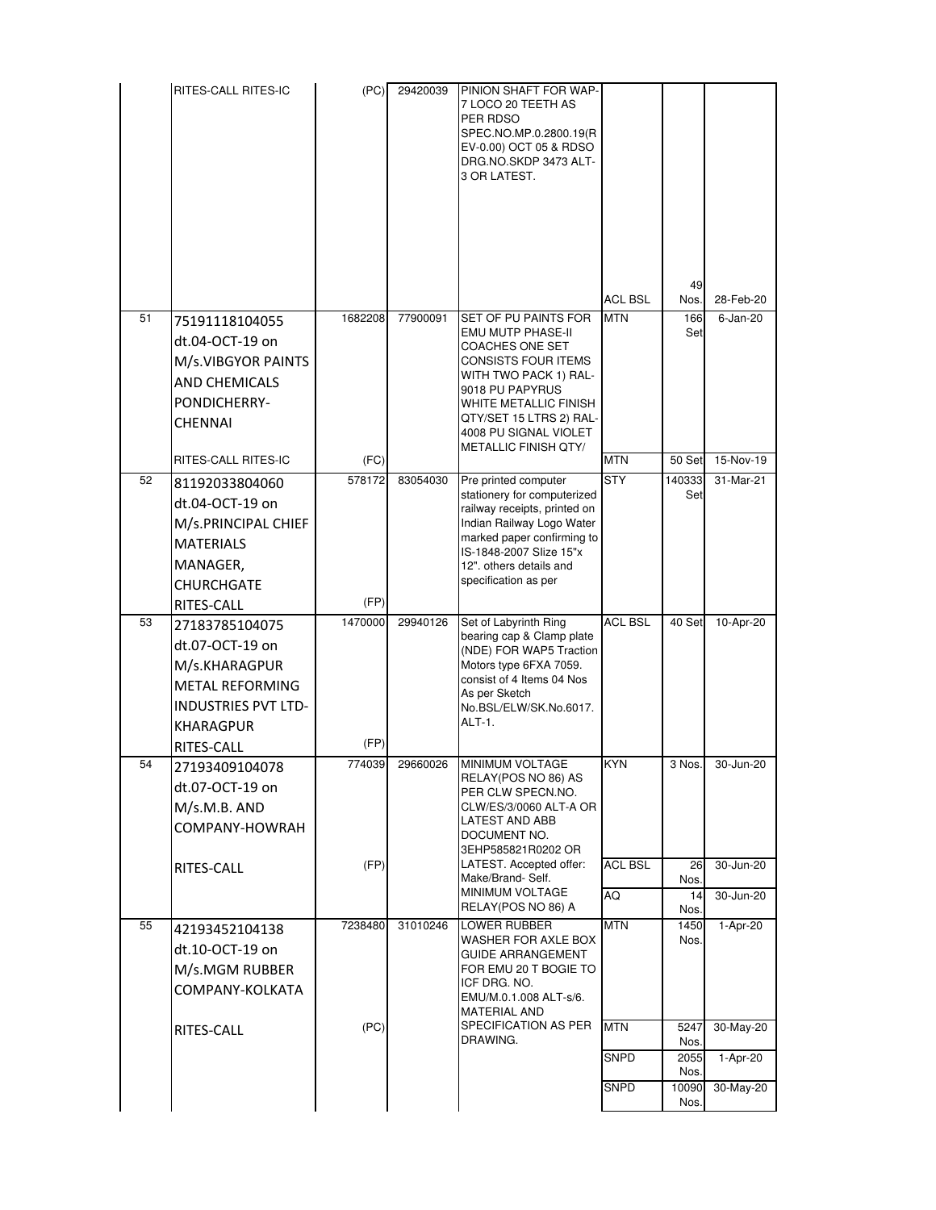|    | RITES-CALL RITES-IC                                                                                                         | (PC)           | 29420039 | PINION SHAFT FOR WAP-<br>7 LOCO 20 TEETH AS<br>PER RDSO<br>SPEC.NO.MP.0.2800.19(R<br>EV-0.00) OCT 05 & RDSO<br>DRG.NO.SKDP 3473 ALT-<br>3 OR LATEST.                                                                                        |                      |                          |                          |
|----|-----------------------------------------------------------------------------------------------------------------------------|----------------|----------|---------------------------------------------------------------------------------------------------------------------------------------------------------------------------------------------------------------------------------------------|----------------------|--------------------------|--------------------------|
|    |                                                                                                                             |                |          |                                                                                                                                                                                                                                             | <b>ACL BSL</b>       | 49<br>Nos.               | 28-Feb-20                |
| 51 | 75191118104055<br>dt.04-OCT-19 on<br>M/s.VIBGYOR PAINTS<br><b>AND CHEMICALS</b><br>PONDICHERRY-<br>CHENNAI                  | 1682208        | 77900091 | SET OF PU PAINTS FOR<br>EMU MUTP PHASE-II<br>COACHES ONE SET<br>CONSISTS FOUR ITEMS<br>WITH TWO PACK 1) RAL-<br>9018 PU PAPYRUS<br>WHITE METALLIC FINISH<br>QTY/SET 15 LTRS 2) RAL-<br>4008 PU SIGNAL VIOLET<br><b>METALLIC FINISH QTY/</b> | <b>MTN</b>           | 166<br>Set               | $6$ -Jan-20              |
|    | RITES-CALL RITES-IC                                                                                                         | (FC)           |          |                                                                                                                                                                                                                                             | <b>MTN</b>           | 50 Set                   | 15-Nov-19                |
| 52 | 81192033804060<br>dt.04-OCT-19 on<br>M/s.PRINCIPAL CHIEF<br><b>MATERIALS</b><br>MANAGER,<br><b>CHURCHGATE</b><br>RITES-CALL | 578172<br>(FP) | 83054030 | Pre printed computer<br>stationery for computerized<br>railway receipts, printed on<br>Indian Railway Logo Water<br>marked paper confirming to<br>IS-1848-2007 Slize 15"x<br>12". others details and<br>specification as per                | <b>STY</b>           | 140333<br>Set            | 31-Mar-21                |
| 53 | 27183785104075                                                                                                              | 1470000        | 29940126 | Set of Labyrinth Ring                                                                                                                                                                                                                       | <b>ACL BSL</b>       | 40 Set                   | 10-Apr-20                |
|    | dt.07-OCT-19 on<br>M/s.KHARAGPUR<br><b>METAL REFORMING</b><br><b>INDUSTRIES PVT LTD-</b><br><b>KHARAGPUR</b><br>RITES-CALL  | (FP)           |          | bearing cap & Clamp plate<br>(NDE) FOR WAP5 Traction<br>Motors type 6FXA 7059.<br>consist of 4 Items 04 Nos<br>As per Sketch<br>No.BSL/ELW/SK.No.6017.<br>ALT-1.                                                                            |                      |                          |                          |
| 54 | 27193409104078                                                                                                              | 774039         |          | 29660026 MINIMUM VOLTAGE                                                                                                                                                                                                                    | <b>KYN</b>           | 3 Nos.                   | $30 - \frac{1}{11}$ n-20 |
|    | dt.07-OCT-19 on<br>M/s.M.B. AND<br>COMPANY-HOWRAH<br>RITES-CALL                                                             | (FP)           |          | RELAY(POS NO 86) AS<br>PER CLW SPECN.NO.<br>CLW/ES/3/0060 ALT-A OR<br>LATEST AND ABB<br>DOCUMENT NO.<br>3EHP585821R0202 OR<br>LATEST. Accepted offer:<br>Make/Brand-Self.<br>MINIMUM VOLTAGE<br>RELAY(POS NO 86) A                          | <b>ACL BSL</b><br>AQ | 26<br>Nos.<br>14<br>Nos. | 30-Jun-20<br>30-Jun-20   |
| 55 | 42193452104138                                                                                                              | 7238480        | 31010246 | <b>LOWER RUBBER</b>                                                                                                                                                                                                                         | <b>MTN</b>           | 1450                     | 1-Apr-20                 |
|    | dt.10-OCT-19 on<br>M/s.MGM RUBBER<br>COMPANY-KOLKATA<br>RITES-CALL                                                          | (PC)           |          | WASHER FOR AXLE BOX<br>GUIDE ARRANGEMENT<br>FOR EMU 20 T BOGIE TO<br>ICF DRG. NO.<br>EMU/M.0.1.008 ALT-s/6.<br><b>MATERIAL AND</b><br>SPECIFICATION AS PER                                                                                  | <b>MTN</b>           | Nos.<br>5247             | 30-May-20                |
|    |                                                                                                                             |                |          | DRAWING.                                                                                                                                                                                                                                    | <b>SNPD</b>          | Nos.<br>2055             | 1-Apr-20                 |
|    |                                                                                                                             |                |          |                                                                                                                                                                                                                                             | SNPD                 | Nos.<br>10090            | 30-May-20                |
|    |                                                                                                                             |                |          |                                                                                                                                                                                                                                             |                      | Nos.                     |                          |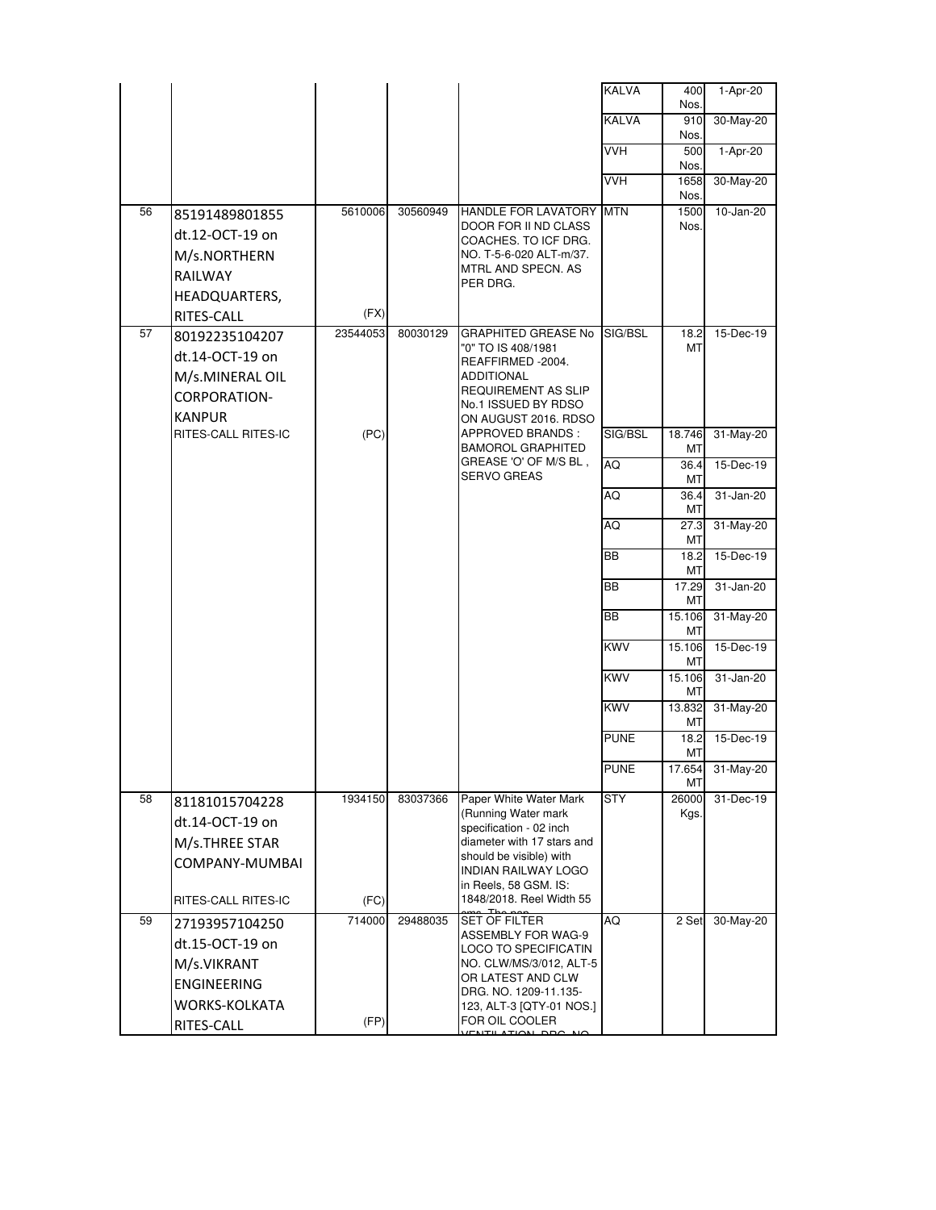|    |                              |          |          |                                                       | <b>KALVA</b> | 400<br>Nos.   | 1-Apr-20         |
|----|------------------------------|----------|----------|-------------------------------------------------------|--------------|---------------|------------------|
|    |                              |          |          |                                                       | <b>KALVA</b> | 910           | 30-May-20        |
|    |                              |          |          |                                                       | <b>VVH</b>   | Nos.<br>500   | 1-Apr-20         |
|    |                              |          |          |                                                       |              | Nos.          |                  |
|    |                              |          |          |                                                       | <b>VVH</b>   | 1658<br>Nos.  | 30-May-20        |
| 56 | 85191489801855               | 5610006  | 30560949 | HANDLE FOR LAVATORY MTN                               |              | 1500          | 10-Jan-20        |
|    | dt.12-OCT-19 on              |          |          | DOOR FOR II ND CLASS<br>COACHES. TO ICF DRG.          |              | Nos.          |                  |
|    | M/s.NORTHERN                 |          |          | NO. T-5-6-020 ALT-m/37.                               |              |               |                  |
|    | <b>RAILWAY</b>               |          |          | MTRL AND SPECN. AS<br>PER DRG.                        |              |               |                  |
|    | HEADQUARTERS,                | (FX)     |          |                                                       |              |               |                  |
| 57 | RITES-CALL<br>80192235104207 | 23544053 | 80030129 | <b>GRAPHITED GREASE No</b>                            | SIG/BSL      | 18.2          | 15-Dec-19        |
|    | dt.14-OCT-19 on              |          |          | "0" TO IS 408/1981                                    |              | MT            |                  |
|    | M/s.MINERAL OIL              |          |          | REAFFIRMED -2004.<br>ADDITIONAL                       |              |               |                  |
|    | CORPORATION-                 |          |          | <b>REQUIREMENT AS SLIP</b><br>No.1 ISSUED BY RDSO     |              |               |                  |
|    | <b>KANPUR</b>                |          |          | ON AUGUST 2016. RDSO                                  |              |               |                  |
|    | RITES-CALL RITES-IC          | (PC)     |          | APPROVED BRANDS:<br><b>BAMOROL GRAPHITED</b>          | SIG/BSL      | 18.746<br>МT  | 31-May-20        |
|    |                              |          |          | GREASE 'O' OF M/S BL,<br><b>SERVO GREAS</b>           | AQ           | 36.4<br>МT    | 15-Dec-19        |
|    |                              |          |          |                                                       | AQ           | 36.4<br>МT    | 31-Jan-20        |
|    |                              |          |          |                                                       | AQ           | 27.3<br>МT    | 31-May-20        |
|    |                              |          |          |                                                       | <b>BB</b>    | 18.2<br>МT    | 15-Dec-19        |
|    |                              |          |          |                                                       | BB           | 17.29<br>МT   | 31-Jan-20        |
|    |                              |          |          |                                                       | <b>BB</b>    | 15.106<br>МT  | 31-May-20        |
|    |                              |          |          |                                                       | <b>KWV</b>   | 15.106<br>МT  | 15-Dec-19        |
|    |                              |          |          |                                                       | <b>KWV</b>   | 15.106<br>МT  | 31-Jan-20        |
|    |                              |          |          |                                                       | <b>KWV</b>   | 13.832<br>МT  | 31-May-20        |
|    |                              |          |          |                                                       | <b>PUNE</b>  | 18.2<br>МT    | 15-Dec-19        |
|    |                              |          |          |                                                       | <b>PUNE</b>  | MT            | 17.654 31-May-20 |
| 58 | 81181015704228               | 1934150  | 83037366 | Paper White Water Mark<br>(Running Water mark         | <b>STY</b>   | 26000<br>Kgs. | 31-Dec-19        |
|    | dt.14-OCT-19 on              |          |          | specification - 02 inch                               |              |               |                  |
|    | M/s.THREE STAR               |          |          | diameter with 17 stars and<br>should be visible) with |              |               |                  |
|    | COMPANY-MUMBAI               |          |          | INDIAN RAILWAY LOGO                                   |              |               |                  |
|    | RITES-CALL RITES-IC          | (FC)     |          | in Reels, 58 GSM. IS:<br>1848/2018. Reel Width 55     |              |               |                  |
| 59 | 27193957104250               | 714000   | 29488035 | <b>SET OF FILTER</b><br>ASSEMBLY FOR WAG-9            | AQ           | 2 Set         | 30-May-20        |
|    | dt.15-OCT-19 on              |          |          | LOCO TO SPECIFICATIN                                  |              |               |                  |
|    | M/s.VIKRANT                  |          |          | NO. CLW/MS/3/012, ALT-5<br>OR LATEST AND CLW          |              |               |                  |
|    | ENGINEERING                  |          |          | DRG. NO. 1209-11.135-                                 |              |               |                  |
|    | WORKS-KOLKATA<br>RITES-CALL  | (FP)     |          | 123, ALT-3 [QTY-01 NOS.]<br>FOR OIL COOLER            |              |               |                  |
|    |                              |          |          |                                                       |              |               |                  |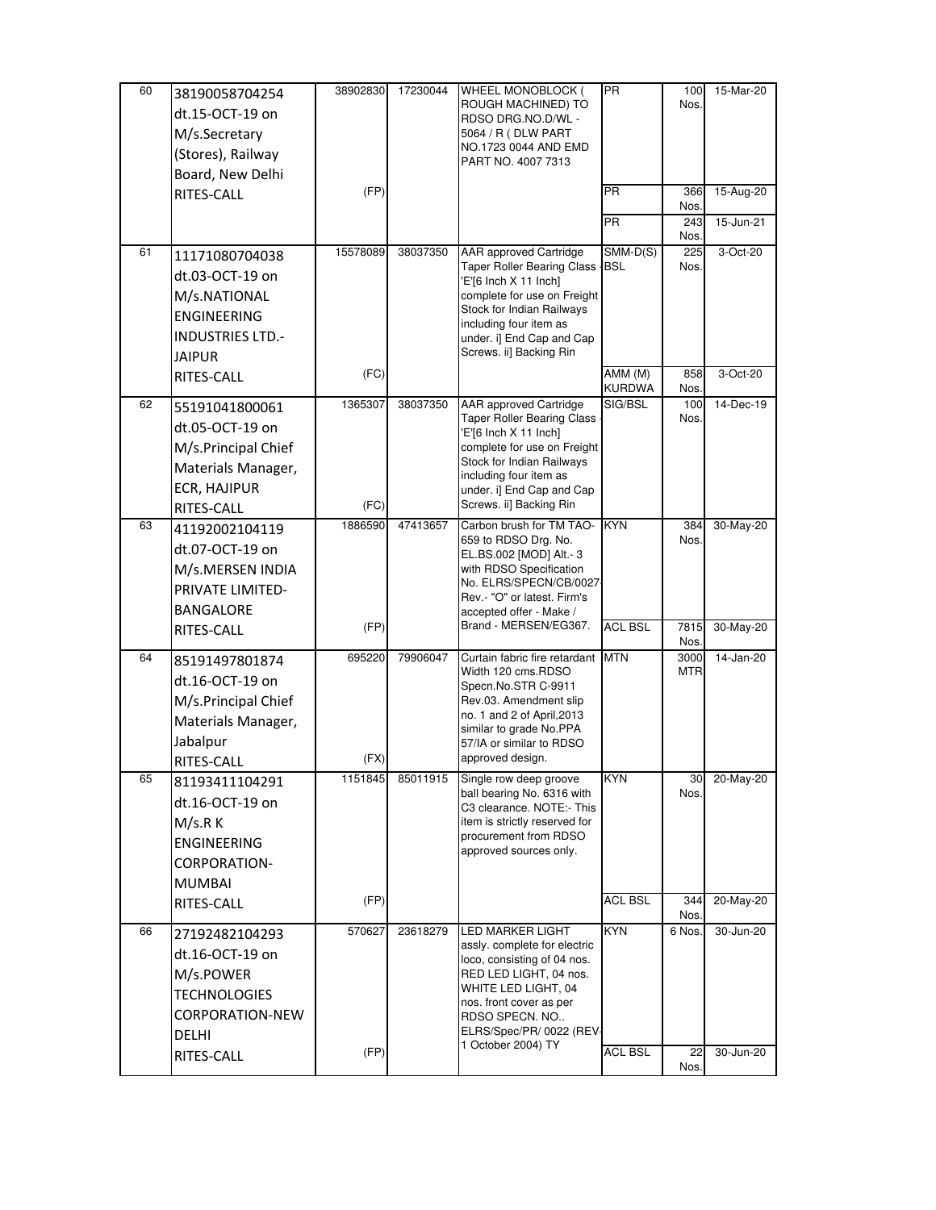| 60 | 38190058704254          | 38902830 | 17230044 | WHEEL MONOBLOCK (                                           | <b>PR</b>                | 100         | 15-Mar-20 |
|----|-------------------------|----------|----------|-------------------------------------------------------------|--------------------------|-------------|-----------|
|    | dt.15-OCT-19 on         |          |          | ROUGH MACHINED) TO<br>RDSO DRG.NO.D/WL -                    |                          | Nos.        |           |
|    | M/s.Secretary           |          |          | 5064 / R ( DLW PART                                         |                          |             |           |
|    | (Stores), Railway       |          |          | NO.1723 0044 AND EMD                                        |                          |             |           |
|    | Board, New Delhi        |          |          | PART NO. 4007 7313                                          |                          |             |           |
|    | RITES-CALL              | (FP)     |          |                                                             | <b>PR</b>                | 366         | 15-Aug-20 |
|    |                         |          |          |                                                             |                          | Nos.        |           |
|    |                         |          |          |                                                             | <b>PR</b>                | 243         | 15-Jun-21 |
| 61 | 11171080704038          | 15578089 | 38037350 | <b>AAR</b> approved Cartridge                               | $SMM-D(S)$               | Nos.<br>225 | 3-Oct-20  |
|    | dt.03-OCT-19 on         |          |          | <b>Taper Roller Bearing Class</b>                           | <b>BSL</b>               | Nos.        |           |
|    |                         |          |          | E'[6 Inch X 11 Inch]<br>complete for use on Freight         |                          |             |           |
|    | M/s.NATIONAL            |          |          | Stock for Indian Railways                                   |                          |             |           |
|    | <b>ENGINEERING</b>      |          |          | including four item as                                      |                          |             |           |
|    | <b>INDUSTRIES LTD.-</b> |          |          | under. i] End Cap and Cap                                   |                          |             |           |
|    | <b>JAIPUR</b>           |          |          | Screws. ii] Backing Rin                                     |                          |             |           |
|    | RITES-CALL              | (FC)     |          |                                                             | AMM (M)<br><b>KURDWA</b> | 858<br>Nos. | 3-Oct-20  |
| 62 | 55191041800061          | 1365307  | 38037350 | AAR approved Cartridge                                      | SIG/BSL                  | 100         | 14-Dec-19 |
|    | dt.05-OCT-19 on         |          |          | <b>Taper Roller Bearing Class</b><br>'E'[6 Inch X 11 Inch]  |                          | Nos.        |           |
|    | M/s.Principal Chief     |          |          | complete for use on Freight                                 |                          |             |           |
|    | Materials Manager,      |          |          | Stock for Indian Railways                                   |                          |             |           |
|    | ECR, HAJIPUR            |          |          | including four item as<br>under. i] End Cap and Cap         |                          |             |           |
|    | RITES-CALL              | (FC)     |          | Screws. ii] Backing Rin                                     |                          |             |           |
| 63 | 41192002104119          | 1886590  | 47413657 | Carbon brush for TM TAO-                                    | <b>KYN</b>               | 384         | 30-May-20 |
|    | dt.07-OCT-19 on         |          |          | 659 to RDSO Drg. No.                                        |                          | Nos.        |           |
|    | M/s.MERSEN INDIA        |          |          | EL.BS.002 [MOD] Alt.- 3<br>with RDSO Specification          |                          |             |           |
|    | PRIVATE LIMITED-        |          |          | No. ELRS/SPECN/CB/0027-                                     |                          |             |           |
|    |                         |          |          | Rev.- "O" or latest. Firm's                                 |                          |             |           |
|    | BANGALORE               | (FP)     |          | accepted offer - Make /<br>Brand - MERSEN/EG367.            | <b>ACL BSL</b>           | 7815        | 30-May-20 |
|    | RITES-CALL              |          |          |                                                             |                          | Nos.        |           |
| 64 | 85191497801874          | 695220   | 79906047 | Curtain fabric fire retardant MTN                           |                          | 3000        | 14-Jan-20 |
|    | dt.16-OCT-19 on         |          |          | Width 120 cms.RDSO<br>Specn.No.STR C-9911                   |                          | <b>MTR</b>  |           |
|    | M/s.Principal Chief     |          |          | Rev.03. Amendment slip                                      |                          |             |           |
|    | Materials Manager,      |          |          | no. 1 and 2 of April, 2013                                  |                          |             |           |
|    | Jabalpur                |          |          | similar to grade No.PPA<br>57/IA or similar to RDSO         |                          |             |           |
|    | RITES-CALL              | (FX)     |          | approved design.                                            |                          |             |           |
| 65 | 81193411104291          | 1151845  | 85011915 | Single row deep groove                                      | KYN                      | 30          | 20-May-20 |
|    | dt.16-OCT-19 on         |          |          | ball bearing No. 6316 with<br>C3 clearance. NOTE:- This     |                          | Nos.        |           |
|    | M/s.R K                 |          |          | item is strictly reserved for                               |                          |             |           |
|    | <b>ENGINEERING</b>      |          |          | procurement from RDSO                                       |                          |             |           |
|    | CORPORATION-            |          |          | approved sources only.                                      |                          |             |           |
|    | <b>MUMBAI</b>           |          |          |                                                             |                          |             |           |
|    | RITES-CALL              | (FP)     |          |                                                             | <b>ACL BSL</b>           | 344         | 20-May-20 |
|    |                         |          |          |                                                             |                          | Nos.        |           |
| 66 | 27192482104293          | 570627   | 23618279 | <b>LED MARKER LIGHT</b>                                     | <b>KYN</b>               | 6 Nos.      | 30-Jun-20 |
|    | dt.16-OCT-19 on         |          |          | assly. complete for electric<br>loco, consisting of 04 nos. |                          |             |           |
|    | M/s.POWER               |          |          | RED LED LIGHT, 04 nos.                                      |                          |             |           |
|    | <b>TECHNOLOGIES</b>     |          |          | WHITE LED LIGHT, 04                                         |                          |             |           |
|    | CORPORATION-NEW         |          |          | nos. front cover as per<br>RDSO SPECN. NO                   |                          |             |           |
|    | <b>DELHI</b>            |          |          | ELRS/Spec/PR/ 0022 (REV-                                    |                          |             |           |
|    | RITES-CALL              | (FP)     |          | 1 October 2004) TY                                          | <b>ACL BSL</b>           | 22          | 30-Jun-20 |
|    |                         |          |          |                                                             |                          | Nos.        |           |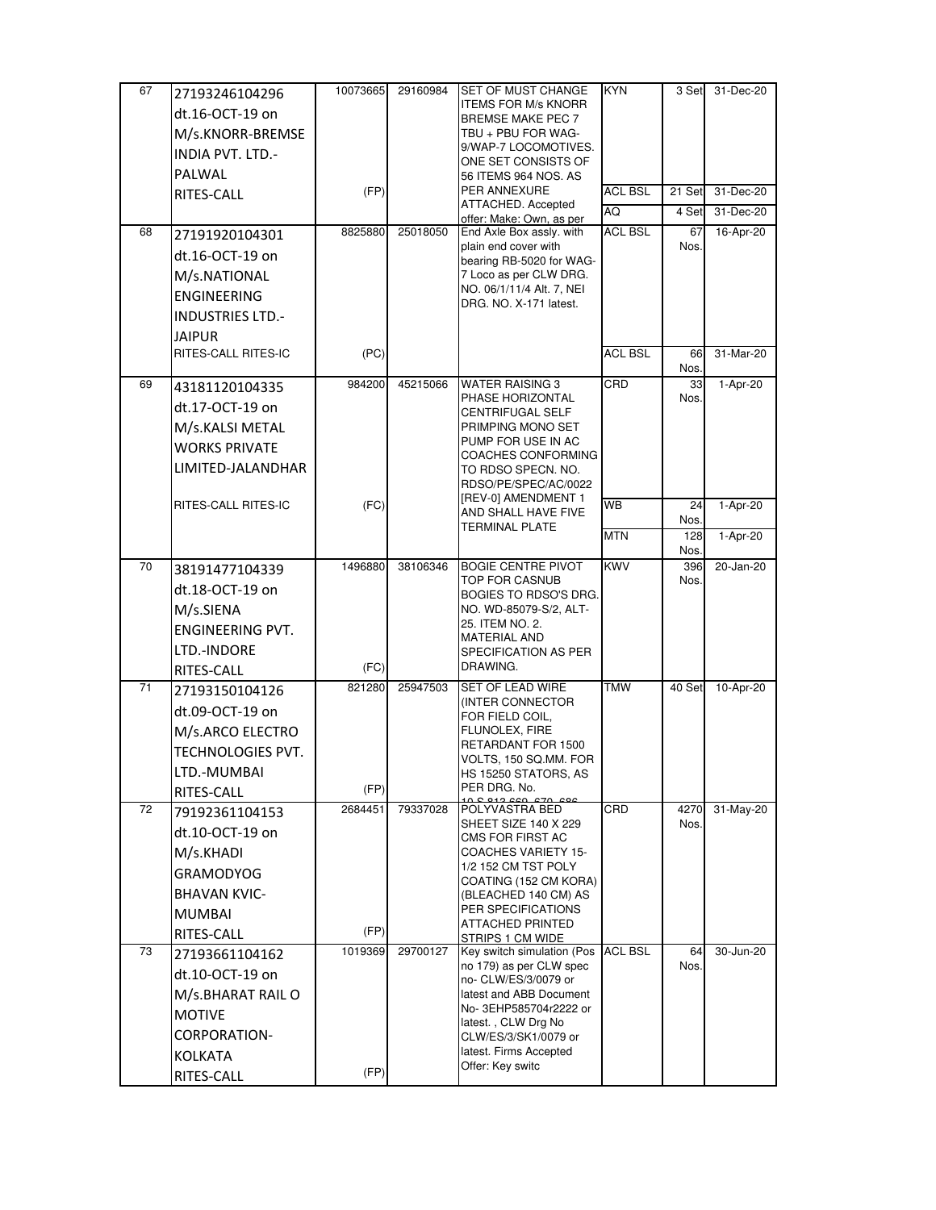| 67 | 27193246104296          | 10073665 | 29160984 | SET OF MUST CHANGE                                  | <b>KYN</b>           | 3 Set       | 31-Dec-20 |
|----|-------------------------|----------|----------|-----------------------------------------------------|----------------------|-------------|-----------|
|    | dt.16-OCT-19 on         |          |          | <b>ITEMS FOR M/s KNORR</b>                          |                      |             |           |
|    | M/s.KNORR-BREMSE        |          |          | BREMSE MAKE PEC 7<br>TBU + PBU FOR WAG-             |                      |             |           |
|    |                         |          |          | 9/WAP-7 LOCOMOTIVES.                                |                      |             |           |
|    | <b>INDIA PVT. LTD.-</b> |          |          | ONE SET CONSISTS OF                                 |                      |             |           |
|    | PALWAL                  |          |          | 56 ITEMS 964 NOS. AS<br>PER ANNEXURE                |                      |             |           |
|    | RITES-CALL              | (FP)     |          | ATTACHED. Accepted                                  | <b>ACL BSL</b><br>AQ | 21 Set      | 31-Dec-20 |
|    |                         |          |          | offer: Make: Own, as per                            | <b>ACL BSL</b>       | 4 Set       | 31-Dec-20 |
| 68 | 27191920104301          | 8825880  | 25018050 | End Axle Box assly. with<br>plain end cover with    |                      | 67<br>Nos.  | 16-Apr-20 |
|    | dt.16-OCT-19 on         |          |          | bearing RB-5020 for WAG-                            |                      |             |           |
|    | M/s.NATIONAL            |          |          | 7 Loco as per CLW DRG.                              |                      |             |           |
|    | <b>ENGINEERING</b>      |          |          | NO. 06/1/11/4 Alt. 7, NEI<br>DRG. NO. X-171 latest. |                      |             |           |
|    | <b>INDUSTRIES LTD.-</b> |          |          |                                                     |                      |             |           |
|    | <b>JAIPUR</b>           |          |          |                                                     |                      |             |           |
|    | RITES-CALL RITES-IC     | (PC)     |          |                                                     | <b>ACL BSL</b>       | 66<br>Nos.  | 31-Mar-20 |
| 69 | 43181120104335          | 984200   | 45215066 | <b>WATER RAISING 3</b>                              | CRD                  | 33          | 1-Apr-20  |
|    | dt.17-OCT-19 on         |          |          | PHASE HORIZONTAL<br>CENTRIFUGAL SELF                |                      | Nos.        |           |
|    | M/s.KALSI METAL         |          |          | PRIMPING MONO SET                                   |                      |             |           |
|    | <b>WORKS PRIVATE</b>    |          |          | PUMP FOR USE IN AC                                  |                      |             |           |
|    | LIMITED-JALANDHAR       |          |          | COACHES CONFORMING<br>TO RDSO SPECN. NO.            |                      |             |           |
|    |                         |          |          | RDSO/PE/SPEC/AC/0022                                |                      |             |           |
|    | RITES-CALL RITES-IC     | (FC)     |          | [REV-0] AMENDMENT 1<br>AND SHALL HAVE FIVE          | <b>WB</b>            | 24          | 1-Apr-20  |
|    |                         |          |          | TERMINAL PLATE                                      | <b>MTN</b>           | Nos.<br>128 | 1-Apr-20  |
|    |                         |          |          |                                                     |                      | Nos.        |           |
| 70 | 38191477104339          | 1496880  | 38106346 | <b>BOGIE CENTRE PIVOT</b>                           | <b>KWV</b>           | 396         | 20-Jan-20 |
|    | dt.18-OCT-19 on         |          |          | TOP FOR CASNUB<br>BOGIES TO RDSO'S DRG.             |                      | Nos.        |           |
|    | M/s.SIENA               |          |          | NO. WD-85079-S/2, ALT-                              |                      |             |           |
|    | <b>ENGINEERING PVT.</b> |          |          | 25. ITEM NO. 2.<br><b>MATERIAL AND</b>              |                      |             |           |
|    | LTD.-INDORE             |          |          | SPECIFICATION AS PER                                |                      |             |           |
|    | RITES-CALL              | (FC)     |          | DRAWING.                                            |                      |             |           |
| 71 | 27193150104126          | 821280   | 25947503 | SET OF LEAD WIRE                                    | <b>TMW</b>           | 40 Set      | 10-Apr-20 |
|    | dt.09-OCT-19 on         |          |          | (INTER CONNECTOR<br>FOR FIELD COIL,                 |                      |             |           |
|    | M/s.ARCO ELECTRO        |          |          | FLUNOLEX, FIRE                                      |                      |             |           |
|    | TECHNOLOGIES PVT.       |          |          | RETARDANT FOR 1500                                  |                      |             |           |
|    | LTD.-MUMBAI             |          |          | VOLTS, 150 SQ.MM. FOR<br>HS 15250 STATORS, AS       |                      |             |           |
|    | RITES-CALL              | (FP)     |          | PER DRG. No.                                        |                      |             |           |
| 72 | 79192361104153          | 2684451  | 79337028 | POLYVASTRA BED                                      | CRD                  | 4270        | 31-May-20 |
|    | dt.10-OCT-19 on         |          |          | SHEET SIZE 140 X 229                                |                      | Nos.        |           |
|    | M/s.KHADI               |          |          | CMS FOR FIRST AC<br>COACHES VARIETY 15-             |                      |             |           |
|    | <b>GRAMODYOG</b>        |          |          | 1/2 152 CM TST POLY                                 |                      |             |           |
|    | <b>BHAVAN KVIC-</b>     |          |          | COATING (152 CM KORA)                               |                      |             |           |
|    |                         |          |          | (BLEACHED 140 CM) AS<br>PER SPECIFICATIONS          |                      |             |           |
|    | <b>MUMBAI</b>           | (FP)     |          | ATTACHED PRINTED                                    |                      |             |           |
| 73 | RITES-CALL              | 1019369  | 29700127 | STRIPS 1 CM WIDE<br>Key switch simulation (Pos      | <b>ACL BSL</b>       | 64          | 30-Jun-20 |
|    | 27193661104162          |          |          | no 179) as per CLW spec                             |                      | Nos.        |           |
|    | dt.10-OCT-19 on         |          |          | no- CLW/ES/3/0079 or                                |                      |             |           |
|    | M/s.BHARAT RAIL O       |          |          | latest and ABB Document<br>No-3EHP585704r2222 or    |                      |             |           |
|    | <b>MOTIVE</b>           |          |          | latest., CLW Drg No                                 |                      |             |           |
|    | CORPORATION-            |          |          | CLW/ES/3/SK1/0079 or                                |                      |             |           |
|    | <b>KOLKATA</b>          |          |          | latest. Firms Accepted<br>Offer: Key switc          |                      |             |           |
|    | RITES-CALL              | (FP)     |          |                                                     |                      |             |           |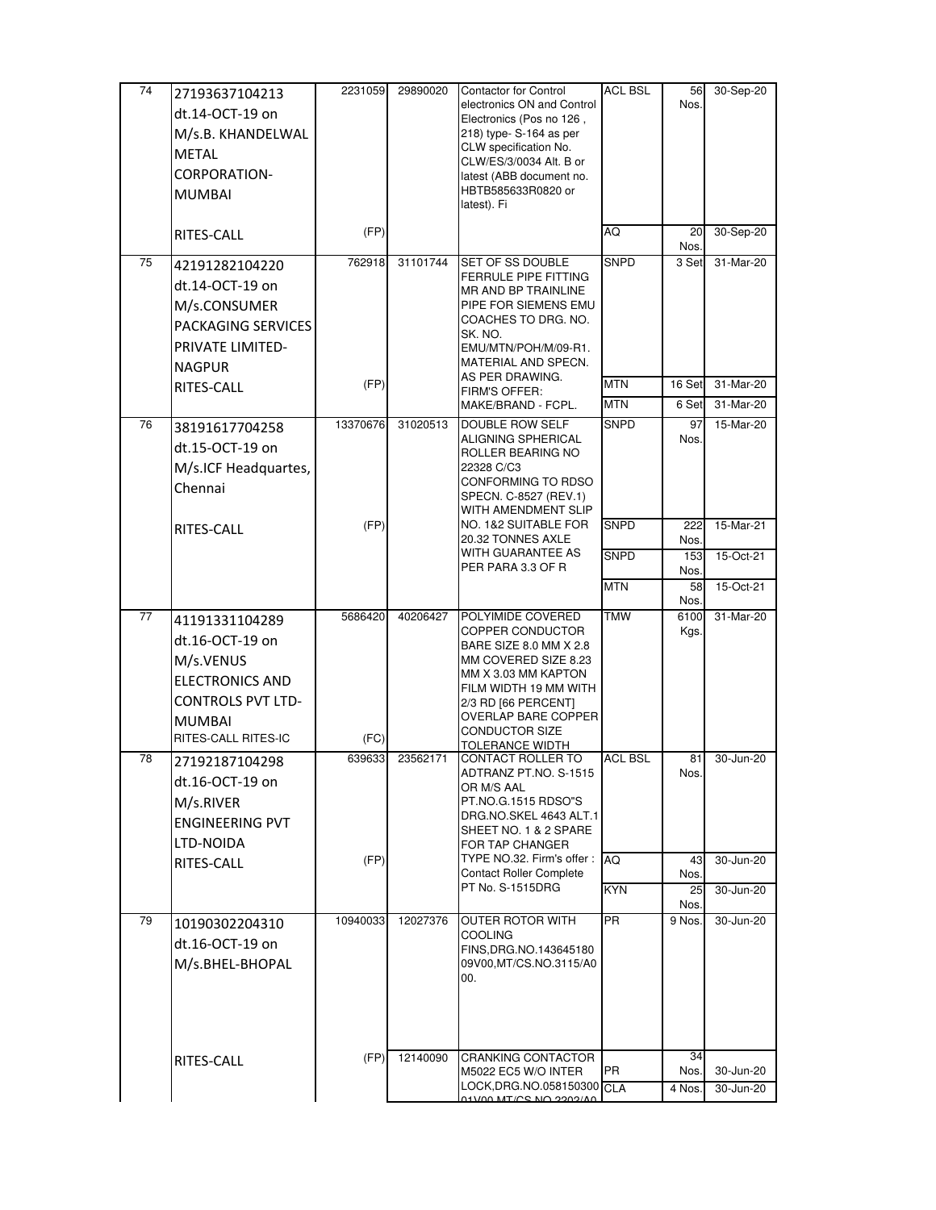| 74 | 27193637104213           | 2231059  | 29890020 | Contactor for Control                                       | <b>ACL BSL</b> | 56           | 30-Sep-20   |
|----|--------------------------|----------|----------|-------------------------------------------------------------|----------------|--------------|-------------|
|    | dt.14-OCT-19 on          |          |          | electronics ON and Control<br>Electronics (Pos no 126,      |                | Nos.         |             |
|    | M/s.B. KHANDELWAL        |          |          | 218) type- S-164 as per                                     |                |              |             |
|    | <b>METAL</b>             |          |          | CLW specification No.                                       |                |              |             |
|    | CORPORATION-             |          |          | CLW/ES/3/0034 Alt. B or<br>latest (ABB document no.         |                |              |             |
|    | <b>MUMBAI</b>            |          |          | HBTB585633R0820 or                                          |                |              |             |
|    |                          |          |          | latest). Fi                                                 |                |              |             |
|    | RITES-CALL               | (FP)     |          |                                                             | AQ             | 20<br>Nos.   | 30-Sep-20   |
| 75 | 42191282104220           | 762918   | 31101744 | <b>SET OF SS DOUBLE</b>                                     | <b>SNPD</b>    | 3 Set        | 31-Mar-20   |
|    | dt.14-OCT-19 on          |          |          | FERRULE PIPE FITTING<br>MR AND BP TRAINLINE                 |                |              |             |
|    | M/s.CONSUMER             |          |          | PIPE FOR SIEMENS EMU                                        |                |              |             |
|    | PACKAGING SERVICES       |          |          | COACHES TO DRG. NO.                                         |                |              |             |
|    | PRIVATE LIMITED-         |          |          | SK. NO.<br>EMU/MTN/POH/M/09-R1.                             |                |              |             |
|    | <b>NAGPUR</b>            |          |          | MATERIAL AND SPECN.                                         |                |              |             |
|    | RITES-CALL               | (FP)     |          | AS PER DRAWING.                                             | <b>MTN</b>     | 16 Set       | 31-Mar-20   |
|    |                          |          |          | FIRM'S OFFER:<br>MAKE/BRAND - FCPL.                         | <b>MTN</b>     | 6 Set        | 31-Mar-20   |
| 76 | 38191617704258           | 13370676 | 31020513 | DOUBLE ROW SELF                                             | <b>SNPD</b>    | 97           | 15-Mar-20   |
|    | dt.15-OCT-19 on          |          |          | ALIGNING SPHERICAL                                          |                | Nos.         |             |
|    | M/s.ICF Headquartes,     |          |          | ROLLER BEARING NO<br>22328 C/C3                             |                |              |             |
|    | Chennai                  |          |          | CONFORMING TO RDSO                                          |                |              |             |
|    |                          |          |          | SPECN. C-8527 (REV.1)<br>WITH AMENDMENT SLIP                |                |              |             |
|    | RITES-CALL               | (FP)     |          | NO. 1&2 SUITABLE FOR                                        | <b>SNPD</b>    | 222          | 15-Mar-21   |
|    |                          |          |          | 20.32 TONNES AXLE                                           |                | Nos.         |             |
|    |                          |          |          | WITH GUARANTEE AS<br>PER PARA 3.3 OF R                      | <b>SNPD</b>    | 153<br>Nos.  | 15-Oct-21   |
|    |                          |          |          |                                                             | <b>MTN</b>     | 58           | $15-Oct-21$ |
|    |                          |          |          |                                                             |                | Nos.         |             |
| 77 | 41191331104289           | 5686420  | 40206427 | POLYIMIDE COVERED<br>COPPER CONDUCTOR                       | <b>TMW</b>     | 6100<br>Kgs. | 31-Mar-20   |
|    | dt.16-OCT-19 on          |          |          | BARE SIZE 8.0 MM X 2.8                                      |                |              |             |
|    | M/s.VENUS                |          |          | MM COVERED SIZE 8.23<br>MM X 3.03 MM KAPTON                 |                |              |             |
|    | <b>ELECTRONICS AND</b>   |          |          | FILM WIDTH 19 MM WITH                                       |                |              |             |
|    | <b>CONTROLS PVT LTD-</b> |          |          | 2/3 RD [66 PERCENT]                                         |                |              |             |
|    | <b>MUMBAI</b>            |          |          | OVERLAP BARE COPPER<br>CONDUCTOR SIZE                       |                |              |             |
|    | RITES-CALL RITES-IC      | (FC)     |          | TOLERANCE WIDTH                                             |                |              |             |
| 78 | 27192187104298           | 639633   | 23562171 | CONTACT ROLLER TO<br>ADTRANZ PT.NO. S-1515                  | <b>ACL BSL</b> | 81<br>Nos.   | 30-Jun-20   |
|    | dt.16-OCT-19 on          |          |          | OR M/S AAL                                                  |                |              |             |
|    | M/s.RIVER                |          |          | PT.NO.G.1515 RDSO"S<br>DRG.NO.SKEL 4643 ALT.1               |                |              |             |
|    | <b>ENGINEERING PVT</b>   |          |          | SHEET NO. 1 & 2 SPARE                                       |                |              |             |
|    | LTD-NOIDA                |          |          | FOR TAP CHANGER                                             |                |              |             |
|    | RITES-CALL               | (FP)     |          | TYPE NO.32. Firm's offer:<br><b>Contact Roller Complete</b> | <b>AQ</b>      | 43<br>Nos.   | 30-Jun-20   |
|    |                          |          |          | PT No. S-1515DRG                                            | <b>KYN</b>     | 25           | 30-Jun-20   |
|    |                          |          |          |                                                             |                | Nos.         |             |
| 79 | 10190302204310           | 10940033 | 12027376 | <b>OUTER ROTOR WITH</b><br><b>COOLING</b>                   | <b>PR</b>      | 9 Nos.       | 30-Jun-20   |
|    | dt.16-OCT-19 on          |          |          | FINS, DRG. NO. 143645180                                    |                |              |             |
|    | M/s.BHEL-BHOPAL          |          |          | 09V00, MT/CS.NO.3115/A0<br>00.                              |                |              |             |
|    |                          |          |          |                                                             |                |              |             |
|    |                          |          |          |                                                             |                |              |             |
|    |                          |          |          |                                                             |                |              |             |
|    |                          | (FP)     | 12140090 | <b>CRANKING CONTACTOR</b>                                   |                | 34           |             |
|    | RITES-CALL               |          |          | M5022 EC5 W/O INTER                                         | PR             | Nos.         | 30-Jun-20   |
|    |                          |          |          | LOCK, DRG.NO.058150300 CLA                                  |                | 4 Nos.       | 30-Jun-20   |
|    |                          |          |          | ANVOOR AIA 2017 MANIA                                       |                |              |             |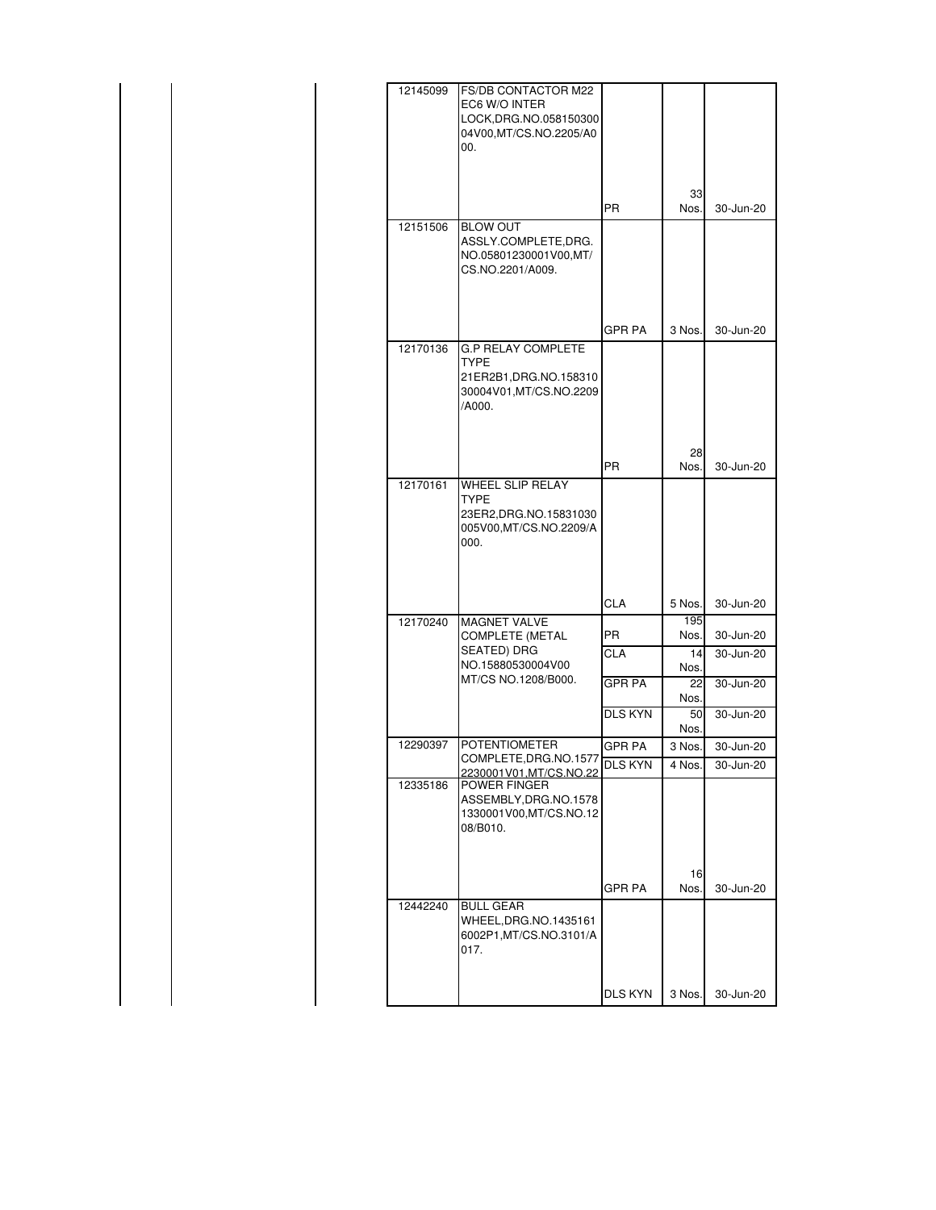| 12145099 | FS/DB CONTACTOR M22                                                          |                |        |               |
|----------|------------------------------------------------------------------------------|----------------|--------|---------------|
|          | EC6 W/O INTER                                                                |                |        |               |
|          | LOCK, DRG. NO. 058150300                                                     |                |        |               |
|          | 04V00,MT/CS.NO.2205/A0                                                       |                |        |               |
|          | 00.                                                                          |                |        |               |
|          |                                                                              |                |        |               |
|          |                                                                              |                |        |               |
|          |                                                                              |                |        |               |
|          |                                                                              |                | 33     |               |
|          |                                                                              | <b>PR</b>      | Nos.   | 30-Jun-20     |
| 12151506 | <b>BLOW OUT</b>                                                              |                |        |               |
|          | ASSLY.COMPLETE,DRG.                                                          |                |        |               |
|          | NO.05801230001V00,MT/                                                        |                |        |               |
|          | CS.NO.2201/A009.                                                             |                |        |               |
|          |                                                                              |                |        |               |
|          |                                                                              |                |        |               |
|          |                                                                              |                |        |               |
|          |                                                                              | GPR PA         | 3 Nos. | 30-Jun-20     |
|          |                                                                              |                |        |               |
| 12170136 | <b>G.P RELAY COMPLETE</b>                                                    |                |        |               |
|          | <b>TYPE</b>                                                                  |                |        |               |
|          | 21ER2B1, DRG. NO. 158310                                                     |                |        |               |
|          | 30004V01, MT/CS.NO.2209                                                      |                |        |               |
|          | /A000.                                                                       |                |        |               |
|          |                                                                              |                |        |               |
|          |                                                                              |                |        |               |
|          |                                                                              |                | 28     |               |
|          |                                                                              | <b>PR</b>      | Nos.   | 30-Jun-20     |
|          |                                                                              |                |        |               |
| 12170161 | WHEEL SLIP RELAY                                                             |                |        |               |
|          | TYPE                                                                         |                |        |               |
|          | 23ER2, DRG. NO. 15831030                                                     |                |        |               |
|          | 005V00,MT/CS.NO.2209/A                                                       |                |        |               |
|          | 000.                                                                         |                |        |               |
|          |                                                                              |                |        |               |
|          |                                                                              |                |        |               |
|          |                                                                              |                |        |               |
|          |                                                                              | <b>CLA</b>     | 5 Nos. | 30-Jun-20     |
|          |                                                                              |                | 195    |               |
| 12170240 | <b>MAGNET VALVE</b>                                                          |                |        |               |
|          | COMPLETE (METAL                                                              | <b>PR</b>      | Nos.   | 30-Jun-20     |
|          | SEATED) DRG                                                                  | <b>CLA</b>     | 14     | 30-Jun-20     |
|          | NO.15880530004V00                                                            |                | Nos.   |               |
|          | MT/CS NO.1208/B000.                                                          | <b>GPR PA</b>  | 22     | 30-Jun-20     |
|          |                                                                              |                | Nos.   |               |
|          |                                                                              | <b>DLS KYN</b> | 50     | 30-Jun-20     |
|          |                                                                              |                | Nos.   |               |
| 12290397 | <b>POTENTIOMETER</b>                                                         |                |        |               |
|          |                                                                              | <b>GPR PA</b>  | 3 Nos. | 30-Jun-20     |
|          | COMPLETE, DRG. NO. 1577<br>COMPLETE, DRG. NO. 1577<br>2230001V01.MT/CS.NO.22 |                | 4 Nos. | $30 - Jun-20$ |
| 12335186 | POWER FINGER                                                                 |                |        |               |
|          | ASSEMBLY, DRG. NO. 1578                                                      |                |        |               |
|          | 1330001V00, MT/CS.NO.12                                                      |                |        |               |
|          | 08/B010.                                                                     |                |        |               |
|          |                                                                              |                |        |               |
|          |                                                                              |                |        |               |
|          |                                                                              |                |        |               |
|          |                                                                              |                | 16     |               |
|          |                                                                              | GPR PA         | Nos.   | 30-Jun-20     |
| 12442240 | <b>BULL GEAR</b>                                                             |                |        |               |
|          | WHEEL,DRG.NO.1435161                                                         |                |        |               |
|          | 6002P1, MT/CS.NO.3101/A                                                      |                |        |               |
|          |                                                                              |                |        |               |
|          | 017.                                                                         |                |        |               |
|          |                                                                              |                |        |               |
|          |                                                                              |                |        |               |
|          |                                                                              | <b>DLS KYN</b> | 3 Nos. | 30-Jun-20     |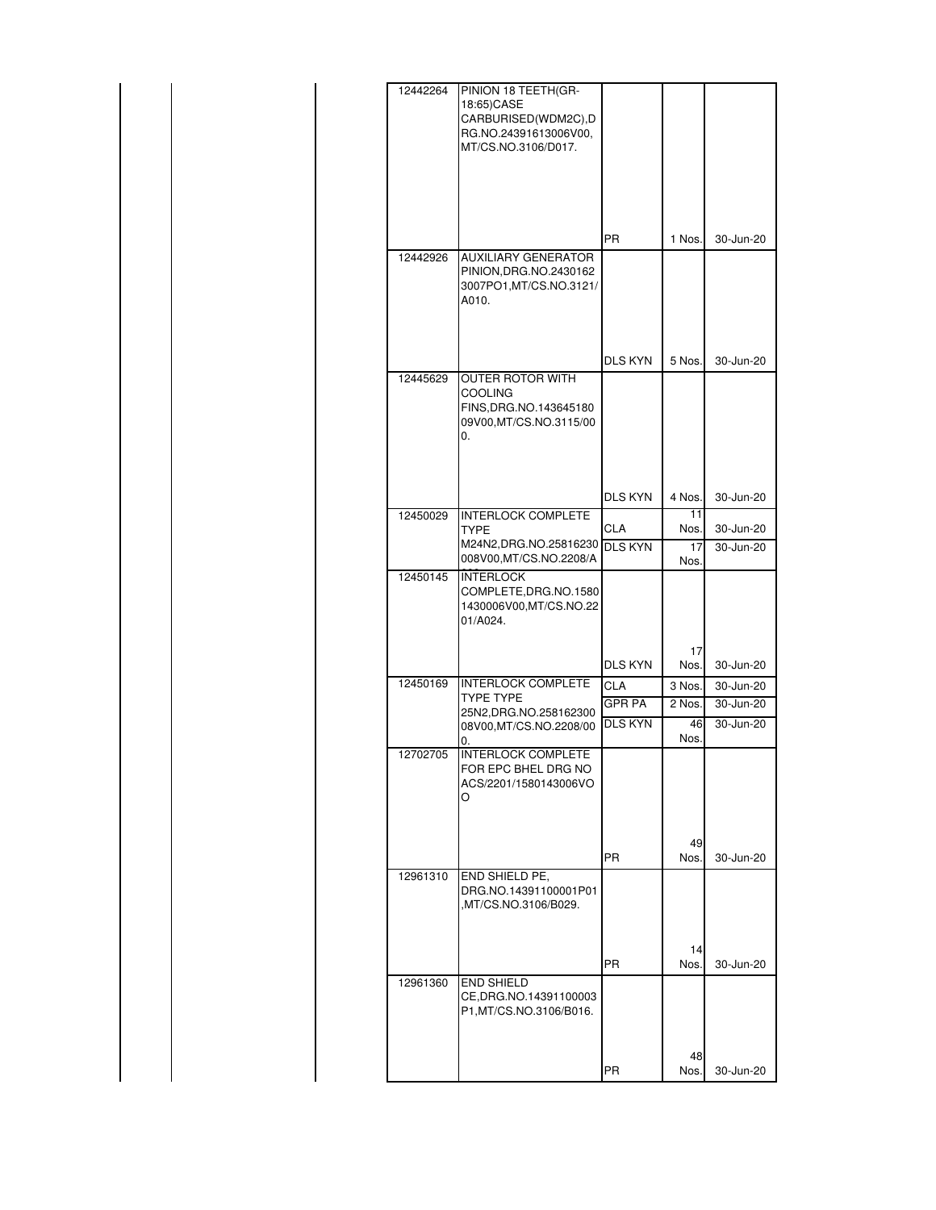|  |  | 12442264 | PINION 18 TEETH(GR-<br>18:65)CASE<br>CARBURISED(WDM2C),D<br>RG.NO.24391613006V00,<br>MT/CS.NO.3106/D017. |                             |                          |                        |
|--|--|----------|----------------------------------------------------------------------------------------------------------|-----------------------------|--------------------------|------------------------|
|  |  |          |                                                                                                          | PR                          | 1 Nos.                   | 30-Jun-20              |
|  |  | 12442926 | <b>AUXILIARY GENERATOR</b><br>PINION, DRG. NO. 2430162<br>3007PO1, MT/CS.NO.3121/<br>A010.               |                             |                          |                        |
|  |  | 12445629 | OUTER ROTOR WITH                                                                                         | <b>DLS KYN</b>              | 5 Nos.                   | 30-Jun-20              |
|  |  |          | <b>COOLING</b><br>FINS, DRG. NO. 143645180<br>09V00, MT/CS.NO.3115/00<br>0.                              |                             |                          |                        |
|  |  |          |                                                                                                          | <b>DLS KYN</b>              | 4 Nos.                   | 30-Jun-20              |
|  |  | 12450029 | <b>INTERLOCK COMPLETE</b><br><b>TYPE</b><br>M24N2, DRG. NO. 25816230 DLS KYN<br>008V00, MT/CS.NO.2208/A  | <b>CLA</b>                  | 11<br>Nos.<br>17<br>Nos. | 30-Jun-20<br>30-Jun-20 |
|  |  | 12450145 | <b>INTERLOCK</b><br>COMPLETE, DRG.NO.1580<br>1430006V00, MT/CS.NO.22<br>01/A024.                         |                             |                          |                        |
|  |  |          |                                                                                                          | <b>DLS KYN</b>              | 17<br>Nos.               | 30-Jun-20              |
|  |  | 12450169 | <b>INTERLOCK COMPLETE</b><br><b>TYPE TYPE</b><br>25N2, DRG. NO. 258162300                                | <b>CLA</b><br><b>GPR PA</b> | 3 Nos.<br>2 Nos.         | 30-Jun-20<br>30-Jun-20 |
|  |  |          | 08V00, MT/CS.NO.2208/00<br>0.                                                                            | <b>DLS KYN</b>              | 46<br>Nos.               | 30-Jun-20              |
|  |  | 12702705 | <b>INTERLOCK COMPLETE</b><br>FOR EPC BHEL DRG NO<br>ACS/2201/1580143006VO<br>O                           |                             |                          |                        |
|  |  | 12961310 | END SHIELD PE,                                                                                           | <b>PR</b>                   | 49<br>Nos.               | 30-Jun-20              |
|  |  |          | DRG.NO.14391100001P01<br>,MT/CS.NO.3106/B029.                                                            |                             |                          |                        |
|  |  |          |                                                                                                          | <b>PR</b>                   | 14<br>Nos.               | 30-Jun-20              |
|  |  | 12961360 | <b>END SHIELD</b><br>CE, DRG. NO. 14391100003<br>P1, MT/CS.NO.3106/B016.                                 |                             |                          |                        |
|  |  |          |                                                                                                          | PR                          | 48<br>Nos.               | 30-Jun-20              |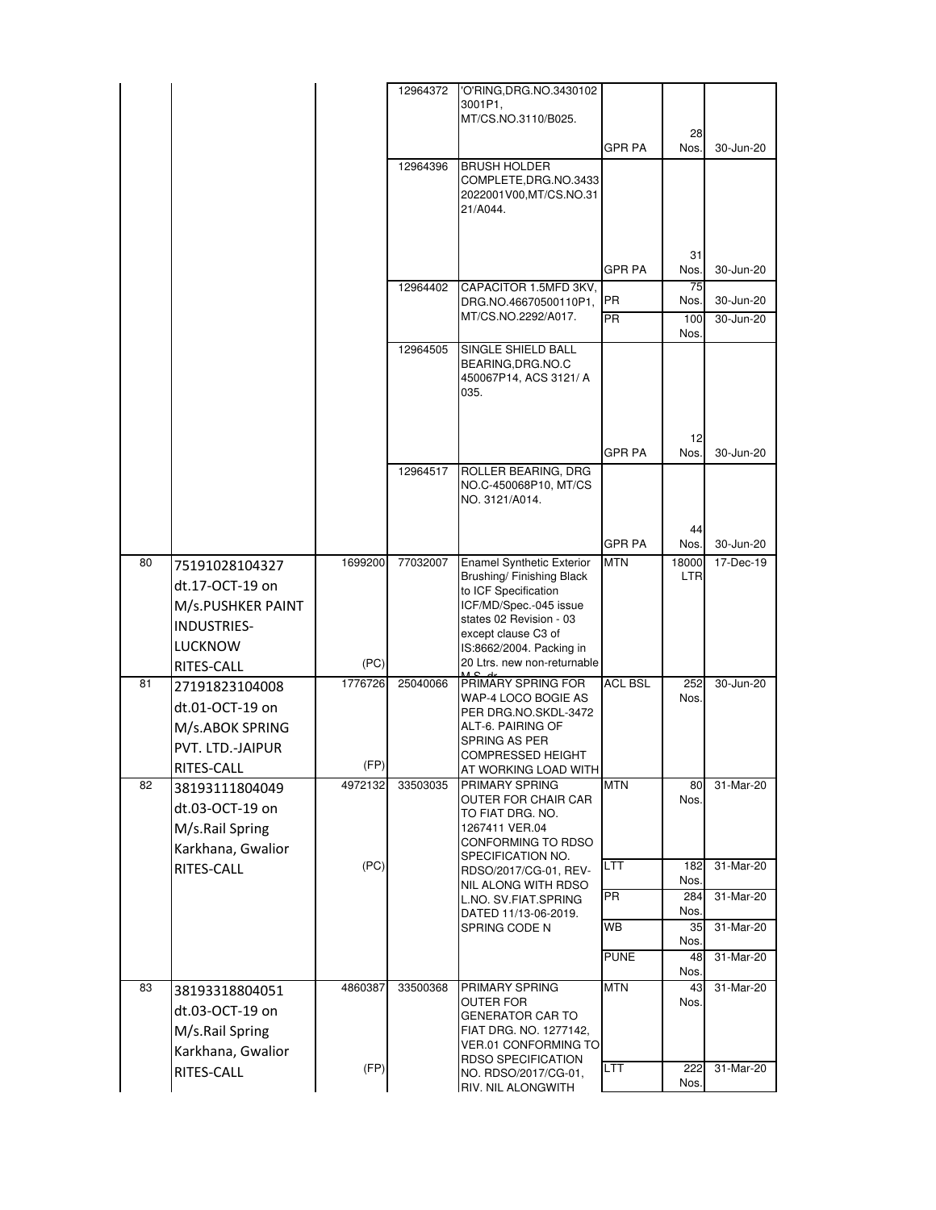|    |                    |         | 12964372 | 'O'RING, DRG. NO. 3430102                                     |                |                     |           |
|----|--------------------|---------|----------|---------------------------------------------------------------|----------------|---------------------|-----------|
|    |                    |         |          | 3001P1,                                                       |                |                     |           |
|    |                    |         |          | MT/CS.NO.3110/B025.                                           |                |                     |           |
|    |                    |         |          |                                                               | <b>GPR PA</b>  | 28<br>Nos.          | 30-Jun-20 |
|    |                    |         |          |                                                               |                |                     |           |
|    |                    |         | 12964396 | <b>BRUSH HOLDER</b><br>COMPLETE, DRG.NO.3433                  |                |                     |           |
|    |                    |         |          | 2022001V00, MT/CS. NO. 31                                     |                |                     |           |
|    |                    |         |          | 21/A044.                                                      |                |                     |           |
|    |                    |         |          |                                                               |                |                     |           |
|    |                    |         |          |                                                               |                |                     |           |
|    |                    |         |          |                                                               |                | 31                  |           |
|    |                    |         |          |                                                               | <b>GPR PA</b>  | Nos.                | 30-Jun-20 |
|    |                    |         | 12964402 | CAPACITOR 1.5MFD 3KV.                                         |                | 75                  |           |
|    |                    |         |          | DRG.NO.46670500110P1,                                         | PR             | Nos.                | 30-Jun-20 |
|    |                    |         |          | MT/CS.NO.2292/A017.                                           | <b>PR</b>      | 100                 | 30-Jun-20 |
|    |                    |         |          |                                                               |                | Nos.                |           |
|    |                    |         | 12964505 | SINGLE SHIELD BALL                                            |                |                     |           |
|    |                    |         |          | BEARING, DRG. NO.C                                            |                |                     |           |
|    |                    |         |          | 450067P14, ACS 3121/A<br>035.                                 |                |                     |           |
|    |                    |         |          |                                                               |                |                     |           |
|    |                    |         |          |                                                               |                |                     |           |
|    |                    |         |          |                                                               |                | 12                  |           |
|    |                    |         |          |                                                               | <b>GPR PA</b>  | Nos.                | 30-Jun-20 |
|    |                    |         | 12964517 | ROLLER BEARING, DRG                                           |                |                     |           |
|    |                    |         |          | NO.C-450068P10, MT/CS                                         |                |                     |           |
|    |                    |         |          | NO. 3121/A014.                                                |                |                     |           |
|    |                    |         |          |                                                               |                |                     |           |
|    |                    |         |          |                                                               | <b>GPR PA</b>  | 44                  | 30-Jun-20 |
|    |                    |         |          |                                                               |                | Nos.                |           |
| 80 | 75191028104327     | 1699200 | 77032007 | <b>Enamel Synthetic Exterior</b><br>Brushing/ Finishing Black | <b>MTN</b>     | 18000<br><b>LTR</b> | 17-Dec-19 |
|    | dt.17-OCT-19 on    |         |          | to ICF Specification                                          |                |                     |           |
|    | M/s.PUSHKER PAINT  |         |          | ICF/MD/Spec.-045 issue                                        |                |                     |           |
|    | <b>INDUSTRIES-</b> |         |          | states 02 Revision - 03                                       |                |                     |           |
|    |                    |         |          | except clause C3 of                                           |                |                     |           |
|    | <b>LUCKNOW</b>     |         |          | IS:8662/2004. Packing in                                      |                |                     |           |
|    | RITES-CALL         | (PC)    |          | 20 Ltrs. new non-returnable                                   |                |                     |           |
| 81 | 27191823104008     | 1776726 | 25040066 | PRIMARY SPRING FOR                                            | <b>ACL BSL</b> | 252                 | 30-Jun-20 |
|    | dt.01-OCT-19 on    |         |          | WAP-4 LOCO BOGIE AS<br>PER DRG.NO.SKDL-3472                   |                | Nos.                |           |
|    | M/s.ABOK SPRING    |         |          | ALT-6. PAIRING OF                                             |                |                     |           |
|    |                    |         |          | SPRING AS PER                                                 |                |                     |           |
|    | PVT. LTD.-JAIPUR   |         |          | COMPRESSED HEIGHT                                             |                |                     |           |
|    | RITES-CALL         | (FP)    |          | AT WORKING LOAD WITH                                          |                |                     |           |
| 82 | 38193111804049     | 4972132 | 33503035 | PRIMARY SPRING                                                | <b>MTN</b>     | 80                  | 31-Mar-20 |
|    | dt.03-OCT-19 on    |         |          | OUTER FOR CHAIR CAR<br>TO FIAT DRG. NO.                       |                | Nos.                |           |
|    | M/s.Rail Spring    |         |          | 1267411 VER.04                                                |                |                     |           |
|    |                    |         |          | CONFORMING TO RDSO                                            |                |                     |           |
|    | Karkhana, Gwalior  |         |          | SPECIFICATION NO.                                             |                |                     |           |
|    | RITES-CALL         | (PC)    |          | RDSO/2017/CG-01, REV-                                         | LTT.           | 182<br>Nos.         | 31-Mar-20 |
|    |                    |         |          | NIL ALONG WITH RDSO                                           | <b>PR</b>      | 284                 | 31-Mar-20 |
|    |                    |         |          | L.NO. SV.FIAT.SPRING<br>DATED 11/13-06-2019.                  |                | Nos.                |           |
|    |                    |         |          | SPRING CODE N                                                 | WB             | 35                  | 31-Mar-20 |
|    |                    |         |          |                                                               |                | Nos.                |           |
|    |                    |         |          |                                                               | <b>PUNE</b>    | 48                  | 31-Mar-20 |
|    |                    |         |          |                                                               |                | Nos.                |           |
| 83 | 38193318804051     | 4860387 | 33500368 | PRIMARY SPRING                                                | <b>MTN</b>     | 43                  | 31-Mar-20 |
|    | dt.03-OCT-19 on    |         |          | <b>OUTER FOR</b><br><b>GENERATOR CAR TO</b>                   |                | Nos.                |           |
|    | M/s.Rail Spring    |         |          | FIAT DRG. NO. 1277142.                                        |                |                     |           |
|    |                    |         |          | <b>VER.01 CONFORMING TO</b>                                   |                |                     |           |
|    | Karkhana, Gwalior  |         |          | <b>RDSO SPECIFICATION</b>                                     |                |                     |           |
|    | RITES-CALL         | (FP)    |          | NO. RDSO/2017/CG-01,                                          | <b>LTT</b>     | 222                 | 31-Mar-20 |
|    |                    |         |          | RIV. NIL ALONGWITH                                            |                | Nos.                |           |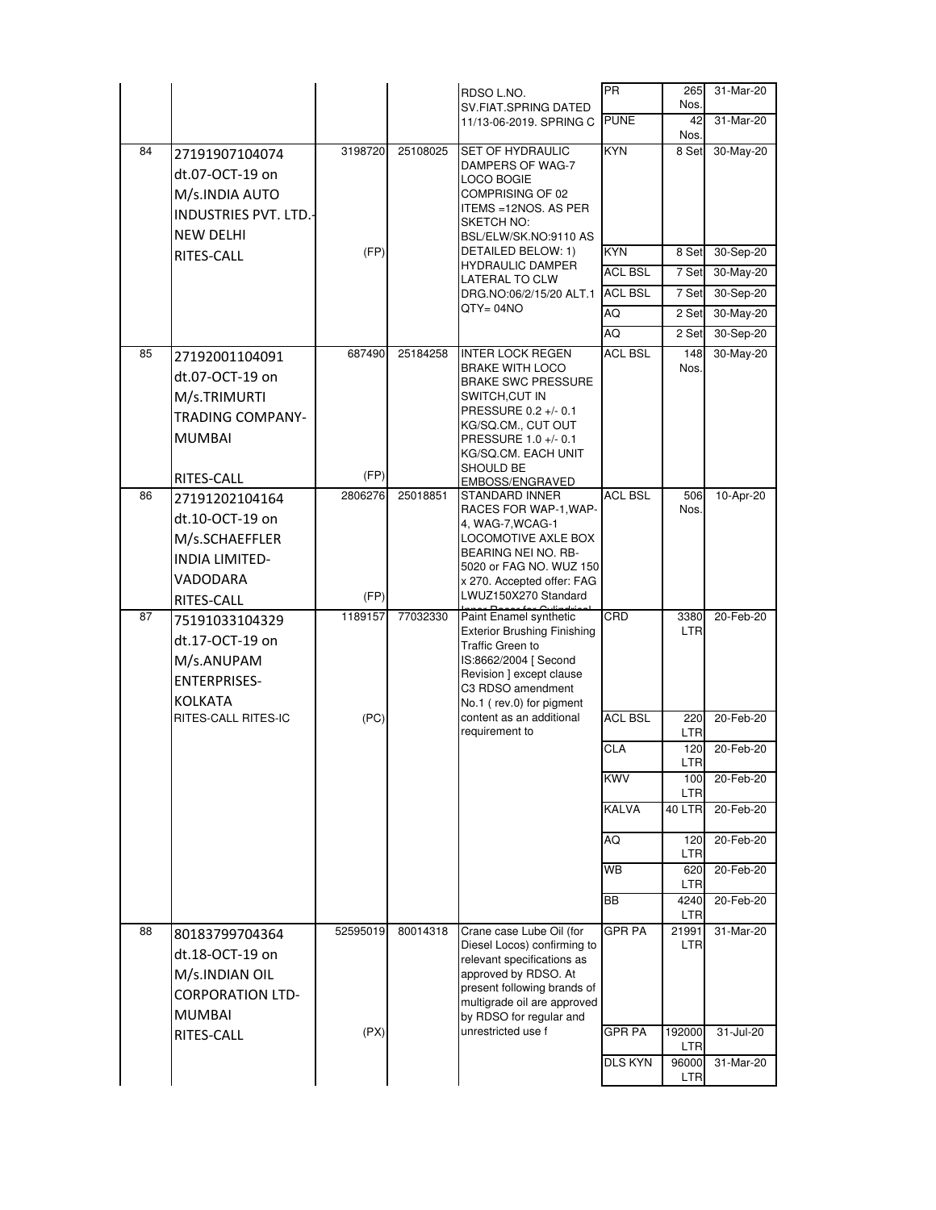|    |                                   |          |          | RDSO L.NO.<br>SV.FIAT.SPRING DATED                     | <b>PR</b>      | 265<br>Nos.                | 31-Mar-20              |
|----|-----------------------------------|----------|----------|--------------------------------------------------------|----------------|----------------------------|------------------------|
|    |                                   |          |          | 11/13-06-2019. SPRING C                                | <b>PUNE</b>    | 42                         | 31-Mar-20              |
| 84 | 27191907104074                    | 3198720  | 25108025 | SET OF HYDRAULIC                                       | <b>KYN</b>     | Nos.<br>8 Set              | 30-May-20              |
|    | dt.07-OCT-19 on                   |          |          | DAMPERS OF WAG-7                                       |                |                            |                        |
|    | M/s.INDIA AUTO                    |          |          | LOCO BOGIE<br>COMPRISING OF 02                         |                |                            |                        |
|    | <b>INDUSTRIES PVT. LTD.-</b>      |          |          | ITEMS = 12NOS. AS PER<br>SKETCH NO:                    |                |                            |                        |
|    | <b>NEW DELHI</b>                  |          |          | BSL/ELW/SK.NO:9110 AS                                  |                |                            |                        |
|    | RITES-CALL                        | (FP)     |          | DETAILED BELOW: 1)<br><b>HYDRAULIC DAMPER</b>          | <b>KYN</b>     | 8 Set                      | 30-Sep-20              |
|    |                                   |          |          | <b>LATERAL TO CLW</b>                                  | <b>ACL BSL</b> | 7 Set                      | 30-May-20              |
|    |                                   |          |          | DRG.NO:06/2/15/20 ALT.1<br>QTY= 04NO                   | <b>ACL BSL</b> | 7 Set                      | 30-Sep-20              |
|    |                                   |          |          |                                                        | AQ<br>AQ       | 2 Set                      | 30-May-20              |
| 85 |                                   | 687490   | 25184258 | <b>INTER LOCK REGEN</b>                                | <b>ACL BSL</b> | 2 Set<br>148               | 30-Sep-20<br>30-May-20 |
|    | 27192001104091<br>dt.07-OCT-19 on |          |          | <b>BRAKE WITH LOCO</b>                                 |                | Nos.                       |                        |
|    | M/s.TRIMURTI                      |          |          | <b>BRAKE SWC PRESSURE</b><br>SWITCH,CUT IN             |                |                            |                        |
|    | <b>TRADING COMPANY-</b>           |          |          | PRESSURE 0.2 +/- 0.1                                   |                |                            |                        |
|    | <b>MUMBAI</b>                     |          |          | KG/SQ.CM., CUT OUT<br>PRESSURE 1.0 +/- 0.1             |                |                            |                        |
|    |                                   |          |          | KG/SQ.CM. EACH UNIT                                    |                |                            |                        |
|    | RITES-CALL                        | (FP)     |          | SHOULD BE<br>EMBOSS/ENGRAVED                           |                |                            |                        |
| 86 | 27191202104164                    | 2806276  | 25018851 | STANDARD INNER<br>RACES FOR WAP-1, WAP-                | <b>ACL BSL</b> | 506<br>Nos.                | 10-Apr-20              |
|    | dt.10-OCT-19 on                   |          |          | 4, WAG-7, WCAG-1                                       |                |                            |                        |
|    | M/s.SCHAEFFLER                    |          |          | LOCOMOTIVE AXLE BOX<br>BEARING NEI NO. RB-             |                |                            |                        |
|    | <b>INDIA LIMITED-</b>             |          |          | 5020 or FAG NO. WUZ 150                                |                |                            |                        |
|    | VADODARA                          | (FP)     |          | x 270. Accepted offer: FAG<br>LWUZ150X270 Standard     |                |                            |                        |
| 87 | RITES-CALL<br>75191033104329      | 1189157  | 77032330 | Paint Enamel synthetic                                 | CRD            | 3380                       | 20-Feb-20              |
|    | dt.17-OCT-19 on                   |          |          | <b>Exterior Brushing Finishing</b>                     |                | <b>LTR</b>                 |                        |
|    | M/s.ANUPAM                        |          |          | Traffic Green to<br>IS:8662/2004 [ Second              |                |                            |                        |
|    |                                   |          |          |                                                        |                |                            |                        |
|    | <b>ENTERPRISES-</b>               |          |          | Revision ] except clause                               |                |                            |                        |
|    | <b>KOLKATA</b>                    |          |          | C3 RDSO amendment<br>No.1 (rev.0) for pigment          |                |                            |                        |
|    | RITES-CALL RITES-IC               | (PC)     |          | content as an additional                               | <b>ACL BSL</b> | 220                        | 20-Feb-20              |
|    |                                   |          |          | requirement to                                         | CLA            | <b>LTR</b><br>120          | 20-Feb-20              |
|    |                                   |          |          |                                                        |                | <b>LTR</b>                 |                        |
|    |                                   |          |          |                                                        | <b>KWV</b>     | 100<br>LTR                 | 20-Feb-20              |
|    |                                   |          |          |                                                        | <b>KALVA</b>   | <b>40 LTR</b>              | 20-Feb-20              |
|    |                                   |          |          |                                                        | ΑQ             | 120                        | 20-Feb-20              |
|    |                                   |          |          |                                                        |                | LTR                        |                        |
|    |                                   |          |          |                                                        | <b>WB</b>      | 620<br><b>LTR</b>          | 20-Feb-20              |
|    |                                   |          |          |                                                        | <b>BB</b>      | 4240                       | 20-Feb-20              |
| 88 | 80183799704364                    | 52595019 | 80014318 | Crane case Lube Oil (for                               | <b>GPR PA</b>  | LTR<br>21991               | 31-Mar-20              |
|    | dt.18-OCT-19 on                   |          |          | Diesel Locos) confirming to                            |                | LTR                        |                        |
|    | M/s.INDIAN OIL                    |          |          | relevant specifications as<br>approved by RDSO. At     |                |                            |                        |
|    | <b>CORPORATION LTD-</b>           |          |          | present following brands of                            |                |                            |                        |
|    | <b>MUMBAI</b>                     |          |          | multigrade oil are approved<br>by RDSO for regular and |                |                            |                        |
|    | RITES-CALL                        | (PX)     |          | unrestricted use f                                     | <b>GPR PA</b>  | 192000                     | 31-Jul-20              |
|    |                                   |          |          |                                                        | <b>DLS KYN</b> | <b>LTR</b><br>96000<br>LTR | 31-Mar-20              |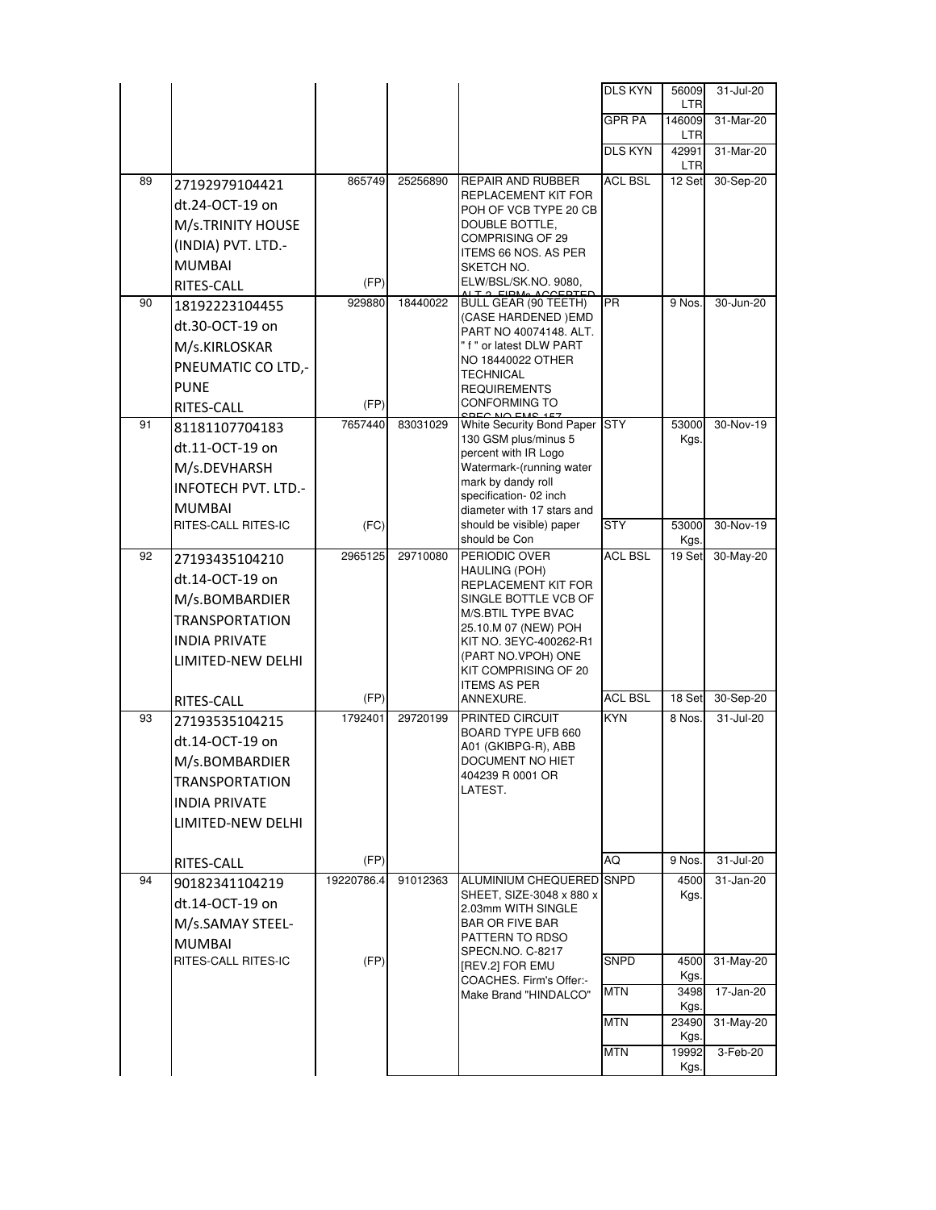|    |                              |            |          |                                                   | <b>DLS KYN</b> | 56009         | 31-Jul-20 |
|----|------------------------------|------------|----------|---------------------------------------------------|----------------|---------------|-----------|
|    |                              |            |          |                                                   | GPR PA         | LTR<br>146009 | 31-Mar-20 |
|    |                              |            |          |                                                   |                | LTR           |           |
|    |                              |            |          |                                                   | DLS KYN        | 42991<br>LTR  | 31-Mar-20 |
| 89 | 27192979104421               | 865749     | 25256890 | REPAIR AND RUBBER                                 | ACL BSL        | 12 Set        | 30-Sep-20 |
|    | dt.24-OCT-19 on              |            |          | REPLACEMENT KIT FOR<br>POH OF VCB TYPE 20 CB      |                |               |           |
|    | M/s.TRINITY HOUSE            |            |          | DOUBLE BOTTLE,                                    |                |               |           |
|    | (INDIA) PVT. LTD.-           |            |          | COMPRISING OF 29<br>ITEMS 66 NOS. AS PER          |                |               |           |
|    | <b>MUMBAI</b>                |            |          | SKETCH NO.                                        |                |               |           |
|    | RITES-CALL                   | (FP)       |          | ELW/BSL/SK.NO. 9080,                              |                |               |           |
| 90 | 18192223104455               | 929880     | 18440022 | BULL GEAR (90 TEETH)                              | <b>PR</b>      | 9 Nos         | 30-Jun-20 |
|    | dt.30-OCT-19 on              |            |          | (CASE HARDENED) EMD<br>PART NO 40074148. ALT.     |                |               |           |
|    | M/s.KIRLOSKAR                |            |          | " f " or latest DLW PART                          |                |               |           |
|    | PNEUMATIC CO LTD,-           |            |          | NO 18440022 OTHER<br>TECHNICAL                    |                |               |           |
|    | <b>PUNE</b>                  |            |          | <b>REQUIREMENTS</b>                               |                |               |           |
|    | RITES-CALL                   | (FP)       |          | <b>CONFORMING TO</b>                              |                |               |           |
| 91 | 81181107704183               | 7657440    | 83031029 | White Security Bond Paper<br>130 GSM plus/minus 5 | <b>STY</b>     | 53000<br>Kgs. | 30-Nov-19 |
|    | dt.11-OCT-19 on              |            |          | percent with IR Logo                              |                |               |           |
|    | M/s.DEVHARSH                 |            |          | Watermark-(running water                          |                |               |           |
|    | <b>INFOTECH PVT. LTD.-</b>   |            |          | mark by dandy roll<br>specification-02 inch       |                |               |           |
|    | <b>MUMBAI</b>                |            |          | diameter with 17 stars and                        |                |               |           |
|    | RITES-CALL RITES-IC          | (FC)       |          | should be visible) paper<br>should be Con         | <b>STY</b>     | 53000<br>Kgs. | 30-Nov-19 |
| 92 | 27193435104210               | 2965125    | 29710080 | PERIODIC OVER                                     | <b>ACL BSL</b> | 19 Set        | 30-May-20 |
|    | dt.14-OCT-19 on              |            |          | HAULING (POH)<br>REPLACEMENT KIT FOR              |                |               |           |
|    | M/s.BOMBARDIER               |            |          | SINGLE BOTTLE VCB OF                              |                |               |           |
|    | <b>TRANSPORTATION</b>        |            |          | M/S.BTIL TYPE BVAC<br>25.10.M 07 (NEW) POH        |                |               |           |
|    | <b>INDIA PRIVATE</b>         |            |          | KIT NO. 3EYC-400262-R1                            |                |               |           |
|    | LIMITED-NEW DELHI            |            |          | (PART NO.VPOH) ONE<br>KIT COMPRISING OF 20        |                |               |           |
|    |                              |            |          | <b>ITEMS AS PER</b>                               |                |               |           |
|    | RITES-CALL                   | (FP)       |          | ANNEXURE.                                         | <b>ACL BSL</b> | 18 Set        | 30-Sep-20 |
| 93 | 27193535104215               | 1792401    | 29720199 | PRINTED CIRCUIT<br>BOARD TYPE UFB 660             | <b>KYN</b>     | 8 Nos.        | 31-Jul-20 |
|    | dt.14-OCT-19 on              |            |          | A01 (GKIBPG-R), ABB                               |                |               |           |
|    | M/s.BOMBARDIER               |            |          | DOCUMENT NO HIET                                  |                |               |           |
|    | <b>TRANSPORTATION</b>        |            |          | 404239 R 0001 OR<br>LATEST.                       |                |               |           |
|    | <b>INDIA PRIVATE</b>         |            |          |                                                   |                |               |           |
|    | LIMITED-NEW DELHI            |            |          |                                                   |                |               |           |
|    |                              | (FP)       |          |                                                   | AQ             | 9 Nos.        | 31-Jul-20 |
| 94 | RITES-CALL<br>90182341104219 | 19220786.4 | 91012363 | ALUMINIUM CHEQUERED SNPD                          |                | 4500          | 31-Jan-20 |
|    | dt.14-OCT-19 on              |            |          | SHEET, SIZE-3048 x 880 x                          |                | Kgs.          |           |
|    | M/s.SAMAY STEEL-             |            |          | 2.03mm WITH SINGLE<br><b>BAR OR FIVE BAR</b>      |                |               |           |
|    | <b>MUMBAI</b>                |            |          | PATTERN TO RDSO                                   |                |               |           |
|    | RITES-CALL RITES-IC          | (FP)       |          | SPECN.NO. C-8217                                  | <b>SNPD</b>    | 4500          | 31-May-20 |
|    |                              |            |          | [REV.2] FOR EMU<br>COACHES. Firm's Offer:-        |                | Kgs.          |           |
|    |                              |            |          | Make Brand "HINDALCO"                             | <b>MTN</b>     | 3498<br>Kgs.  | 17-Jan-20 |
|    |                              |            |          |                                                   | <b>MTN</b>     | 23490         | 31-May-20 |
|    |                              |            |          |                                                   | <b>MTN</b>     | Kgs.          |           |
|    |                              |            |          |                                                   |                | 19992<br>Kgs. | 3-Feb-20  |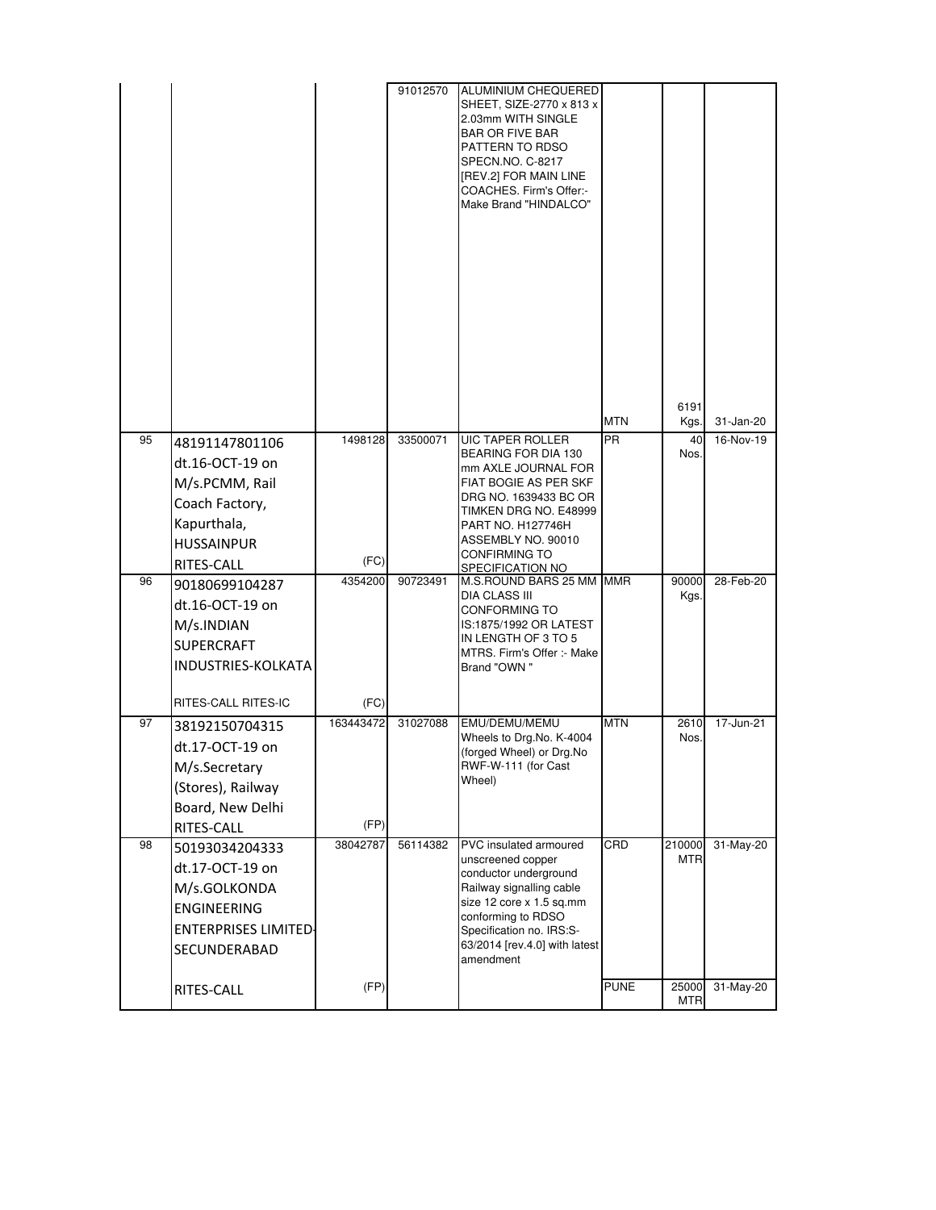|    |                                                                                                                                      |                   | 91012570 | ALUMINIUM CHEQUERED<br>SHEET, SIZE-2770 x 813 x<br>2.03mm WITH SINGLE<br><b>BAR OR FIVE BAR</b><br>PATTERN TO RDSO<br>SPECN.NO. C-8217<br>[REV.2] FOR MAIN LINE<br>COACHES. Firm's Offer:-<br>Make Brand "HINDALCO"                            |                    |                               |                        |
|----|--------------------------------------------------------------------------------------------------------------------------------------|-------------------|----------|------------------------------------------------------------------------------------------------------------------------------------------------------------------------------------------------------------------------------------------------|--------------------|-------------------------------|------------------------|
|    |                                                                                                                                      |                   |          |                                                                                                                                                                                                                                                | <b>MTN</b>         | 6191<br>Kgs.                  | 31-Jan-20              |
| 95 | 48191147801106<br>dt.16-OCT-19 on<br>M/s.PCMM, Rail<br>Coach Factory,<br>Kapurthala,<br><b>HUSSAINPUR</b><br>RITES-CALL              | 1498128<br>(FC)   | 33500071 | <b>UIC TAPER ROLLER</b><br>BEARING FOR DIA 130<br>mm AXLE JOURNAL FOR<br>FIAT BOGIE AS PER SKF<br>DRG NO. 1639433 BC OR<br>TIMKEN DRG NO. E48999<br>PART NO. H127746H<br>ASSEMBLY NO. 90010<br><b>CONFIRMING TO</b><br><b>SPECIFICATION NO</b> | <b>PR</b>          | 40<br>Nos.                    | 16-Nov-19              |
| 96 | 90180699104287<br>dt.16-OCT-19 on<br>M/s.INDIAN<br><b>SUPERCRAFT</b><br>INDUSTRIES-KOLKATA<br>RITES-CALL RITES-IC                    | 4354200<br>(FC)   | 90723491 | M.S.ROUND BARS 25 MM MMR<br>DIA CLASS III<br><b>CONFORMING TO</b><br>IS:1875/1992 OR LATEST<br>IN LENGTH OF 3 TO 5<br>MTRS. Firm's Offer :- Make<br>Brand "OWN"                                                                                |                    | 90000<br>Kgs.                 | 28-Feb-20              |
| 97 | 38192150704315<br>dt.17-OCT-19 on<br>M/s.Secretary<br>(Stores), Railway<br>Board, New Delhi<br>RITES-CALL                            | 163443472<br>(FP) | 31027088 | EMU/DEMU/MEMU<br>Wheels to Drg.No. K-4004<br>(forged Wheel) or Drg.No<br>RWF-W-111 (for Cast<br>Wheel)                                                                                                                                         | <b>MTN</b>         | 2610<br>Nos.                  | 17-Jun-21              |
| 98 | 50193034204333<br>dt.17-OCT-19 on<br>M/s.GOLKONDA<br><b>ENGINEERING</b><br><b>ENTERPRISES LIMITED-</b><br>SECUNDERABAD<br>RITES-CALL | 38042787<br>(FP)  | 56114382 | PVC insulated armoured<br>unscreened copper<br>conductor underground<br>Railway signalling cable<br>size 12 core x 1.5 sq.mm<br>conforming to RDSO<br>Specification no. IRS:S-<br>63/2014 [rev.4.0] with latest<br>amendment                   | CRD<br><b>PUNE</b> | 210000<br><b>MTR</b><br>25000 | 31-May-20<br>31-May-20 |
|    |                                                                                                                                      |                   |          |                                                                                                                                                                                                                                                |                    | <b>MTR</b>                    |                        |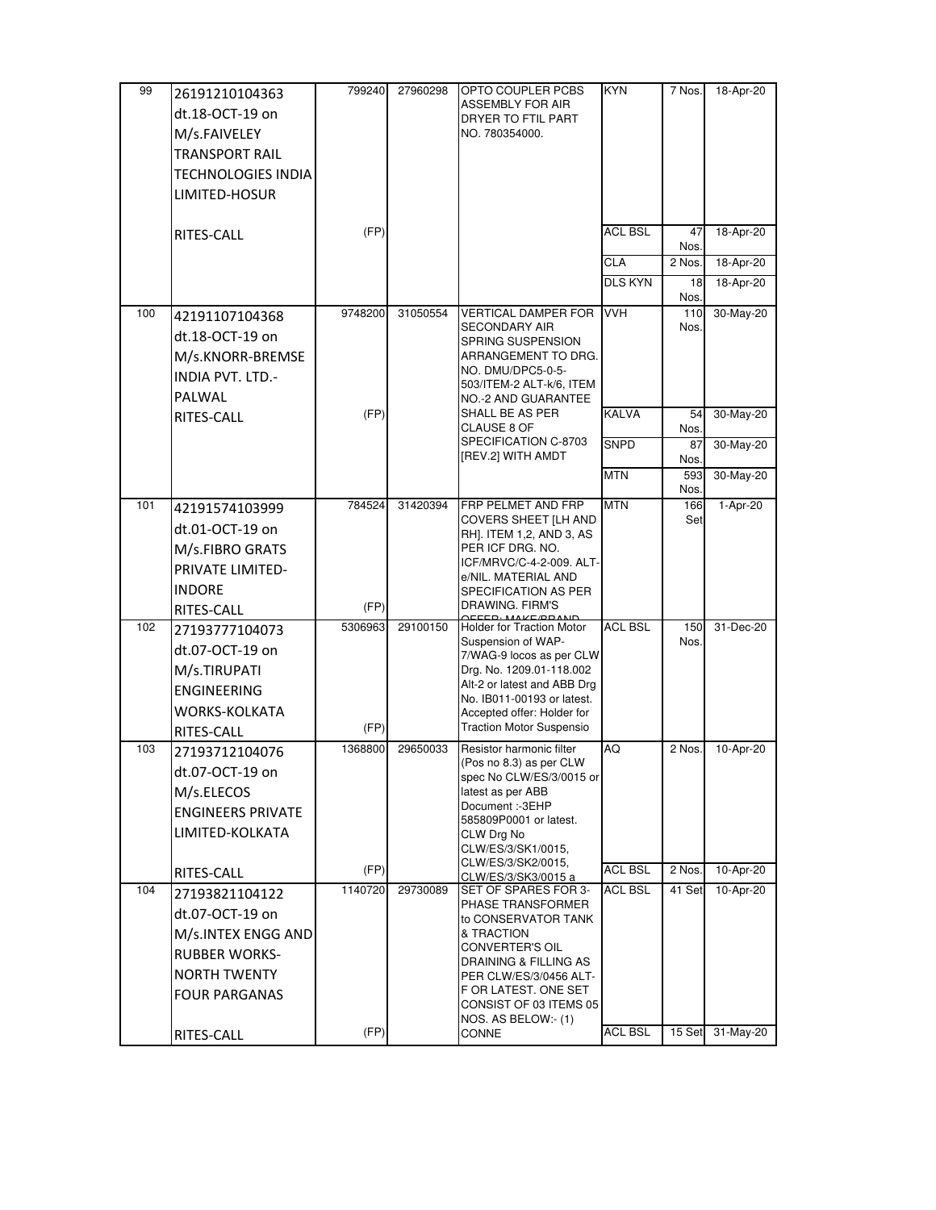| 99  | 26191210104363            | 799240  | 27960298 | OPTO COUPLER PCBS                                        | KYN                          | 7 Nos.      | 18-Apr-20 |
|-----|---------------------------|---------|----------|----------------------------------------------------------|------------------------------|-------------|-----------|
|     | dt.18-OCT-19 on           |         |          | <b>ASSEMBLY FOR AIR</b><br>DRYER TO FTIL PART            |                              |             |           |
|     | M/s.FAIVELEY              |         |          | NO. 780354000.                                           |                              |             |           |
|     | <b>TRANSPORT RAIL</b>     |         |          |                                                          |                              |             |           |
|     | <b>TECHNOLOGIES INDIA</b> |         |          |                                                          |                              |             |           |
|     | LIMITED-HOSUR             |         |          |                                                          |                              |             |           |
|     |                           |         |          |                                                          |                              |             |           |
|     | RITES-CALL                | (FP)    |          |                                                          | <b>ACL BSL</b>               | 47          | 18-Apr-20 |
|     |                           |         |          |                                                          |                              | Nos.        |           |
|     |                           |         |          |                                                          | <b>CLA</b><br><b>DLS KYN</b> | 2 Nos.      | 18-Apr-20 |
|     |                           |         |          |                                                          |                              | 18<br>Nos.  | 18-Apr-20 |
| 100 | 42191107104368            | 9748200 | 31050554 | <b>VERTICAL DAMPER FOR</b>                               | <b>VVH</b>                   | 110         | 30-May-20 |
|     | dt.18-OCT-19 on           |         |          | <b>SECONDARY AIR</b><br>SPRING SUSPENSION                |                              | Nos.        |           |
|     | M/s.KNORR-BREMSE          |         |          | ARRANGEMENT TO DRG.                                      |                              |             |           |
|     | <b>INDIA PVT. LTD.-</b>   |         |          | NO. DMU/DPC5-0-5-<br>503/ITEM-2 ALT-k/6, ITEM            |                              |             |           |
|     | PALWAL                    |         |          | NO.-2 AND GUARANTEE                                      |                              |             |           |
|     | RITES-CALL                | (FP)    |          | SHALL BE AS PER<br>CLAUSE 8 OF                           | <b>KALVA</b>                 | 54<br>Nos.  | 30-May-20 |
|     |                           |         |          | SPECIFICATION C-8703                                     | <b>SNPD</b>                  | 87          | 30-May-20 |
|     |                           |         |          | [REV.2] WITH AMDT                                        |                              | Nos.        |           |
|     |                           |         |          |                                                          | <b>MTN</b>                   | 593<br>Nos. | 30-May-20 |
| 101 | 42191574103999            | 784524  | 31420394 | FRP PELMET AND FRP                                       | <b>MTN</b>                   | 166         | 1-Apr-20  |
|     | dt.01-OCT-19 on           |         |          | COVERS SHEET [LH AND<br>RH]. ITEM 1,2, AND 3, AS         |                              | Set         |           |
|     | M/s.FIBRO GRATS           |         |          | PER ICF DRG. NO.                                         |                              |             |           |
|     | PRIVATE LIMITED-          |         |          | ICF/MRVC/C-4-2-009. ALT-                                 |                              |             |           |
|     | <b>INDORE</b>             |         |          | e/NIL. MATERIAL AND<br>SPECIFICATION AS PER              |                              |             |           |
|     | RITES-CALL                | (FP)    |          | DRAWING. FIRM'S                                          |                              |             |           |
| 102 | 27193777104073            | 5306963 | 29100150 | <b>Holder for Traction Motor</b>                         | <b>ACL BSL</b>               | 150         | 31-Dec-20 |
|     | dt.07-OCT-19 on           |         |          | Suspension of WAP-<br>7/WAG-9 locos as per CLW           |                              | Nos.        |           |
|     | M/s.TIRUPATI              |         |          | Drg. No. 1209.01-118.002                                 |                              |             |           |
|     | <b>ENGINEERING</b>        |         |          | Alt-2 or latest and ABB Drg                              |                              |             |           |
|     | <b>WORKS-KOLKATA</b>      |         |          | No. IB011-00193 or latest.<br>Accepted offer: Holder for |                              |             |           |
|     | RITES-CALL                | (FP)    |          | Traction Motor Suspensio                                 |                              |             |           |
| 103 | 27193712104076            | 1368800 | 29650033 | Resistor harmonic filter                                 | AQ                           | 2 Nos.      | 10-Apr-20 |
|     | dt.07-OCT-19 on           |         |          | (Pos no 8.3) as per CLW<br>spec No CLW/ES/3/0015 or      |                              |             |           |
|     | M/s.ELECOS                |         |          | latest as per ABB                                        |                              |             |           |
|     | <b>ENGINEERS PRIVATE</b>  |         |          | Document :- 3EHP                                         |                              |             |           |
|     | LIMITED-KOLKATA           |         |          | 585809P0001 or latest.<br>CLW Drg No                     |                              |             |           |
|     |                           |         |          | CLW/ES/3/SK1/0015,                                       |                              |             |           |
|     | RITES-CALL                | (FP)    |          | CLW/ES/3/SK2/0015,<br>CLW/ES/3/SK3/0015 a                | <b>ACL BSL</b>               | 2 Nos.      | 10-Apr-20 |
| 104 | 27193821104122            | 1140720 | 29730089 | SET OF SPARES FOR 3-<br>PHASE TRANSFORMER                | <b>ACL BSL</b>               | 41 Set      | 10-Apr-20 |
|     | dt.07-OCT-19 on           |         |          | to CONSERVATOR TANK                                      |                              |             |           |
|     | M/s.INTEX ENGG AND        |         |          | & TRACTION                                               |                              |             |           |
|     | <b>RUBBER WORKS-</b>      |         |          | CONVERTER'S OIL<br>DRAINING & FILLING AS                 |                              |             |           |
|     | <b>NORTH TWENTY</b>       |         |          | PER CLW/ES/3/0456 ALT-                                   |                              |             |           |
|     | <b>FOUR PARGANAS</b>      |         |          | F OR LATEST. ONE SET                                     |                              |             |           |
|     |                           |         |          | CONSIST OF 03 ITEMS 05<br>NOS. AS BELOW:- (1)            |                              |             |           |
|     | RITES-CALL                | (FP)    |          | CONNE                                                    | <b>ACL BSL</b>               | 15 Set      | 31-May-20 |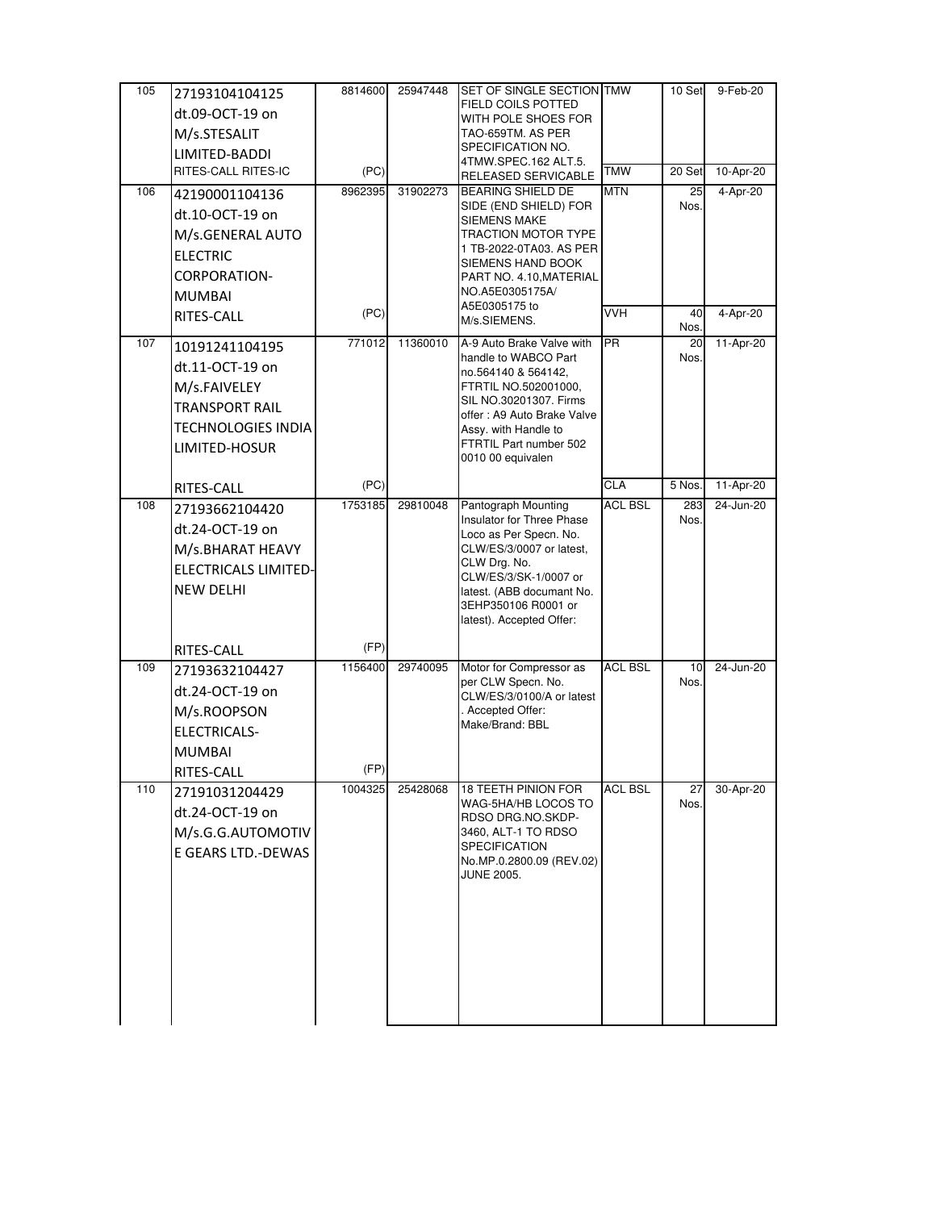| 105 | 27193104104125              | 8814600 | 25947448 | SET OF SINGLE SECTION TMW                               |                | 10 Set      | 9-Feb-20  |
|-----|-----------------------------|---------|----------|---------------------------------------------------------|----------------|-------------|-----------|
|     | dt.09-OCT-19 on             |         |          | FIELD COILS POTTED                                      |                |             |           |
|     | M/s.STESALIT                |         |          | WITH POLE SHOES FOR<br>TAO-659TM. AS PER                |                |             |           |
|     | LIMITED-BADDI               |         |          | SPECIFICATION NO.                                       |                |             |           |
|     | RITES-CALL RITES-IC         | (PC)    |          | 4TMW.SPEC.162 ALT.5.                                    | <b>TMW</b>     | 20 Set      | 10-Apr-20 |
| 106 |                             | 8962395 | 31902273 | RELEASED SERVICABLE<br><b>BEARING SHIELD DE</b>         | <b>MTN</b>     | 25          | 4-Apr-20  |
|     | 42190001104136              |         |          | SIDE (END SHIELD) FOR                                   |                | Nos.        |           |
|     | dt.10-OCT-19 on             |         |          | SIEMENS MAKE                                            |                |             |           |
|     | M/s.GENERAL AUTO            |         |          | TRACTION MOTOR TYPE<br>1 TB-2022-0TA03. AS PER          |                |             |           |
|     | <b>ELECTRIC</b>             |         |          | SIEMENS HAND BOOK                                       |                |             |           |
|     | <b>CORPORATION-</b>         |         |          | PART NO. 4.10, MATERIAL                                 |                |             |           |
|     | <b>MUMBAI</b>               |         |          | NO.A5E0305175A/<br>A5E0305175 to                        |                |             |           |
|     | RITES-CALL                  | (PC)    |          | M/s.SIEMENS.                                            | <b>VVH</b>     | 40<br>Nos.  | 4-Apr-20  |
| 107 | 10191241104195              | 771012  | 11360010 | A-9 Auto Brake Valve with                               | <b>PR</b>      | 20          | 11-Apr-20 |
|     | dt.11-OCT-19 on             |         |          | handle to WABCO Part<br>no.564140 & 564142,             |                | Nos.        |           |
|     | M/s.FAIVELEY                |         |          | FTRTIL NO.502001000,                                    |                |             |           |
|     | <b>TRANSPORT RAIL</b>       |         |          | SIL NO.30201307. Firms<br>offer: A9 Auto Brake Valve    |                |             |           |
|     | <b>TECHNOLOGIES INDIA</b>   |         |          | Assy. with Handle to                                    |                |             |           |
|     | LIMITED-HOSUR               |         |          | FTRTIL Part number 502                                  |                |             |           |
|     |                             |         |          | 0010 00 equivalen                                       |                |             |           |
|     | RITES-CALL                  | (PC)    |          |                                                         | CLA            | 5 Nos.      | 11-Apr-20 |
| 108 | 27193662104420              | 1753185 | 29810048 | Pantograph Mounting<br><b>Insulator for Three Phase</b> | <b>ACL BSL</b> | 283<br>Nos. | 24-Jun-20 |
|     | dt.24-OCT-19 on             |         |          | Loco as Per Specn. No.                                  |                |             |           |
|     | M/s.BHARAT HEAVY            |         |          | CLW/ES/3/0007 or latest,                                |                |             |           |
|     | <b>ELECTRICALS LIMITED-</b> |         |          | CLW Drg. No.<br>CLW/ES/3/SK-1/0007 or                   |                |             |           |
|     | <b>NEW DELHI</b>            |         |          | latest. (ABB documant No.                               |                |             |           |
|     |                             |         |          | 3EHP350106 R0001 or<br>latest). Accepted Offer:         |                |             |           |
|     |                             |         |          |                                                         |                |             |           |
|     | RITES-CALL                  | (FP)    |          |                                                         | <b>ACL BSL</b> |             | 24-Jun-20 |
| 109 | 27193632104427              | 1156400 | 29740095 | Motor for Compressor as<br>per CLW Specn. No.           |                | 10<br>Nos.  |           |
|     | dt.24-OCT-19 on             |         |          | CLW/ES/3/0100/A or latest                               |                |             |           |
|     | M/s.ROOPSON                 |         |          | Accepted Offer:<br>Make/Brand: BBL                      |                |             |           |
|     | ELECTRICALS-                |         |          |                                                         |                |             |           |
|     | <b>MUMBAI</b>               |         |          |                                                         |                |             |           |
|     | RITES-CALL                  | (HP)    |          |                                                         |                |             |           |
| 110 | 27191031204429              | 1004325 | 25428068 | <b>18 TEETH PINION FOR</b><br>WAG-5HA/HB LOCOS TO       | <b>ACL BSL</b> | 27<br>Nos.  | 30-Apr-20 |
|     | dt.24-OCT-19 on             |         |          | RDSO DRG.NO.SKDP-                                       |                |             |           |
|     | M/s.G.G.AUTOMOTIV           |         |          | 3460, ALT-1 TO RDSO                                     |                |             |           |
|     | E GEARS LTD.-DEWAS          |         |          | <b>SPECIFICATION</b><br>No.MP.0.2800.09 (REV.02)        |                |             |           |
|     |                             |         |          | JUNE 2005.                                              |                |             |           |
|     |                             |         |          |                                                         |                |             |           |
|     |                             |         |          |                                                         |                |             |           |
|     |                             |         |          |                                                         |                |             |           |
|     |                             |         |          |                                                         |                |             |           |
|     |                             |         |          |                                                         |                |             |           |
|     |                             |         |          |                                                         |                |             |           |
|     |                             |         |          |                                                         |                |             |           |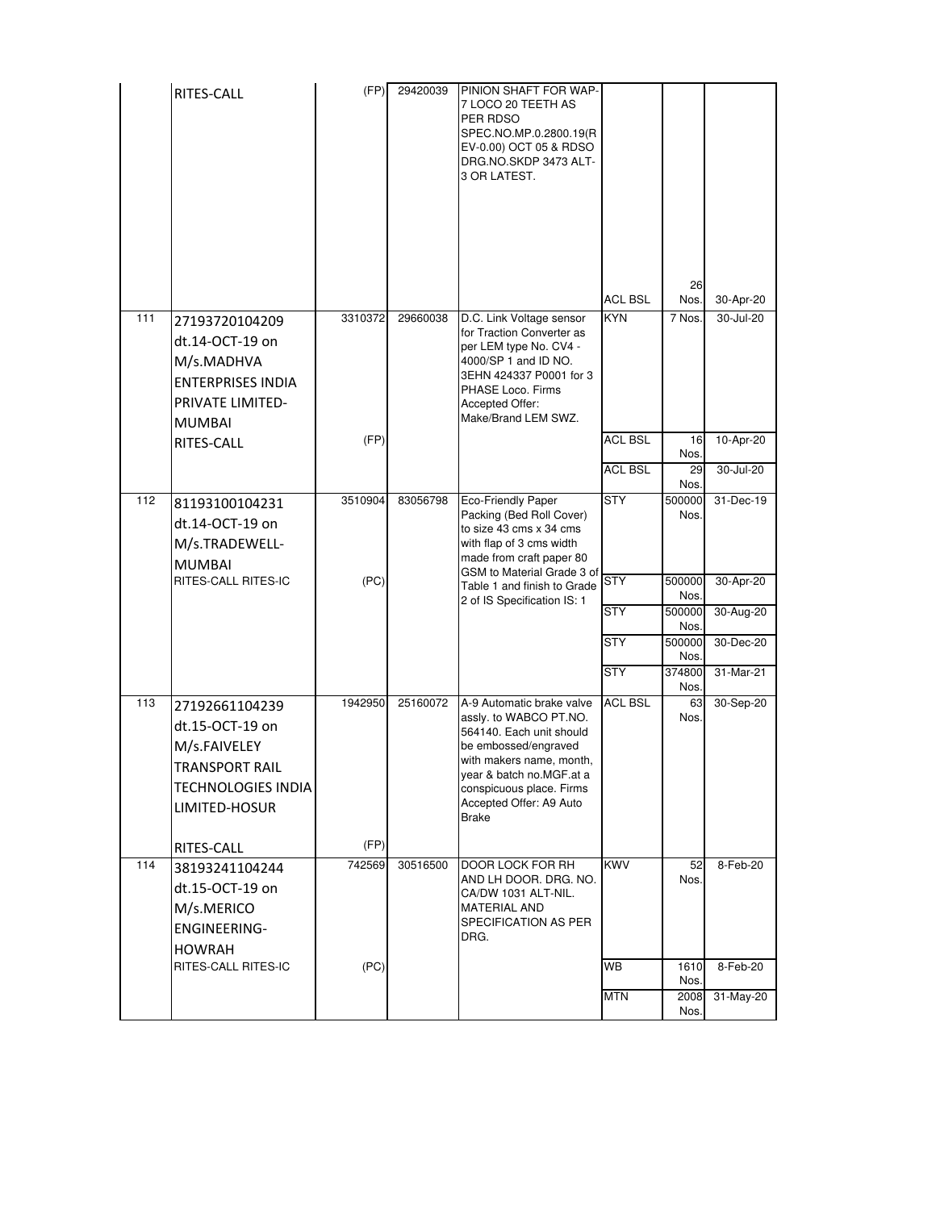|     | RITES-CALL                                                                                                              | (FP)    | 29420039 | PINION SHAFT FOR WAP-<br>7 LOCO 20 TEETH AS<br>PER RDSO<br>SPEC.NO.MP.0.2800.19(R<br>EV-0.00) OCT 05 & RDSO<br>DRG.NO.SKDP 3473 ALT-<br>3 OR LATEST.                                                                                   | <b>ACL BSL</b>                   | 26<br>Nos.               | 30-Apr-20              |
|-----|-------------------------------------------------------------------------------------------------------------------------|---------|----------|----------------------------------------------------------------------------------------------------------------------------------------------------------------------------------------------------------------------------------------|----------------------------------|--------------------------|------------------------|
| 111 | 27193720104209<br>dt.14-OCT-19 on<br>M/s.MADHVA<br><b>ENTERPRISES INDIA</b><br><b>PRIVATE LIMITED-</b><br><b>MUMBAI</b> | 3310372 | 29660038 | D.C. Link Voltage sensor<br>for Traction Converter as<br>per LEM type No. CV4 -<br>4000/SP 1 and ID NO.<br>3EHN 424337 P0001 for 3<br>PHASE Loco. Firms<br>Accepted Offer:<br>Make/Brand LEM SWZ.                                      | <b>KYN</b>                       | 7 Nos.                   | 30-Jul-20              |
|     | RITES-CALL                                                                                                              | (FP)    |          |                                                                                                                                                                                                                                        | <b>ACL BSL</b><br><b>ACL BSL</b> | 16<br>Nos.<br>29<br>Nos. | 10-Apr-20<br>30-Jul-20 |
| 112 | 81193100104231<br>dt.14-OCT-19 on<br>M/s.TRADEWELL-<br><b>MUMBAI</b>                                                    | 3510904 | 83056798 | Eco-Friendly Paper<br>Packing (Bed Roll Cover)<br>to size 43 cms x 34 cms<br>with flap of 3 cms width<br>made from craft paper 80<br>GSM to Material Grade 3 of                                                                        | <b>STY</b>                       | 500000<br>Nos.           | 31-Dec-19              |
|     | RITES-CALL RITES-IC                                                                                                     | (PC)    |          | Table 1 and finish to Grade<br>2 of IS Specification IS: 1                                                                                                                                                                             | <b>STY</b><br><b>STY</b>         | 500000<br>Nos.<br>500000 | 30-Apr-20<br>30-Aug-20 |
|     |                                                                                                                         |         |          |                                                                                                                                                                                                                                        | <b>STY</b>                       | Nos.<br>500000           | 30-Dec-20              |
|     |                                                                                                                         |         |          |                                                                                                                                                                                                                                        | <b>STY</b>                       | Nos.<br>374800<br>Nos.   | 31-Mar-21              |
| 113 | 27192661104239<br>dt.15-OCT-19 on<br>M/s.FAIVELEY<br>TRANSPORT RAIL<br>TECHNOLOGIES INDIA<br>LIMITED-HOSUR              | 1942950 | 25160072 | A-9 Automatic brake valve<br>assly. to WABCO PT.NO.<br>564140. Each unit should<br>be embossed/engraved<br>with makers name, month,<br>year & batch no.MGF.at a<br>conspicuous place. Firms<br>Accepted Offer: A9 Auto<br><b>Brake</b> | <b>ACL BSL</b>                   | 63<br>Nos.               | 30-Sep-20              |
|     | RITES-CALL                                                                                                              | (FP)    |          |                                                                                                                                                                                                                                        |                                  |                          |                        |
| 114 | 38193241104244<br>dt.15-OCT-19 on<br>M/s.MERICO<br><b>ENGINEERING-</b><br>HOWRAH                                        | 742569  | 30516500 | DOOR LOCK FOR RH<br>AND LH DOOR. DRG. NO.<br>CA/DW 1031 ALT-NIL.<br><b>MATERIAL AND</b><br>SPECIFICATION AS PER<br>DRG.                                                                                                                | <b>KWV</b>                       | 52<br>Nos.               | 8-Feb-20               |
|     | RITES-CALL RITES-IC                                                                                                     | (PC)    |          |                                                                                                                                                                                                                                        | <b>WB</b>                        | 1610<br>Nos.             | 8-Feb-20               |
|     |                                                                                                                         |         |          |                                                                                                                                                                                                                                        | <b>MTN</b>                       | 2008<br>Nos.             | 31-May-20              |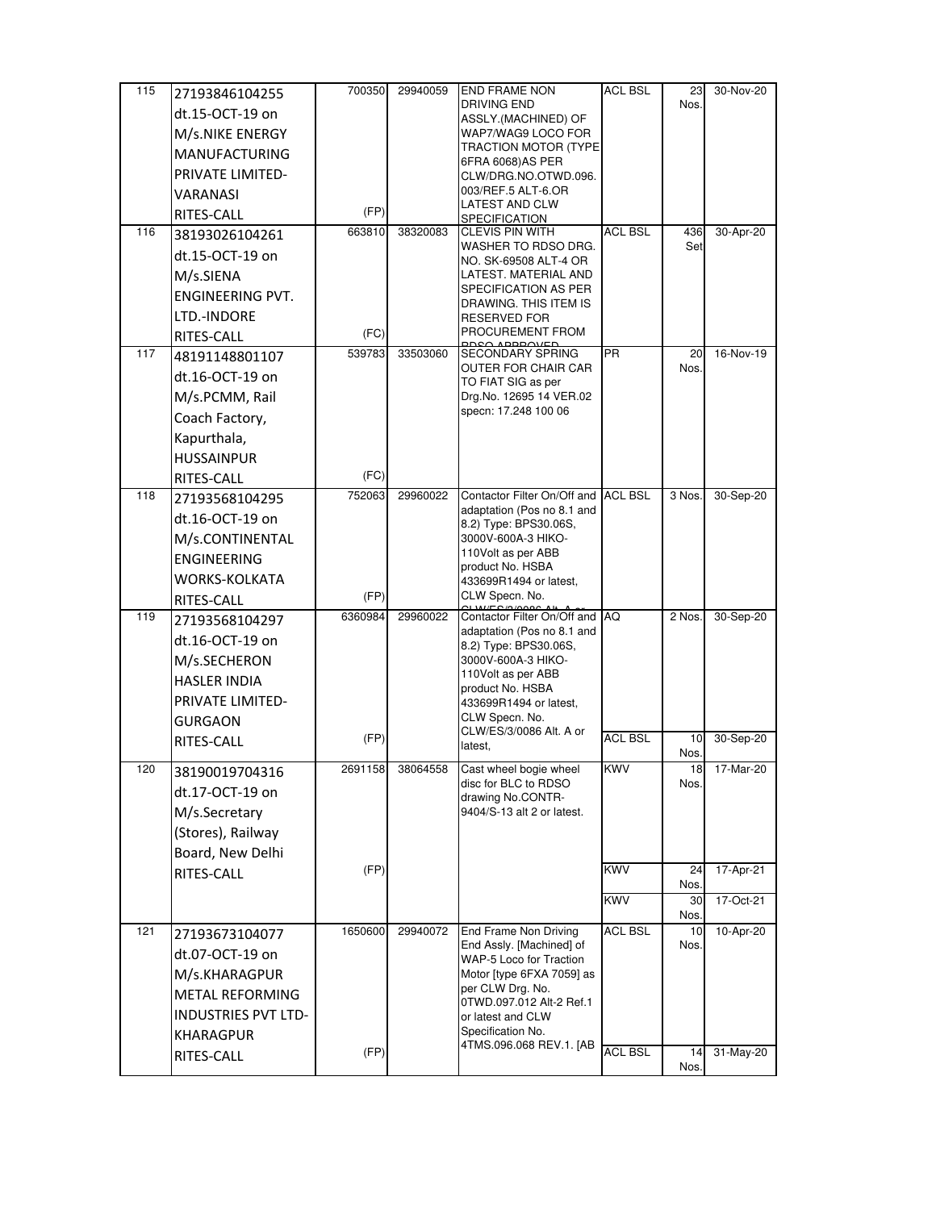| 115 | 27193846104255                  | 700350  | 29940059 | <b>END FRAME NON</b>                                | <b>ACL BSL</b> | 23         | 30-Nov-20               |
|-----|---------------------------------|---------|----------|-----------------------------------------------------|----------------|------------|-------------------------|
|     | dt.15-OCT-19 on                 |         |          | <b>DRIVING END</b><br>ASSLY.(MACHINED) OF           |                | Nos.       |                         |
|     | M/s.NIKE ENERGY                 |         |          | WAP7/WAG9 LOCO FOR                                  |                |            |                         |
|     | <b>MANUFACTURING</b>            |         |          | TRACTION MOTOR (TYPE                                |                |            |                         |
|     | PRIVATE LIMITED-                |         |          | 6FRA 6068)AS PER<br>CLW/DRG.NO.OTWD.096.            |                |            |                         |
|     | VARANASI                        |         |          | 003/REF.5 ALT-6.OR                                  |                |            |                         |
|     | RITES-CALL                      | (FP)    |          | LATEST AND CLW<br>SPECIFICATION                     |                |            |                         |
| 116 | 38193026104261                  | 663810  | 38320083 | <b>CLEVIS PIN WITH</b>                              | <b>ACL BSL</b> | 436        | 30-Apr-20               |
|     | dt.15-OCT-19 on                 |         |          | WASHER TO RDSO DRG.<br>NO. SK-69508 ALT-4 OR        |                | Set        |                         |
|     | M/s.SIENA                       |         |          | LATEST. MATERIAL AND                                |                |            |                         |
|     | <b>ENGINEERING PVT.</b>         |         |          | SPECIFICATION AS PER                                |                |            |                         |
|     | LTD.-INDORE                     |         |          | DRAWING. THIS ITEM IS<br><b>RESERVED FOR</b>        |                |            |                         |
|     | RITES-CALL                      | (FC)    |          | PROCUREMENT FROM                                    |                |            |                         |
| 117 | 48191148801107                  | 539783  | 33503060 | <b>SECONDARY SPRING</b>                             | <b>PR</b>      | 20         | 16-Nov-19               |
|     | dt.16-OCT-19 on                 |         |          | OUTER FOR CHAIR CAR                                 |                | Nos.       |                         |
|     | M/s.PCMM, Rail                  |         |          | TO FIAT SIG as per<br>Drg.No. 12695 14 VER.02       |                |            |                         |
|     | Coach Factory,                  |         |          | specn: 17.248 100 06                                |                |            |                         |
|     | Kapurthala,                     |         |          |                                                     |                |            |                         |
|     |                                 |         |          |                                                     |                |            |                         |
|     | <b>HUSSAINPUR</b><br>RITES-CALL | (FC)    |          |                                                     |                |            |                         |
| 118 | 27193568104295                  | 752063  | 29960022 | Contactor Filter On/Off and ACL BSL                 |                | 3 Nos.     | 30-Sep-20               |
|     | dt.16-OCT-19 on                 |         |          | adaptation (Pos no 8.1 and                          |                |            |                         |
|     | M/s.CONTINENTAL                 |         |          | 8.2) Type: BPS30.06S,<br>3000V-600A-3 HIKO-         |                |            |                         |
|     |                                 |         |          | 110Volt as per ABB                                  |                |            |                         |
|     | ENGINEERING                     |         |          | product No. HSBA                                    |                |            |                         |
|     | <b>WORKS-KOLKATA</b>            | (FP)    |          | 433699R1494 or latest,<br>CLW Specn. No.            |                |            |                         |
| 119 | RITES-CALL<br>27193568104297    | 6360984 | 29960022 | Contactor Filter On/Off and                         | <b>AQ</b>      | 2 Nos.     | 30-Sep-20               |
|     |                                 |         |          | adaptation (Pos no 8.1 and                          |                |            |                         |
|     | dt.16-OCT-19 on                 |         |          | 8.2) Type: BPS30.06S,                               |                |            |                         |
|     | M/s.SECHERON                    |         |          | 3000V-600A-3 HIKO-<br>110Volt as per ABB            |                |            |                         |
|     | <b>HASLER INDIA</b>             |         |          | product No. HSBA                                    |                |            |                         |
|     | PRIVATE LIMITED-                |         |          | 433699R1494 or latest,<br>CLW Specn. No.            |                |            |                         |
|     | GURGAON                         | (FP)    |          | CLW/ES/3/0086 Alt. A or                             | <b>ACL BSL</b> | 10         | 30-Sep-20               |
|     | RITES-CALL                      |         |          | latest.                                             |                | Nos.       |                         |
| 120 | 38190019704316                  | 2691158 | 38064558 | Cast wheel bogie wheel                              | <b>KWV</b>     | 181        | 17-Mar-20               |
|     |                                 |         |          |                                                     |                |            |                         |
|     | dt.17-OCT-19 on                 |         |          | disc for BLC to RDSO                                |                | Nos.       |                         |
|     | M/s.Secretary                   |         |          | drawing No.CONTR-<br>9404/S-13 alt 2 or latest.     |                |            |                         |
|     | (Stores), Railway               |         |          |                                                     |                |            |                         |
|     | Board, New Delhi                |         |          |                                                     |                |            |                         |
|     | RITES-CALL                      | (FP)    |          |                                                     | <b>KWV</b>     | 24         | 17-Apr-21               |
|     |                                 |         |          |                                                     |                | Nos.       |                         |
|     |                                 |         |          |                                                     | KWV            | 30<br>Nos. | $\overline{17}$ -Oct-21 |
| 121 | 27193673104077                  | 1650600 | 29940072 | End Frame Non Driving                               | <b>ACL BSL</b> | 10         | 10-Apr-20               |
|     | dt.07-OCT-19 on                 |         |          | End Assly. [Machined] of<br>WAP-5 Loco for Traction |                | Nos.       |                         |
|     | M/s.KHARAGPUR                   |         |          | Motor [type 6FXA 7059] as                           |                |            |                         |
|     | <b>METAL REFORMING</b>          |         |          | per CLW Drg. No.                                    |                |            |                         |
|     | <b>INDUSTRIES PVT LTD-</b>      |         |          | 0TWD.097.012 Alt-2 Ref.1<br>or latest and CLW       |                |            |                         |
|     | <b>KHARAGPUR</b>                |         |          | Specification No.                                   |                |            |                         |
|     | RITES-CALL                      | (FP)    |          | 4TMS.096.068 REV.1. [AB                             | <b>ACL BSL</b> | 14<br>Nos. | 31-May-20               |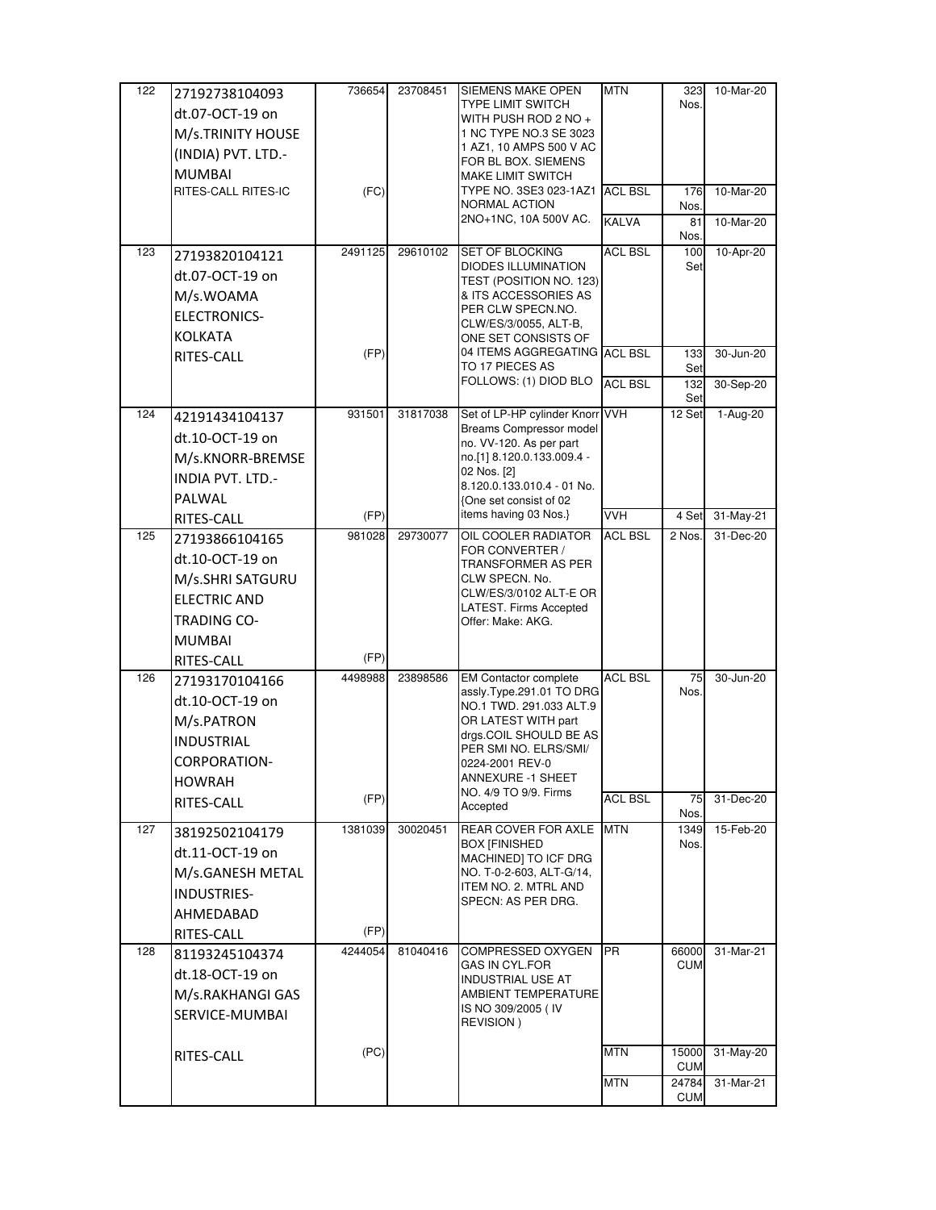| <b>TYPE LIMIT SWITCH</b><br>dt.07-OCT-19 on<br>WITH PUSH ROD 2 NO +<br>M/s.TRINITY HOUSE<br>1 NC TYPE NO.3 SE 3023<br>1 AZ1, 10 AMPS 500 V AC<br>(INDIA) PVT. LTD.-<br>FOR BL BOX. SIEMENS<br><b>MUMBAI</b><br><b>MAKE LIMIT SWITCH</b><br>TYPE NO. 3SE3 023-1AZ1<br>RITES-CALL RITES-IC<br>(FC)<br><b>ACL BSL</b><br>NORMAL ACTION | Nos.                |               |
|-------------------------------------------------------------------------------------------------------------------------------------------------------------------------------------------------------------------------------------------------------------------------------------------------------------------------------------|---------------------|---------------|
|                                                                                                                                                                                                                                                                                                                                     |                     |               |
|                                                                                                                                                                                                                                                                                                                                     |                     |               |
|                                                                                                                                                                                                                                                                                                                                     |                     |               |
|                                                                                                                                                                                                                                                                                                                                     |                     |               |
|                                                                                                                                                                                                                                                                                                                                     | 176                 | 10-Mar-20     |
|                                                                                                                                                                                                                                                                                                                                     | Nos.                |               |
| 2NO+1NC, 10A 500V AC.<br><b>KALVA</b>                                                                                                                                                                                                                                                                                               | 81<br>Nos.          | 10-Mar-20     |
| <b>ACL BSL</b><br>123<br>2491125<br>29610102<br><b>SET OF BLOCKING</b><br>27193820104121                                                                                                                                                                                                                                            | 100                 | 10-Apr-20     |
| <b>DIODES ILLUMINATION</b><br>dt.07-OCT-19 on<br>TEST (POSITION NO. 123)                                                                                                                                                                                                                                                            | Set                 |               |
| M/s.WOAMA<br>& ITS ACCESSORIES AS                                                                                                                                                                                                                                                                                                   |                     |               |
| PER CLW SPECN.NO.<br>ELECTRONICS-                                                                                                                                                                                                                                                                                                   |                     |               |
| CLW/ES/3/0055, ALT-B,<br><b>KOLKATA</b>                                                                                                                                                                                                                                                                                             |                     |               |
| ONE SET CONSISTS OF<br>(FP)<br>04 ITEMS AGGREGATING ACL BSL                                                                                                                                                                                                                                                                         | 133                 | 30-Jun-20     |
| RITES-CALL<br>TO 17 PIECES AS                                                                                                                                                                                                                                                                                                       | Set                 |               |
| FOLLOWS: (1) DIOD BLO<br><b>ACL BSL</b>                                                                                                                                                                                                                                                                                             | 132<br>Set          | 30-Sep-20     |
| Set of LP-HP cylinder Knorr VVH<br>124<br>931501<br>31817038<br>42191434104137                                                                                                                                                                                                                                                      | 12 Set              | 1-Aug-20      |
| Breams Compressor model<br>dt.10-OCT-19 on<br>no. VV-120. As per part                                                                                                                                                                                                                                                               |                     |               |
| no.[1] 8.120.0.133.009.4 -<br>M/s.KNORR-BREMSE                                                                                                                                                                                                                                                                                      |                     |               |
| 02 Nos. [2]<br><b>INDIA PVT. LTD.-</b>                                                                                                                                                                                                                                                                                              |                     |               |
| 8.120.0.133.010.4 - 01 No.<br>PALWAL<br>One set consist of 02                                                                                                                                                                                                                                                                       |                     |               |
| items having 03 Nos.}<br><b>VVH</b><br>(FP)<br>RITES-CALL                                                                                                                                                                                                                                                                           | 4 Set               | 31-May-21     |
| 125<br>981028<br>29730077<br>OIL COOLER RADIATOR<br><b>ACL BSL</b><br>27193866104165                                                                                                                                                                                                                                                | 2 Nos.              | 31-Dec-20     |
| FOR CONVERTER /<br>dt.10-OCT-19 on                                                                                                                                                                                                                                                                                                  |                     |               |
| TRANSFORMER AS PER                                                                                                                                                                                                                                                                                                                  |                     |               |
|                                                                                                                                                                                                                                                                                                                                     |                     |               |
| CLW SPECN. No.<br>M/s.SHRI SATGURU                                                                                                                                                                                                                                                                                                  |                     |               |
| CLW/ES/3/0102 ALT-E OR<br><b>ELECTRIC AND</b><br>LATEST. Firms Accepted                                                                                                                                                                                                                                                             |                     |               |
| <b>TRADING CO-</b><br>Offer: Make: AKG.                                                                                                                                                                                                                                                                                             |                     |               |
| <b>MUMBAI</b>                                                                                                                                                                                                                                                                                                                       |                     |               |
| (FP)<br>RITES-CALL                                                                                                                                                                                                                                                                                                                  |                     |               |
| <b>ACL BSL</b><br>126<br>4498988<br>23898586<br><b>EM Contactor complete</b><br>27193170104166                                                                                                                                                                                                                                      | 75                  | $30 - Jun-20$ |
| assly.Type.291.01 TO DRG<br>dt.10-OCT-19 on<br>NO.1 TWD. 291.033 ALT.9                                                                                                                                                                                                                                                              | Nos.                |               |
| OR LATEST WITH part<br>M/s.PATRON                                                                                                                                                                                                                                                                                                   |                     |               |
| drgs.COIL SHOULD BE AS<br><b>INDUSTRIAL</b>                                                                                                                                                                                                                                                                                         |                     |               |
| PER SMI NO. ELRS/SMI/<br>CORPORATION-<br>0224-2001 REV-0                                                                                                                                                                                                                                                                            |                     |               |
| <b>ANNEXURE -1 SHEET</b><br><b>HOWRAH</b>                                                                                                                                                                                                                                                                                           |                     |               |
| NO. 4/9 TO 9/9. Firms<br><b>ACL BSL</b><br>(FP)                                                                                                                                                                                                                                                                                     | 75                  | 31-Dec-20     |
| RITES-CALL<br>Accepted                                                                                                                                                                                                                                                                                                              | Nos.                |               |
| 1381039<br>30020451<br>REAR COVER FOR AXLE<br><b>MTN</b><br>127<br>38192502104179<br><b>BOX [FINISHED</b>                                                                                                                                                                                                                           | 1349<br>Nos.        | 15-Feb-20     |
| dt.11-OCT-19 on<br>MACHINED] TO ICF DRG                                                                                                                                                                                                                                                                                             |                     |               |
| M/s.GANESH METAL<br>NO. T-0-2-603, ALT-G/14,                                                                                                                                                                                                                                                                                        |                     |               |
| ITEM NO. 2. MTRL AND<br><b>INDUSTRIES-</b><br>SPECN: AS PER DRG.                                                                                                                                                                                                                                                                    |                     |               |
| AHMEDABAD                                                                                                                                                                                                                                                                                                                           |                     |               |
| (FP)<br>RITES-CALL                                                                                                                                                                                                                                                                                                                  |                     |               |
| 4244054<br>COMPRESSED OXYGEN<br><b>PR</b><br>128<br>81040416<br>81193245104374                                                                                                                                                                                                                                                      | 66000               | 31-Mar-21     |
| <b>GAS IN CYL FOR</b><br>dt.18-OCT-19 on<br><b>INDUSTRIAL USE AT</b>                                                                                                                                                                                                                                                                | <b>CUM</b>          |               |
| M/s.RAKHANGI GAS<br>AMBIENT TEMPERATURE                                                                                                                                                                                                                                                                                             |                     |               |
| IS NO 309/2005 (IV<br>SERVICE-MUMBAI                                                                                                                                                                                                                                                                                                |                     |               |
| REVISION)                                                                                                                                                                                                                                                                                                                           |                     |               |
| <b>MTN</b><br>(PC)                                                                                                                                                                                                                                                                                                                  | 15000               | 31-May-20     |
| RITES-CALL<br><b>MTN</b>                                                                                                                                                                                                                                                                                                            | <b>CUM</b><br>24784 | 31-Mar-21     |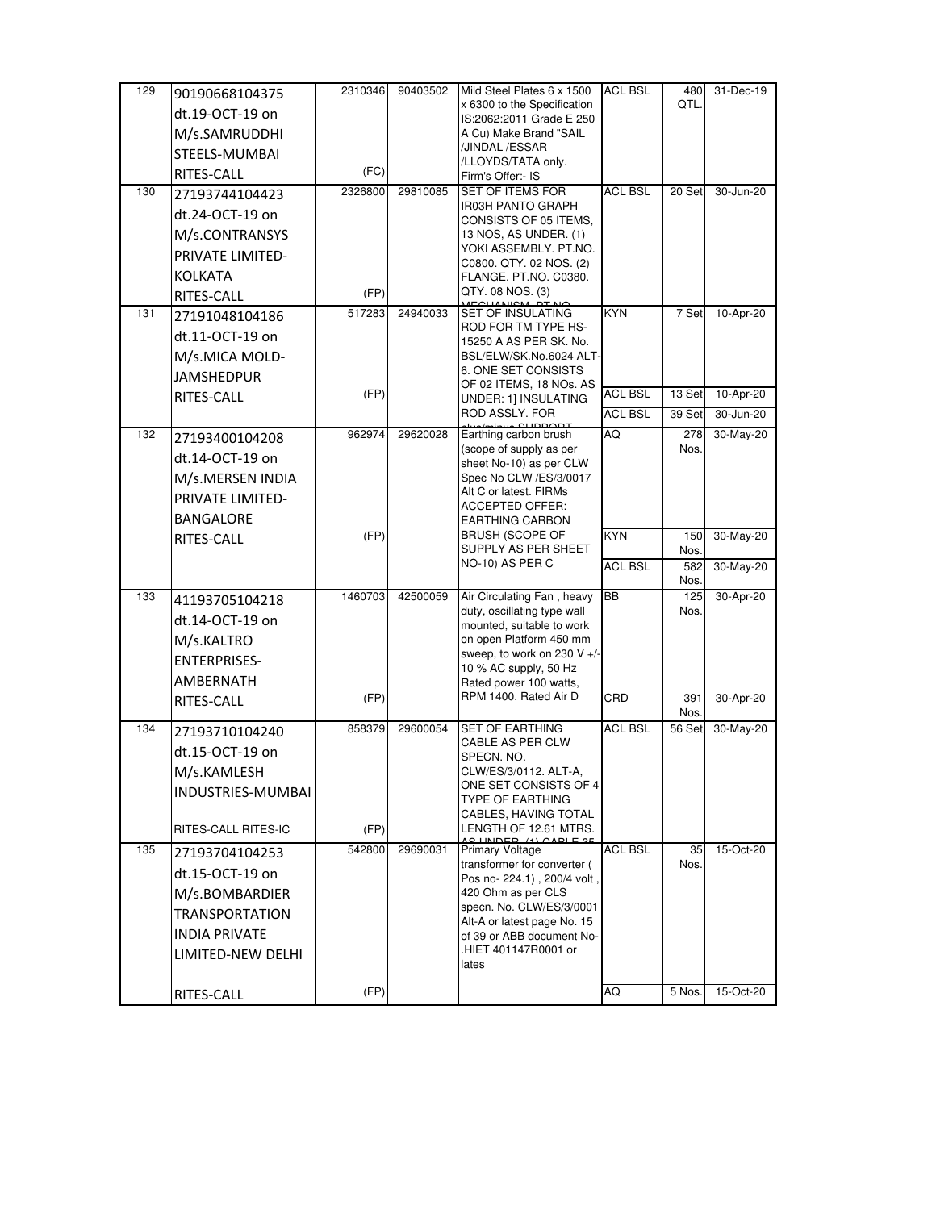| 129 | 90190668104375       | 2310346 | 90403502 | Mild Steel Plates 6 x 1500                                 | <b>ACL BSL</b> | 480         | 31-Dec-19 |
|-----|----------------------|---------|----------|------------------------------------------------------------|----------------|-------------|-----------|
|     | dt.19-OCT-19 on      |         |          | x 6300 to the Specification<br>IS:2062:2011 Grade E 250    |                | QTL.        |           |
|     | M/s.SAMRUDDHI        |         |          | A Cu) Make Brand "SAIL                                     |                |             |           |
|     | STEELS-MUMBAI        |         |          | /JINDAL /ESSAR                                             |                |             |           |
|     | RITES-CALL           | (FC)    |          | /LLOYDS/TATA only.<br>Firm's Offer:- IS                    |                |             |           |
| 130 | 27193744104423       | 2326800 | 29810085 | <b>SET OF ITEMS FOR</b>                                    | <b>ACL BSL</b> | 20 Set      | 30-Jun-20 |
|     | dt.24-OCT-19 on      |         |          | IR03H PANTO GRAPH                                          |                |             |           |
|     |                      |         |          | CONSISTS OF 05 ITEMS,<br>13 NOS, AS UNDER. (1)             |                |             |           |
|     | M/s.CONTRANSYS       |         |          | YOKI ASSEMBLY. PT.NO.                                      |                |             |           |
|     | PRIVATE LIMITED-     |         |          | C0800. QTY. 02 NOS. (2)                                    |                |             |           |
|     | <b>KOLKATA</b>       |         |          | FLANGE. PT.NO. C0380.<br>QTY. 08 NOS. (3)                  |                |             |           |
|     | RITES-CALL           | (FP)    |          |                                                            |                |             |           |
| 131 | 27191048104186       | 517283  | 24940033 | <b>SET OF INSULATING</b><br>ROD FOR TM TYPE HS-            | <b>KYN</b>     | 7 Set       | 10-Apr-20 |
|     | dt.11-OCT-19 on      |         |          | 15250 A AS PER SK. No.                                     |                |             |           |
|     | M/s.MICA MOLD-       |         |          | BSL/ELW/SK.No.6024 ALT-                                    |                |             |           |
|     | <b>JAMSHEDPUR</b>    |         |          | 6. ONE SET CONSISTS<br>OF 02 ITEMS, 18 NOs. AS             |                |             |           |
|     | RITES-CALL           | (FP)    |          | UNDER: 1] INSULATING                                       | <b>ACL BSL</b> | 13 Set      | 10-Apr-20 |
|     |                      |         |          | ROD ASSLY. FOR                                             | <b>ACL BSL</b> | 39 Set      | 30-Jun-20 |
| 132 | 27193400104208       | 962974  | 29620028 | Earthing carbon brush                                      | AQ             | 278         | 30-May-20 |
|     | dt.14-OCT-19 on      |         |          | (scope of supply as per<br>sheet No-10) as per CLW         |                | Nos.        |           |
|     | M/s.MERSEN INDIA     |         |          | Spec No CLW /ES/3/0017                                     |                |             |           |
|     | PRIVATE LIMITED-     |         |          | Alt C or latest. FIRMs                                     |                |             |           |
|     | <b>BANGALORE</b>     |         |          | <b>ACCEPTED OFFER:</b><br><b>EARTHING CARBON</b>           |                |             |           |
|     | RITES-CALL           | (FP)    |          | <b>BRUSH (SCOPE OF</b>                                     | KYN            | 150         | 30-May-20 |
|     |                      |         |          | SUPPLY AS PER SHEET                                        |                | Nos.        |           |
|     |                      |         |          | NO-10) AS PER C                                            | <b>ACL BSL</b> | 582<br>Nos. | 30-May-20 |
| 133 | 41193705104218       | 1460703 | 42500059 | Air Circulating Fan, heavy                                 | <b>BB</b>      | 125         | 30-Apr-20 |
|     | dt.14-OCT-19 on      |         |          | duty, oscillating type wall                                |                | Nos.        |           |
|     | M/s.KALTRO           |         |          | mounted, suitable to work<br>on open Platform 450 mm       |                |             |           |
|     | <b>ENTERPRISES-</b>  |         |          | sweep, to work on 230 V +/-                                |                |             |           |
|     | AMBERNATH            |         |          | 10 % AC supply, 50 Hz                                      |                |             |           |
|     |                      | (FP)    |          | Rated power 100 watts,<br>RPM 1400. Rated Air D            | CRD            | 391         | 30-Apr-20 |
|     | RITES-CALL           |         |          |                                                            |                | Nos.        |           |
| 134 | 27193710104240       | 858379  | 29600054 | <b>SET OF EARTHING</b>                                     | <b>ACL BSL</b> | 56 Set      | 30-May-20 |
|     | dt.15-OCT-19 on      |         |          | CABLE AS PER CLW<br>SPECN. NO.                             |                |             |           |
|     | M/s.KAMLESH          |         |          | CLW/ES/3/0112. ALT-A,                                      |                |             |           |
|     | INDUSTRIES-MUMBAI    |         |          | ONE SET CONSISTS OF 4<br>TYPE OF EARTHING                  |                |             |           |
|     |                      |         |          | CABLES, HAVING TOTAL                                       |                |             |           |
|     | RITES-CALL RITES-IC  | (FP)    |          | LENGTH OF 12.61 MTRS.<br>IINIDED (4) ANDI E. QI            |                |             |           |
| 135 | 27193704104253       | 542800  | 29690031 | <b>Primary Voltage</b>                                     | <b>ACL BSL</b> | 35          | 15-Oct-20 |
|     | dt.15-OCT-19 on      |         |          | transformer for converter (<br>Pos no- 224.1), 200/4 volt, |                | Nos.        |           |
|     | M/s.BOMBARDIER       |         |          | 420 Ohm as per CLS                                         |                |             |           |
|     | TRANSPORTATION       |         |          | specn. No. CLW/ES/3/0001                                   |                |             |           |
|     | <b>INDIA PRIVATE</b> |         |          | Alt-A or latest page No. 15<br>of 39 or ABB document No-   |                |             |           |
|     | LIMITED-NEW DELHI    |         |          | HIET 401147R0001 or                                        |                |             |           |
|     |                      |         |          | lates                                                      |                |             |           |
|     | RITES-CALL           | (FP)    |          |                                                            | AQ             | 5 Nos.      | 15-Oct-20 |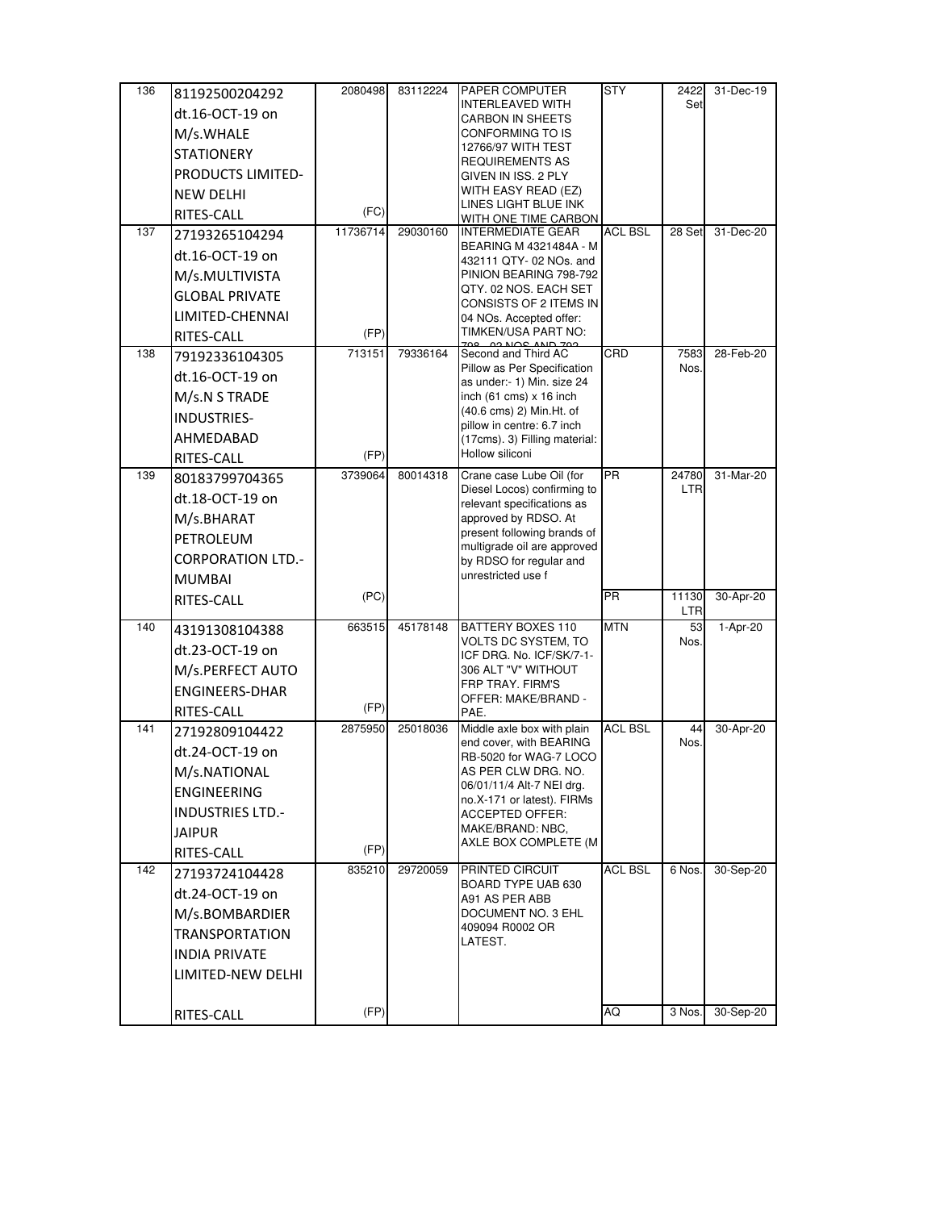| 136 | 81192500204292           | 2080498  | 83112224 | PAPER COMPUTER                                              | <b>STY</b>     | 2422         | 31-Dec-19  |
|-----|--------------------------|----------|----------|-------------------------------------------------------------|----------------|--------------|------------|
|     | dt.16-OCT-19 on          |          |          | <b>INTERLEAVED WITH</b><br><b>CARBON IN SHEETS</b>          |                | Set          |            |
|     | M/s.WHALE                |          |          | CONFORMING TO IS                                            |                |              |            |
|     | <b>STATIONERY</b>        |          |          | 12766/97 WITH TEST                                          |                |              |            |
|     | PRODUCTS LIMITED-        |          |          | <b>REQUIREMENTS AS</b><br>GIVEN IN ISS. 2 PLY               |                |              |            |
|     | <b>NEW DELHI</b>         |          |          | WITH EASY READ (EZ)                                         |                |              |            |
|     |                          | (FC)     |          | LINES LIGHT BLUE INK                                        |                |              |            |
| 137 | RITES-CALL               | 11736714 | 29030160 | WITH ONE TIME CARBON<br><b>INTERMEDIATE GEAR</b>            | <b>ACL BSL</b> | 28 Set       | 31-Dec-20  |
|     | 27193265104294           |          |          | BEARING M 4321484A - M                                      |                |              |            |
|     | dt.16-OCT-19 on          |          |          | 432111 QTY- 02 NOs. and                                     |                |              |            |
|     | M/s.MULTIVISTA           |          |          | PINION BEARING 798-792                                      |                |              |            |
|     | <b>GLOBAL PRIVATE</b>    |          |          | QTY. 02 NOS. EACH SET<br>CONSISTS OF 2 ITEMS IN             |                |              |            |
|     | LIMITED-CHENNAI          |          |          | 04 NOs. Accepted offer:                                     |                |              |            |
|     | RITES-CALL               | (FP)     |          | TIMKEN/USA PART NO:                                         |                |              |            |
| 138 | 79192336104305           | 713151   | 79336164 | Second and Third AC                                         | CRD            | 7583         | 28-Feb-20  |
|     | dt.16-OCT-19 on          |          |          | Pillow as Per Specification<br>as under:- 1) Min. size 24   |                | Nos.         |            |
|     | M/s.N S TRADE            |          |          | inch $(61 \text{ cms}) \times 16$ inch                      |                |              |            |
|     | INDUSTRIES-              |          |          | (40.6 cms) 2) Min.Ht. of                                    |                |              |            |
|     | AHMEDABAD                |          |          | pillow in centre: 6.7 inch<br>(17cms). 3) Filling material: |                |              |            |
|     | RITES-CALL               | (FP)     |          | Hollow siliconi                                             |                |              |            |
| 139 | 80183799704365           | 3739064  | 80014318 | Crane case Lube Oil (for                                    | <b>PR</b>      | 24780        | 31-Mar-20  |
|     | dt.18-OCT-19 on          |          |          | Diesel Locos) confirming to                                 |                | <b>LTR</b>   |            |
|     |                          |          |          | relevant specifications as                                  |                |              |            |
|     | M/s.BHARAT               |          |          | approved by RDSO. At<br>present following brands of         |                |              |            |
|     | PETROLEUM                |          |          | multigrade oil are approved                                 |                |              |            |
|     | <b>CORPORATION LTD.-</b> |          |          | by RDSO for regular and                                     |                |              |            |
|     | <b>MUMBAI</b>            |          |          | unrestricted use f                                          |                |              |            |
|     | RITES-CALL               | (PC)     |          |                                                             | <b>PR</b>      | 11130<br>LTR | 30-Apr-20  |
| 140 | 43191308104388           | 663515   | 45178148 | <b>BATTERY BOXES 110</b>                                    | <b>MTN</b>     | 53           | $1-Apr-20$ |
|     | dt.23-OCT-19 on          |          |          | VOLTS DC SYSTEM, TO                                         |                | Nos.         |            |
|     | M/s.PERFECT AUTO         |          |          | ICF DRG. No. ICF/SK/7-1-<br>306 ALT "V" WITHOUT             |                |              |            |
|     | <b>ENGINEERS-DHAR</b>    |          |          | FRP TRAY. FIRM'S                                            |                |              |            |
|     |                          | (FP)     |          | OFFER: MAKE/BRAND -                                         |                |              |            |
| 141 | RITES-CALL               | 2875950  | 25018036 | PAE.<br>Middle axle box with plain                          | <b>ACL BSL</b> | 44           | 30-Apr-20  |
|     | 27192809104422           |          |          | end cover, with BEARING                                     |                | Nos.         |            |
|     | dt.24-OCT-19 on          |          |          | RB-5020 for WAG-7 LOCO                                      |                |              |            |
|     | M/s.NATIONAL             |          |          | AS PER CLW DRG. NO.<br>06/01/11/4 Alt-7 NEI drg.            |                |              |            |
|     | ENGINEERING              |          |          | no.X-171 or latest). FIRMs                                  |                |              |            |
|     | <b>INDUSTRIES LTD.-</b>  |          |          | <b>ACCEPTED OFFER:</b>                                      |                |              |            |
|     | <b>JAIPUR</b>            |          |          | MAKE/BRAND: NBC,<br>AXLE BOX COMPLETE (M                    |                |              |            |
|     | RITES-CALL               | (FP)     |          |                                                             |                |              |            |
| 142 | 27193724104428           | 835210   | 29720059 | PRINTED CIRCUIT                                             | <b>ACL BSL</b> | 6 Nos.       | 30-Sep-20  |
|     | dt.24-OCT-19 on          |          |          | BOARD TYPE UAB 630<br>A91 AS PER ABB                        |                |              |            |
|     | M/s.BOMBARDIER           |          |          | DOCUMENT NO. 3 EHL                                          |                |              |            |
|     | <b>TRANSPORTATION</b>    |          |          | 409094 R0002 OR                                             |                |              |            |
|     | <b>INDIA PRIVATE</b>     |          |          | LATEST.                                                     |                |              |            |
|     | LIMITED-NEW DELHI        |          |          |                                                             |                |              |            |
|     |                          |          |          |                                                             |                |              |            |
|     | RITES-CALL               | (FP)     |          |                                                             | AQ             | 3 Nos.       | 30-Sep-20  |
|     |                          |          |          |                                                             |                |              |            |